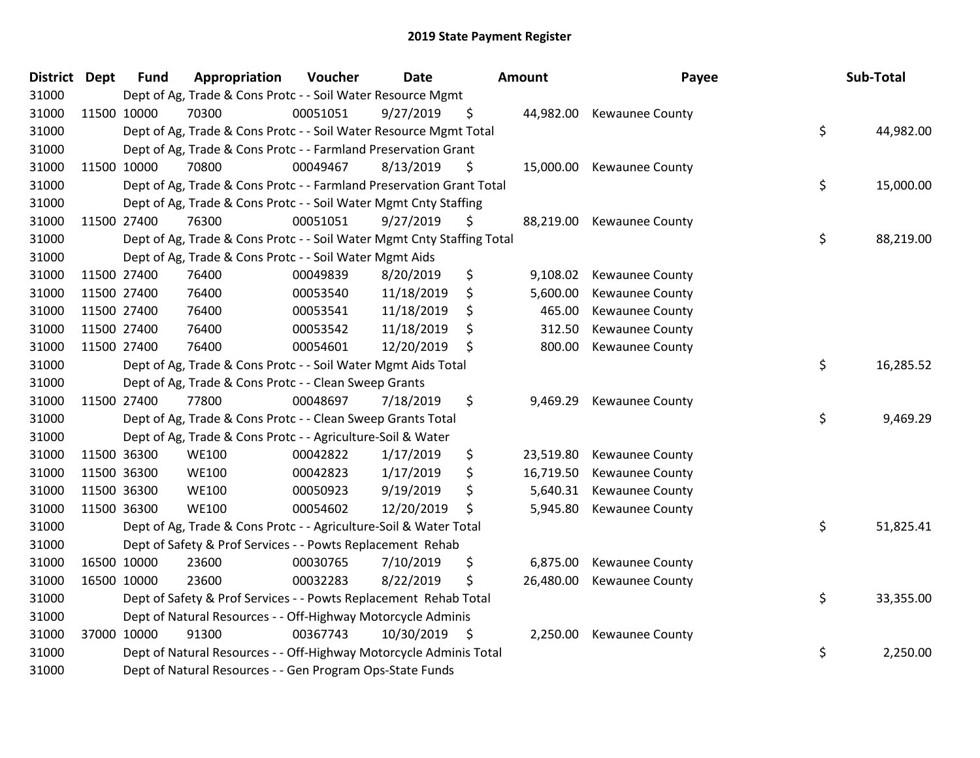| District Dept | <b>Fund</b> | Appropriation                                                          | Voucher  | <b>Date</b>   |     | <b>Amount</b> | Payee                     | Sub-Total       |
|---------------|-------------|------------------------------------------------------------------------|----------|---------------|-----|---------------|---------------------------|-----------------|
| 31000         |             | Dept of Ag, Trade & Cons Protc - - Soil Water Resource Mgmt            |          |               |     |               |                           |                 |
| 31000         | 11500 10000 | 70300                                                                  | 00051051 | 9/27/2019     | \$  |               | 44,982.00 Kewaunee County |                 |
| 31000         |             | Dept of Ag, Trade & Cons Protc - - Soil Water Resource Mgmt Total      |          |               |     |               |                           | \$<br>44,982.00 |
| 31000         |             | Dept of Ag, Trade & Cons Protc - - Farmland Preservation Grant         |          |               |     |               |                           |                 |
| 31000         | 11500 10000 | 70800                                                                  | 00049467 | 8/13/2019     | \$  |               | 15,000.00 Kewaunee County |                 |
| 31000         |             | Dept of Ag, Trade & Cons Protc - - Farmland Preservation Grant Total   |          |               |     |               |                           | \$<br>15,000.00 |
| 31000         |             | Dept of Ag, Trade & Cons Protc - - Soil Water Mgmt Cnty Staffing       |          |               |     |               |                           |                 |
| 31000         | 11500 27400 | 76300                                                                  | 00051051 | 9/27/2019     | \$  |               | 88,219.00 Kewaunee County |                 |
| 31000         |             | Dept of Ag, Trade & Cons Protc - - Soil Water Mgmt Cnty Staffing Total |          |               |     |               |                           | \$<br>88,219.00 |
| 31000         |             | Dept of Ag, Trade & Cons Protc - - Soil Water Mgmt Aids                |          |               |     |               |                           |                 |
| 31000         | 11500 27400 | 76400                                                                  | 00049839 | 8/20/2019     | \$  | 9,108.02      | <b>Kewaunee County</b>    |                 |
| 31000         | 11500 27400 | 76400                                                                  | 00053540 | 11/18/2019    | \$  | 5,600.00      | <b>Kewaunee County</b>    |                 |
| 31000         | 11500 27400 | 76400                                                                  | 00053541 | 11/18/2019    | \$, | 465.00        | Kewaunee County           |                 |
| 31000         | 11500 27400 | 76400                                                                  | 00053542 | 11/18/2019    | \$  | 312.50        | <b>Kewaunee County</b>    |                 |
| 31000         | 11500 27400 | 76400                                                                  | 00054601 | 12/20/2019    | \$  | 800.00        | Kewaunee County           |                 |
| 31000         |             | Dept of Ag, Trade & Cons Protc - - Soil Water Mgmt Aids Total          |          |               |     |               |                           | \$<br>16,285.52 |
| 31000         |             | Dept of Ag, Trade & Cons Protc - - Clean Sweep Grants                  |          |               |     |               |                           |                 |
| 31000         | 11500 27400 | 77800                                                                  | 00048697 | 7/18/2019     | \$  | 9,469.29      | Kewaunee County           |                 |
| 31000         |             | Dept of Ag, Trade & Cons Protc - - Clean Sweep Grants Total            |          |               |     |               |                           | \$<br>9,469.29  |
| 31000         |             | Dept of Ag, Trade & Cons Protc - - Agriculture-Soil & Water            |          |               |     |               |                           |                 |
| 31000         | 11500 36300 | <b>WE100</b>                                                           | 00042822 | 1/17/2019     | \$  | 23,519.80     | <b>Kewaunee County</b>    |                 |
| 31000         | 11500 36300 | <b>WE100</b>                                                           | 00042823 | 1/17/2019     | \$  | 16,719.50     | <b>Kewaunee County</b>    |                 |
| 31000         | 11500 36300 | <b>WE100</b>                                                           | 00050923 | 9/19/2019     | \$  |               | 5,640.31 Kewaunee County  |                 |
| 31000         | 11500 36300 | <b>WE100</b>                                                           | 00054602 | 12/20/2019    | \$  | 5,945.80      | Kewaunee County           |                 |
| 31000         |             | Dept of Ag, Trade & Cons Protc - - Agriculture-Soil & Water Total      |          |               |     |               |                           | \$<br>51,825.41 |
| 31000         |             | Dept of Safety & Prof Services - - Powts Replacement Rehab             |          |               |     |               |                           |                 |
| 31000         | 16500 10000 | 23600                                                                  | 00030765 | 7/10/2019     | \$  | 6,875.00      | <b>Kewaunee County</b>    |                 |
| 31000         | 16500 10000 | 23600                                                                  | 00032283 | 8/22/2019     | \$  | 26,480.00     | Kewaunee County           |                 |
| 31000         |             | Dept of Safety & Prof Services - - Powts Replacement Rehab Total       |          |               |     |               |                           | \$<br>33,355.00 |
| 31000         |             | Dept of Natural Resources - - Off-Highway Motorcycle Adminis           |          |               |     |               |                           |                 |
| 31000         | 37000 10000 | 91300                                                                  | 00367743 | 10/30/2019 \$ |     | 2,250.00      | <b>Kewaunee County</b>    |                 |
| 31000         |             | Dept of Natural Resources - - Off-Highway Motorcycle Adminis Total     |          |               |     |               |                           | \$<br>2,250.00  |
| 31000         |             | Dept of Natural Resources - - Gen Program Ops-State Funds              |          |               |     |               |                           |                 |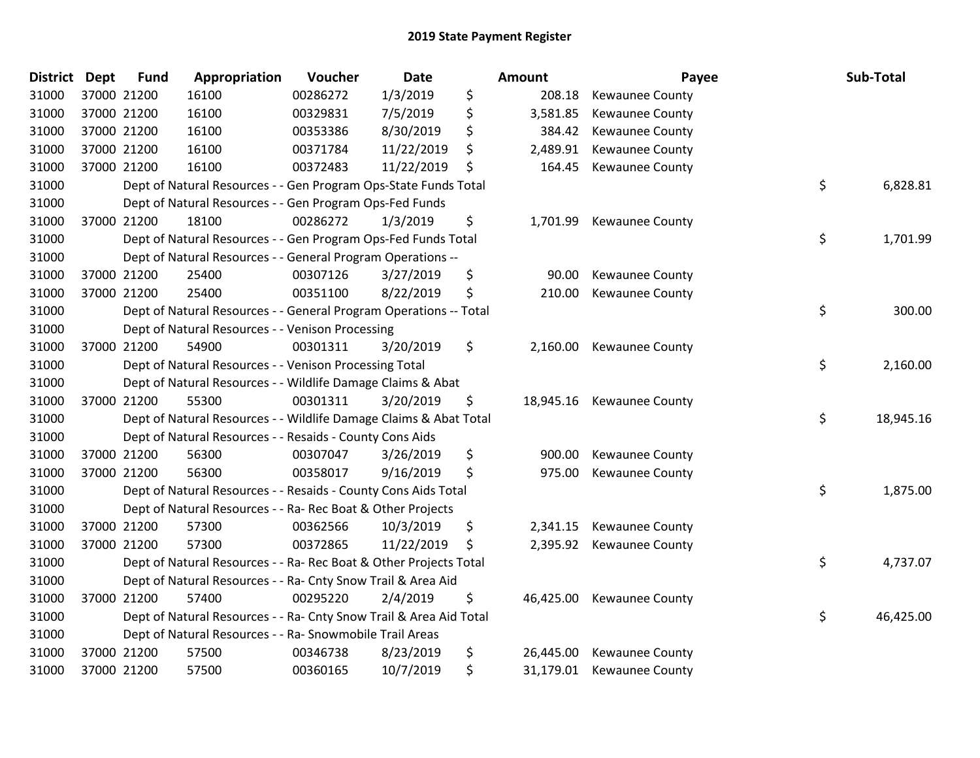| <b>District Dept</b> | <b>Fund</b> | Appropriation                                                      | Voucher  | Date       | Amount          | Payee                     | Sub-Total       |
|----------------------|-------------|--------------------------------------------------------------------|----------|------------|-----------------|---------------------------|-----------------|
| 31000                | 37000 21200 | 16100                                                              | 00286272 | 1/3/2019   | \$<br>208.18    | Kewaunee County           |                 |
| 31000                | 37000 21200 | 16100                                                              | 00329831 | 7/5/2019   | \$<br>3,581.85  | Kewaunee County           |                 |
| 31000                | 37000 21200 | 16100                                                              | 00353386 | 8/30/2019  | \$<br>384.42    | <b>Kewaunee County</b>    |                 |
| 31000                | 37000 21200 | 16100                                                              | 00371784 | 11/22/2019 | \$<br>2,489.91  | Kewaunee County           |                 |
| 31000                | 37000 21200 | 16100                                                              | 00372483 | 11/22/2019 | \$<br>164.45    | Kewaunee County           |                 |
| 31000                |             | Dept of Natural Resources - - Gen Program Ops-State Funds Total    |          |            |                 |                           | \$<br>6,828.81  |
| 31000                |             | Dept of Natural Resources - - Gen Program Ops-Fed Funds            |          |            |                 |                           |                 |
| 31000                | 37000 21200 | 18100                                                              | 00286272 | 1/3/2019   | \$<br>1,701.99  | Kewaunee County           |                 |
| 31000                |             | Dept of Natural Resources - - Gen Program Ops-Fed Funds Total      |          |            |                 |                           | \$<br>1,701.99  |
| 31000                |             | Dept of Natural Resources - - General Program Operations --        |          |            |                 |                           |                 |
| 31000                | 37000 21200 | 25400                                                              | 00307126 | 3/27/2019  | \$<br>90.00     | <b>Kewaunee County</b>    |                 |
| 31000                | 37000 21200 | 25400                                                              | 00351100 | 8/22/2019  | \$<br>210.00    | Kewaunee County           |                 |
| 31000                |             | Dept of Natural Resources - - General Program Operations -- Total  |          |            |                 |                           | \$<br>300.00    |
| 31000                |             | Dept of Natural Resources - - Venison Processing                   |          |            |                 |                           |                 |
| 31000                | 37000 21200 | 54900                                                              | 00301311 | 3/20/2019  | \$<br>2,160.00  | Kewaunee County           |                 |
| 31000                |             | Dept of Natural Resources - - Venison Processing Total             |          |            |                 |                           | \$<br>2,160.00  |
| 31000                |             | Dept of Natural Resources - - Wildlife Damage Claims & Abat        |          |            |                 |                           |                 |
| 31000                | 37000 21200 | 55300                                                              | 00301311 | 3/20/2019  | \$<br>18,945.16 | Kewaunee County           |                 |
| 31000                |             | Dept of Natural Resources - - Wildlife Damage Claims & Abat Total  |          |            |                 |                           | \$<br>18,945.16 |
| 31000                |             | Dept of Natural Resources - - Resaids - County Cons Aids           |          |            |                 |                           |                 |
| 31000                | 37000 21200 | 56300                                                              | 00307047 | 3/26/2019  | \$<br>900.00    | Kewaunee County           |                 |
| 31000                | 37000 21200 | 56300                                                              | 00358017 | 9/16/2019  | \$<br>975.00    | <b>Kewaunee County</b>    |                 |
| 31000                |             | Dept of Natural Resources - - Resaids - County Cons Aids Total     |          |            |                 |                           | \$<br>1,875.00  |
| 31000                |             | Dept of Natural Resources - - Ra- Rec Boat & Other Projects        |          |            |                 |                           |                 |
| 31000                | 37000 21200 | 57300                                                              | 00362566 | 10/3/2019  | \$<br>2,341.15  | Kewaunee County           |                 |
| 31000                | 37000 21200 | 57300                                                              | 00372865 | 11/22/2019 | \$<br>2,395.92  | <b>Kewaunee County</b>    |                 |
| 31000                |             | Dept of Natural Resources - - Ra- Rec Boat & Other Projects Total  |          |            |                 |                           | \$<br>4,737.07  |
| 31000                |             | Dept of Natural Resources - - Ra- Cnty Snow Trail & Area Aid       |          |            |                 |                           |                 |
| 31000                | 37000 21200 | 57400                                                              | 00295220 | 2/4/2019   | \$<br>46,425.00 | Kewaunee County           |                 |
| 31000                |             | Dept of Natural Resources - - Ra- Cnty Snow Trail & Area Aid Total |          |            |                 |                           | \$<br>46,425.00 |
| 31000                |             | Dept of Natural Resources - - Ra- Snowmobile Trail Areas           |          |            |                 |                           |                 |
| 31000                | 37000 21200 | 57500                                                              | 00346738 | 8/23/2019  | \$<br>26,445.00 | <b>Kewaunee County</b>    |                 |
| 31000                | 37000 21200 | 57500                                                              | 00360165 | 10/7/2019  | \$              | 31,179.01 Kewaunee County |                 |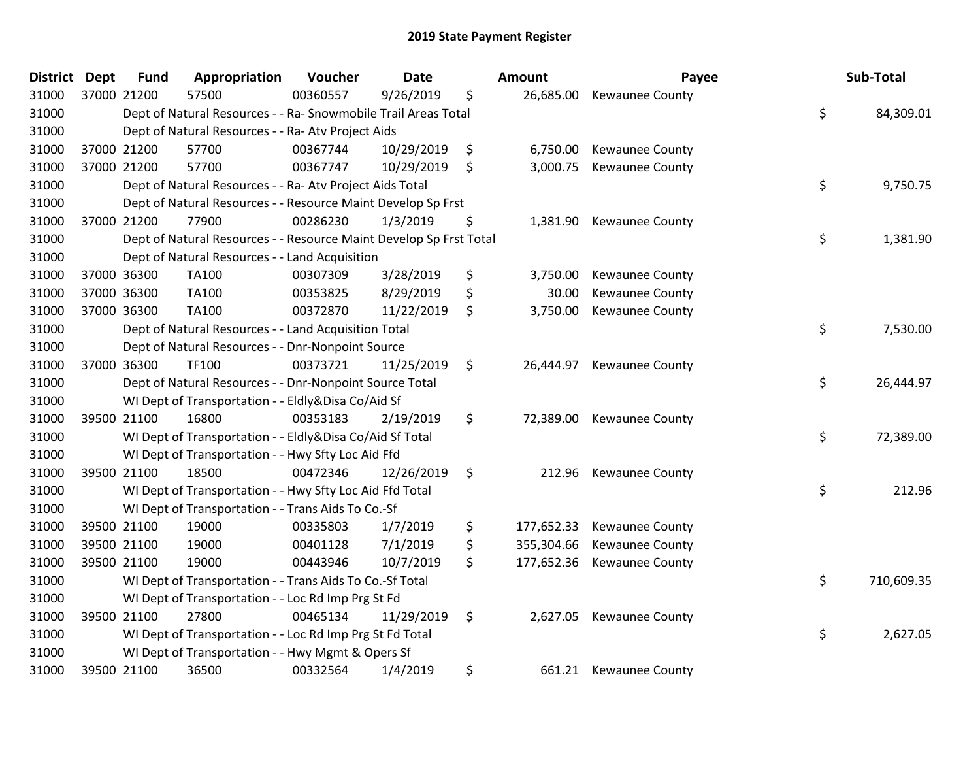| District | <b>Dept</b> | <b>Fund</b> | Appropriation                                                      | Voucher  | <b>Date</b> | Amount           | Payee                      | Sub-Total        |
|----------|-------------|-------------|--------------------------------------------------------------------|----------|-------------|------------------|----------------------------|------------------|
| 31000    | 37000 21200 |             | 57500                                                              | 00360557 | 9/26/2019   | \$<br>26,685.00  | Kewaunee County            |                  |
| 31000    |             |             | Dept of Natural Resources - - Ra- Snowmobile Trail Areas Total     |          |             |                  |                            | \$<br>84,309.01  |
| 31000    |             |             | Dept of Natural Resources - - Ra- Atv Project Aids                 |          |             |                  |                            |                  |
| 31000    | 37000 21200 |             | 57700                                                              | 00367744 | 10/29/2019  | \$<br>6,750.00   | Kewaunee County            |                  |
| 31000    | 37000 21200 |             | 57700                                                              | 00367747 | 10/29/2019  | \$<br>3,000.75   | Kewaunee County            |                  |
| 31000    |             |             | Dept of Natural Resources - - Ra- Atv Project Aids Total           |          |             |                  |                            | \$<br>9,750.75   |
| 31000    |             |             | Dept of Natural Resources - - Resource Maint Develop Sp Frst       |          |             |                  |                            |                  |
| 31000    | 37000 21200 |             | 77900                                                              | 00286230 | 1/3/2019    | \$<br>1,381.90   | Kewaunee County            |                  |
| 31000    |             |             | Dept of Natural Resources - - Resource Maint Develop Sp Frst Total |          |             |                  |                            | \$<br>1,381.90   |
| 31000    |             |             | Dept of Natural Resources - - Land Acquisition                     |          |             |                  |                            |                  |
| 31000    | 37000 36300 |             | TA100                                                              | 00307309 | 3/28/2019   | \$<br>3,750.00   | Kewaunee County            |                  |
| 31000    | 37000 36300 |             | TA100                                                              | 00353825 | 8/29/2019   | \$<br>30.00      | Kewaunee County            |                  |
| 31000    | 37000 36300 |             | TA100                                                              | 00372870 | 11/22/2019  | \$<br>3,750.00   | Kewaunee County            |                  |
| 31000    |             |             | Dept of Natural Resources - - Land Acquisition Total               |          |             |                  |                            | \$<br>7,530.00   |
| 31000    |             |             | Dept of Natural Resources - - Dnr-Nonpoint Source                  |          |             |                  |                            |                  |
| 31000    | 37000 36300 |             | TF100                                                              | 00373721 | 11/25/2019  | \$<br>26,444.97  | Kewaunee County            |                  |
| 31000    |             |             | Dept of Natural Resources - - Dnr-Nonpoint Source Total            |          |             |                  |                            | \$<br>26,444.97  |
| 31000    |             |             | WI Dept of Transportation - - Eldly&Disa Co/Aid Sf                 |          |             |                  |                            |                  |
| 31000    | 39500 21100 |             | 16800                                                              | 00353183 | 2/19/2019   | \$<br>72,389.00  | Kewaunee County            |                  |
| 31000    |             |             | WI Dept of Transportation - - Eldly&Disa Co/Aid Sf Total           |          |             |                  |                            | \$<br>72,389.00  |
| 31000    |             |             | WI Dept of Transportation - - Hwy Sfty Loc Aid Ffd                 |          |             |                  |                            |                  |
| 31000    | 39500 21100 |             | 18500                                                              | 00472346 | 12/26/2019  | \$               | 212.96 Kewaunee County     |                  |
| 31000    |             |             | WI Dept of Transportation - - Hwy Sfty Loc Aid Ffd Total           |          |             |                  |                            | \$<br>212.96     |
| 31000    |             |             | WI Dept of Transportation - - Trans Aids To Co.-Sf                 |          |             |                  |                            |                  |
| 31000    | 39500 21100 |             | 19000                                                              | 00335803 | 1/7/2019    | \$<br>177,652.33 | Kewaunee County            |                  |
| 31000    | 39500 21100 |             | 19000                                                              | 00401128 | 7/1/2019    | \$<br>355,304.66 | Kewaunee County            |                  |
| 31000    | 39500 21100 |             | 19000                                                              | 00443946 | 10/7/2019   | \$               | 177,652.36 Kewaunee County |                  |
| 31000    |             |             | WI Dept of Transportation - - Trans Aids To Co.-Sf Total           |          |             |                  |                            | \$<br>710,609.35 |
| 31000    |             |             | WI Dept of Transportation - - Loc Rd Imp Prg St Fd                 |          |             |                  |                            |                  |
| 31000    | 39500 21100 |             | 27800                                                              | 00465134 | 11/29/2019  | \$               | 2,627.05 Kewaunee County   |                  |
| 31000    |             |             | WI Dept of Transportation - - Loc Rd Imp Prg St Fd Total           |          |             |                  |                            | \$<br>2,627.05   |
| 31000    |             |             | WI Dept of Transportation - - Hwy Mgmt & Opers Sf                  |          |             |                  |                            |                  |
| 31000    | 39500 21100 |             | 36500                                                              | 00332564 | 1/4/2019    | \$<br>661.21     | <b>Kewaunee County</b>     |                  |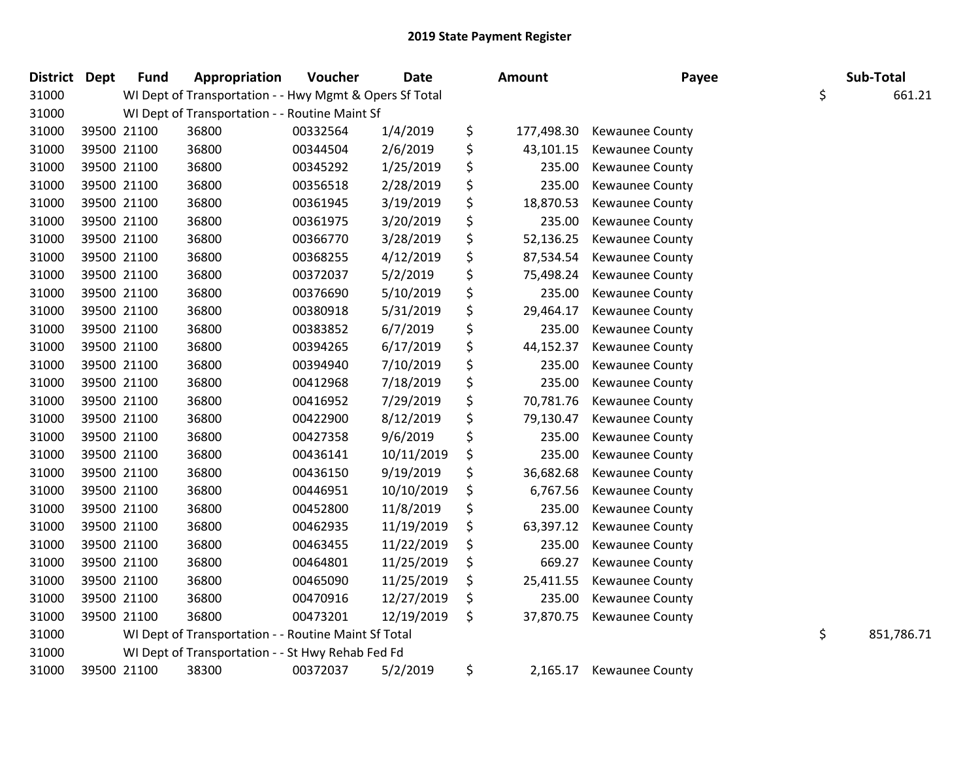| District Dept |             | <b>Fund</b> | Appropriation                                           | Voucher  | <b>Date</b> | Amount           | Payee                  | Sub-Total        |
|---------------|-------------|-------------|---------------------------------------------------------|----------|-------------|------------------|------------------------|------------------|
| 31000         |             |             | WI Dept of Transportation - - Hwy Mgmt & Opers Sf Total |          |             |                  |                        | \$<br>661.21     |
| 31000         |             |             | WI Dept of Transportation - - Routine Maint Sf          |          |             |                  |                        |                  |
| 31000         | 39500 21100 |             | 36800                                                   | 00332564 | 1/4/2019    | \$<br>177,498.30 | <b>Kewaunee County</b> |                  |
| 31000         | 39500 21100 |             | 36800                                                   | 00344504 | 2/6/2019    | \$<br>43,101.15  | <b>Kewaunee County</b> |                  |
| 31000         | 39500 21100 |             | 36800                                                   | 00345292 | 1/25/2019   | \$<br>235.00     | Kewaunee County        |                  |
| 31000         | 39500 21100 |             | 36800                                                   | 00356518 | 2/28/2019   | \$<br>235.00     | <b>Kewaunee County</b> |                  |
| 31000         | 39500 21100 |             | 36800                                                   | 00361945 | 3/19/2019   | \$<br>18,870.53  | Kewaunee County        |                  |
| 31000         | 39500 21100 |             | 36800                                                   | 00361975 | 3/20/2019   | \$<br>235.00     | Kewaunee County        |                  |
| 31000         | 39500 21100 |             | 36800                                                   | 00366770 | 3/28/2019   | \$<br>52,136.25  | Kewaunee County        |                  |
| 31000         | 39500 21100 |             | 36800                                                   | 00368255 | 4/12/2019   | \$<br>87,534.54  | Kewaunee County        |                  |
| 31000         | 39500 21100 |             | 36800                                                   | 00372037 | 5/2/2019    | \$<br>75,498.24  | Kewaunee County        |                  |
| 31000         | 39500 21100 |             | 36800                                                   | 00376690 | 5/10/2019   | \$<br>235.00     | <b>Kewaunee County</b> |                  |
| 31000         | 39500 21100 |             | 36800                                                   | 00380918 | 5/31/2019   | \$<br>29,464.17  | <b>Kewaunee County</b> |                  |
| 31000         | 39500 21100 |             | 36800                                                   | 00383852 | 6/7/2019    | \$<br>235.00     | <b>Kewaunee County</b> |                  |
| 31000         | 39500 21100 |             | 36800                                                   | 00394265 | 6/17/2019   | \$<br>44,152.37  | <b>Kewaunee County</b> |                  |
| 31000         | 39500 21100 |             | 36800                                                   | 00394940 | 7/10/2019   | \$<br>235.00     | <b>Kewaunee County</b> |                  |
| 31000         | 39500 21100 |             | 36800                                                   | 00412968 | 7/18/2019   | \$<br>235.00     | <b>Kewaunee County</b> |                  |
| 31000         | 39500 21100 |             | 36800                                                   | 00416952 | 7/29/2019   | \$<br>70,781.76  | Kewaunee County        |                  |
| 31000         | 39500 21100 |             | 36800                                                   | 00422900 | 8/12/2019   | \$<br>79,130.47  | Kewaunee County        |                  |
| 31000         | 39500 21100 |             | 36800                                                   | 00427358 | 9/6/2019    | \$<br>235.00     | Kewaunee County        |                  |
| 31000         | 39500 21100 |             | 36800                                                   | 00436141 | 10/11/2019  | \$<br>235.00     | <b>Kewaunee County</b> |                  |
| 31000         | 39500 21100 |             | 36800                                                   | 00436150 | 9/19/2019   | \$<br>36,682.68  | <b>Kewaunee County</b> |                  |
| 31000         | 39500 21100 |             | 36800                                                   | 00446951 | 10/10/2019  | \$<br>6,767.56   | <b>Kewaunee County</b> |                  |
| 31000         | 39500 21100 |             | 36800                                                   | 00452800 | 11/8/2019   | \$<br>235.00     | Kewaunee County        |                  |
| 31000         | 39500 21100 |             | 36800                                                   | 00462935 | 11/19/2019  | \$<br>63,397.12  | Kewaunee County        |                  |
| 31000         | 39500 21100 |             | 36800                                                   | 00463455 | 11/22/2019  | \$<br>235.00     | <b>Kewaunee County</b> |                  |
| 31000         | 39500 21100 |             | 36800                                                   | 00464801 | 11/25/2019  | \$<br>669.27     | <b>Kewaunee County</b> |                  |
| 31000         | 39500 21100 |             | 36800                                                   | 00465090 | 11/25/2019  | \$<br>25,411.55  | <b>Kewaunee County</b> |                  |
| 31000         | 39500 21100 |             | 36800                                                   | 00470916 | 12/27/2019  | \$<br>235.00     | <b>Kewaunee County</b> |                  |
| 31000         | 39500 21100 |             | 36800                                                   | 00473201 | 12/19/2019  | \$<br>37,870.75  | <b>Kewaunee County</b> |                  |
| 31000         |             |             | WI Dept of Transportation - - Routine Maint Sf Total    |          |             |                  |                        | \$<br>851,786.71 |
| 31000         |             |             | WI Dept of Transportation - - St Hwy Rehab Fed Fd       |          |             |                  |                        |                  |
| 31000         | 39500 21100 |             | 38300                                                   | 00372037 | 5/2/2019    | \$<br>2,165.17   | <b>Kewaunee County</b> |                  |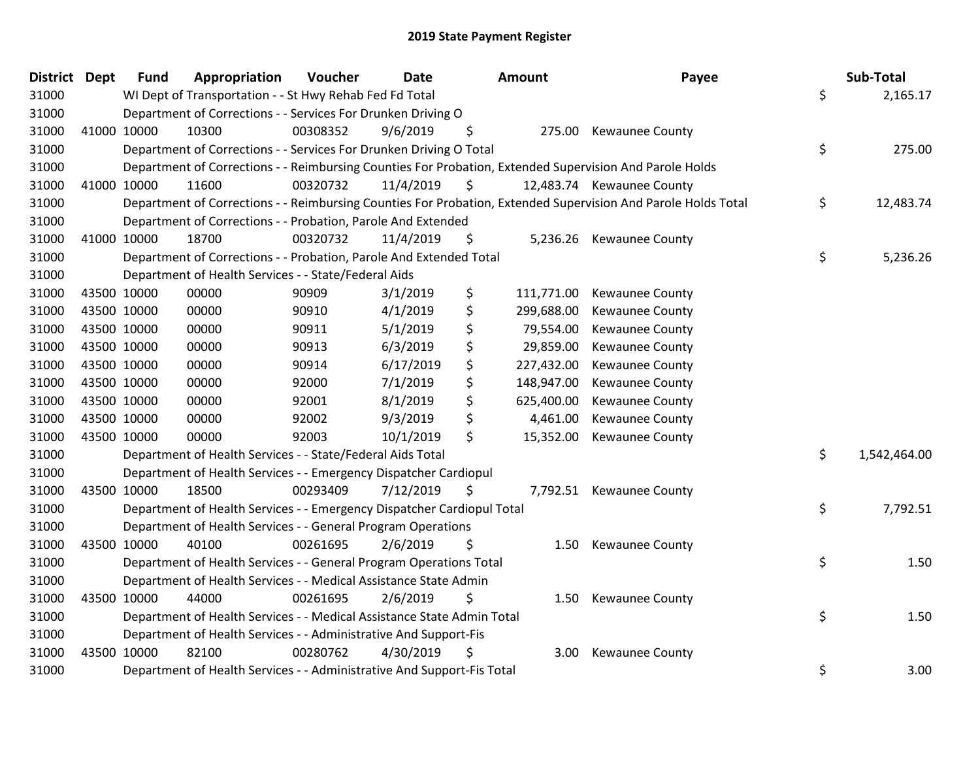| District Dept |             | <b>Fund</b> | Appropriation                                                          | Voucher  | <b>Date</b> | Amount           | Payee                                                                                                         | Sub-Total          |
|---------------|-------------|-------------|------------------------------------------------------------------------|----------|-------------|------------------|---------------------------------------------------------------------------------------------------------------|--------------------|
| 31000         |             |             | WI Dept of Transportation - - St Hwy Rehab Fed Fd Total                |          |             |                  |                                                                                                               | \$<br>2,165.17     |
| 31000         |             |             | Department of Corrections - - Services For Drunken Driving O           |          |             |                  |                                                                                                               |                    |
| 31000         |             | 41000 10000 | 10300                                                                  | 00308352 | 9/6/2019    | \$               | 275.00 Kewaunee County                                                                                        |                    |
| 31000         |             |             | Department of Corrections - - Services For Drunken Driving O Total     |          |             |                  |                                                                                                               | \$<br>275.00       |
| 31000         |             |             |                                                                        |          |             |                  | Department of Corrections - - Reimbursing Counties For Probation, Extended Supervision And Parole Holds       |                    |
| 31000         | 41000 10000 |             | 11600                                                                  | 00320732 | 11/4/2019   | \$               | 12,483.74 Kewaunee County                                                                                     |                    |
| 31000         |             |             |                                                                        |          |             |                  | Department of Corrections - - Reimbursing Counties For Probation, Extended Supervision And Parole Holds Total | \$<br>12,483.74    |
| 31000         |             |             | Department of Corrections - - Probation, Parole And Extended           |          |             |                  |                                                                                                               |                    |
| 31000         | 41000 10000 |             | 18700                                                                  | 00320732 | 11/4/2019   | \$<br>5,236.26   | <b>Kewaunee County</b>                                                                                        |                    |
| 31000         |             |             | Department of Corrections - - Probation, Parole And Extended Total     |          |             |                  |                                                                                                               | \$<br>5,236.26     |
| 31000         |             |             | Department of Health Services - - State/Federal Aids                   |          |             |                  |                                                                                                               |                    |
| 31000         | 43500 10000 |             | 00000                                                                  | 90909    | 3/1/2019    | \$<br>111,771.00 | <b>Kewaunee County</b>                                                                                        |                    |
| 31000         | 43500 10000 |             | 00000                                                                  | 90910    | 4/1/2019    | \$<br>299,688.00 | Kewaunee County                                                                                               |                    |
| 31000         | 43500 10000 |             | 00000                                                                  | 90911    | 5/1/2019    | \$<br>79,554.00  | <b>Kewaunee County</b>                                                                                        |                    |
| 31000         | 43500 10000 |             | 00000                                                                  | 90913    | 6/3/2019    | \$<br>29,859.00  | <b>Kewaunee County</b>                                                                                        |                    |
| 31000         | 43500 10000 |             | 00000                                                                  | 90914    | 6/17/2019   | \$<br>227,432.00 | Kewaunee County                                                                                               |                    |
| 31000         | 43500 10000 |             | 00000                                                                  | 92000    | 7/1/2019    | \$<br>148,947.00 | Kewaunee County                                                                                               |                    |
| 31000         | 43500 10000 |             | 00000                                                                  | 92001    | 8/1/2019    | \$<br>625,400.00 | Kewaunee County                                                                                               |                    |
| 31000         | 43500 10000 |             | 00000                                                                  | 92002    | 9/3/2019    | \$<br>4,461.00   | <b>Kewaunee County</b>                                                                                        |                    |
| 31000         | 43500 10000 |             | 00000                                                                  | 92003    | 10/1/2019   | \$<br>15,352.00  | <b>Kewaunee County</b>                                                                                        |                    |
| 31000         |             |             | Department of Health Services - - State/Federal Aids Total             |          |             |                  |                                                                                                               | \$<br>1,542,464.00 |
| 31000         |             |             | Department of Health Services - - Emergency Dispatcher Cardiopul       |          |             |                  |                                                                                                               |                    |
| 31000         |             | 43500 10000 | 18500                                                                  | 00293409 | 7/12/2019   | \$<br>7,792.51   | <b>Kewaunee County</b>                                                                                        |                    |
| 31000         |             |             | Department of Health Services - - Emergency Dispatcher Cardiopul Total |          |             |                  |                                                                                                               | \$<br>7,792.51     |
| 31000         |             |             | Department of Health Services - - General Program Operations           |          |             |                  |                                                                                                               |                    |
| 31000         | 43500 10000 |             | 40100                                                                  | 00261695 | 2/6/2019    | \$<br>1.50       | <b>Kewaunee County</b>                                                                                        |                    |
| 31000         |             |             | Department of Health Services - - General Program Operations Total     |          |             |                  |                                                                                                               | \$<br>1.50         |
| 31000         |             |             | Department of Health Services - - Medical Assistance State Admin       |          |             |                  |                                                                                                               |                    |
| 31000         | 43500 10000 |             | 44000                                                                  | 00261695 | 2/6/2019    | \$<br>1.50       | Kewaunee County                                                                                               |                    |
| 31000         |             |             | Department of Health Services - - Medical Assistance State Admin Total |          |             |                  |                                                                                                               | \$<br>1.50         |
| 31000         |             |             | Department of Health Services - - Administrative And Support-Fis       |          |             |                  |                                                                                                               |                    |
| 31000         | 43500 10000 |             | 82100                                                                  | 00280762 | 4/30/2019   | \$<br>3.00       | Kewaunee County                                                                                               |                    |
| 31000         |             |             | Department of Health Services - - Administrative And Support-Fis Total |          |             |                  |                                                                                                               | \$<br>3.00         |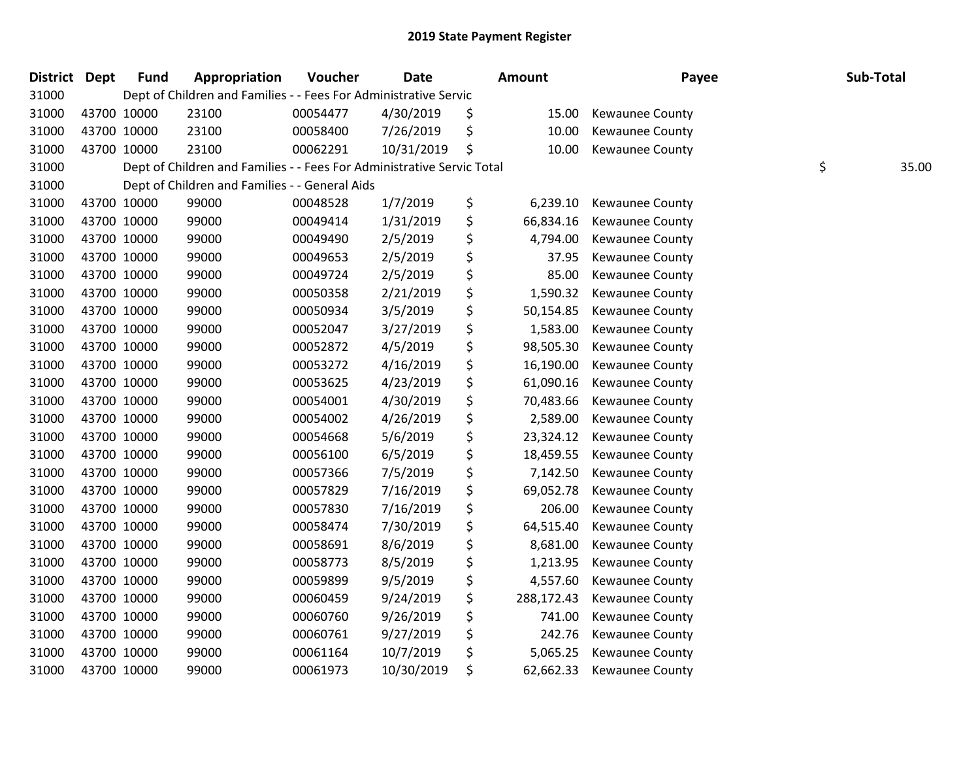| District Dept |             | <b>Fund</b> | Appropriation                                                          | Voucher  | <b>Date</b> | <b>Amount</b>    | Payee                  | Sub-Total   |
|---------------|-------------|-------------|------------------------------------------------------------------------|----------|-------------|------------------|------------------------|-------------|
| 31000         |             |             | Dept of Children and Families - - Fees For Administrative Servic       |          |             |                  |                        |             |
| 31000         |             | 43700 10000 | 23100                                                                  | 00054477 | 4/30/2019   | \$<br>15.00      | <b>Kewaunee County</b> |             |
| 31000         | 43700 10000 |             | 23100                                                                  | 00058400 | 7/26/2019   | \$<br>10.00      | <b>Kewaunee County</b> |             |
| 31000         | 43700 10000 |             | 23100                                                                  | 00062291 | 10/31/2019  | \$<br>10.00      | Kewaunee County        |             |
| 31000         |             |             | Dept of Children and Families - - Fees For Administrative Servic Total |          |             |                  |                        | \$<br>35.00 |
| 31000         |             |             | Dept of Children and Families - - General Aids                         |          |             |                  |                        |             |
| 31000         |             | 43700 10000 | 99000                                                                  | 00048528 | 1/7/2019    | \$<br>6,239.10   | Kewaunee County        |             |
| 31000         | 43700 10000 |             | 99000                                                                  | 00049414 | 1/31/2019   | \$<br>66,834.16  | Kewaunee County        |             |
| 31000         | 43700 10000 |             | 99000                                                                  | 00049490 | 2/5/2019    | \$<br>4,794.00   | Kewaunee County        |             |
| 31000         | 43700 10000 |             | 99000                                                                  | 00049653 | 2/5/2019    | \$<br>37.95      | Kewaunee County        |             |
| 31000         |             | 43700 10000 | 99000                                                                  | 00049724 | 2/5/2019    | \$<br>85.00      | Kewaunee County        |             |
| 31000         |             | 43700 10000 | 99000                                                                  | 00050358 | 2/21/2019   | \$<br>1,590.32   | Kewaunee County        |             |
| 31000         | 43700 10000 |             | 99000                                                                  | 00050934 | 3/5/2019    | \$<br>50,154.85  | Kewaunee County        |             |
| 31000         | 43700 10000 |             | 99000                                                                  | 00052047 | 3/27/2019   | \$<br>1,583.00   | Kewaunee County        |             |
| 31000         | 43700 10000 |             | 99000                                                                  | 00052872 | 4/5/2019    | \$<br>98,505.30  | Kewaunee County        |             |
| 31000         |             | 43700 10000 | 99000                                                                  | 00053272 | 4/16/2019   | \$<br>16,190.00  | Kewaunee County        |             |
| 31000         |             | 43700 10000 | 99000                                                                  | 00053625 | 4/23/2019   | \$<br>61,090.16  | Kewaunee County        |             |
| 31000         | 43700 10000 |             | 99000                                                                  | 00054001 | 4/30/2019   | \$<br>70,483.66  | Kewaunee County        |             |
| 31000         | 43700 10000 |             | 99000                                                                  | 00054002 | 4/26/2019   | \$<br>2,589.00   | Kewaunee County        |             |
| 31000         | 43700 10000 |             | 99000                                                                  | 00054668 | 5/6/2019    | \$<br>23,324.12  | Kewaunee County        |             |
| 31000         |             | 43700 10000 | 99000                                                                  | 00056100 | 6/5/2019    | \$<br>18,459.55  | Kewaunee County        |             |
| 31000         |             | 43700 10000 | 99000                                                                  | 00057366 | 7/5/2019    | \$<br>7,142.50   | Kewaunee County        |             |
| 31000         | 43700 10000 |             | 99000                                                                  | 00057829 | 7/16/2019   | \$<br>69,052.78  | Kewaunee County        |             |
| 31000         | 43700 10000 |             | 99000                                                                  | 00057830 | 7/16/2019   | \$<br>206.00     | Kewaunee County        |             |
| 31000         |             | 43700 10000 | 99000                                                                  | 00058474 | 7/30/2019   | \$<br>64,515.40  | Kewaunee County        |             |
| 31000         |             | 43700 10000 | 99000                                                                  | 00058691 | 8/6/2019    | \$<br>8,681.00   | <b>Kewaunee County</b> |             |
| 31000         |             | 43700 10000 | 99000                                                                  | 00058773 | 8/5/2019    | \$<br>1,213.95   | <b>Kewaunee County</b> |             |
| 31000         | 43700 10000 |             | 99000                                                                  | 00059899 | 9/5/2019    | \$<br>4,557.60   | Kewaunee County        |             |
| 31000         | 43700 10000 |             | 99000                                                                  | 00060459 | 9/24/2019   | \$<br>288,172.43 | Kewaunee County        |             |
| 31000         |             | 43700 10000 | 99000                                                                  | 00060760 | 9/26/2019   | \$<br>741.00     | Kewaunee County        |             |
| 31000         |             | 43700 10000 | 99000                                                                  | 00060761 | 9/27/2019   | \$<br>242.76     | Kewaunee County        |             |
| 31000         |             | 43700 10000 | 99000                                                                  | 00061164 | 10/7/2019   | \$<br>5,065.25   | Kewaunee County        |             |
| 31000         |             | 43700 10000 | 99000                                                                  | 00061973 | 10/30/2019  | \$<br>62,662.33  | <b>Kewaunee County</b> |             |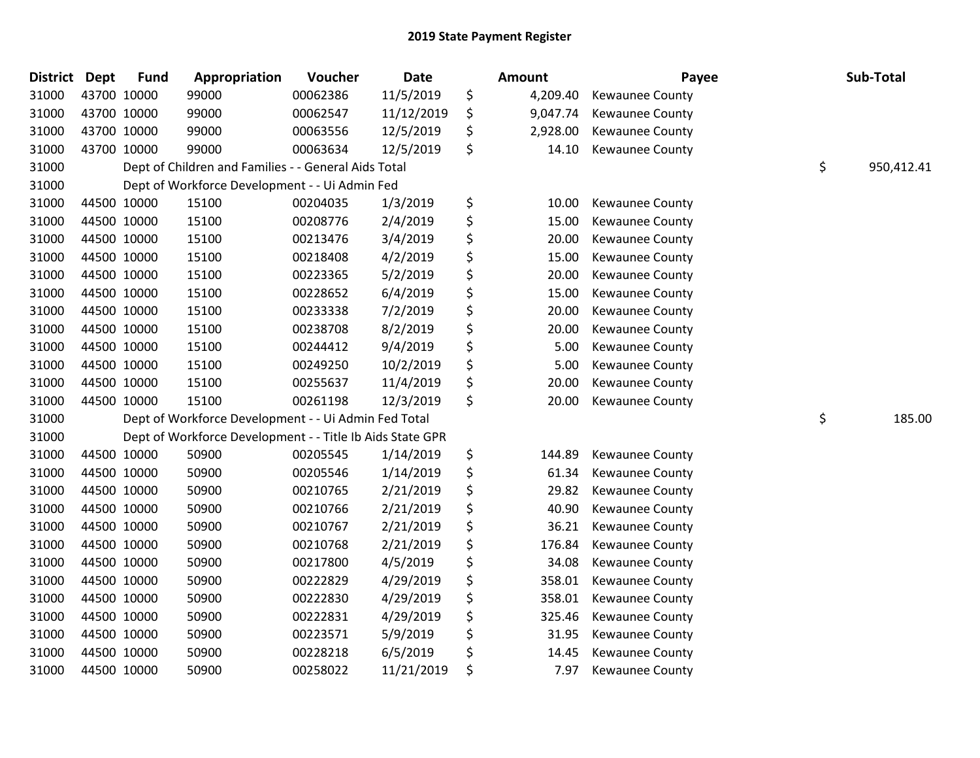| District Dept |             | <b>Fund</b> | Appropriation                                             | Voucher  | <b>Date</b> | Amount         | Payee                  | Sub-Total        |
|---------------|-------------|-------------|-----------------------------------------------------------|----------|-------------|----------------|------------------------|------------------|
| 31000         | 43700 10000 |             | 99000                                                     | 00062386 | 11/5/2019   | \$<br>4,209.40 | <b>Kewaunee County</b> |                  |
| 31000         | 43700 10000 |             | 99000                                                     | 00062547 | 11/12/2019  | \$<br>9,047.74 | Kewaunee County        |                  |
| 31000         | 43700 10000 |             | 99000                                                     | 00063556 | 12/5/2019   | \$<br>2,928.00 | Kewaunee County        |                  |
| 31000         | 43700 10000 |             | 99000                                                     | 00063634 | 12/5/2019   | \$<br>14.10    | Kewaunee County        |                  |
| 31000         |             |             | Dept of Children and Families - - General Aids Total      |          |             |                |                        | \$<br>950,412.41 |
| 31000         |             |             | Dept of Workforce Development - - Ui Admin Fed            |          |             |                |                        |                  |
| 31000         | 44500 10000 |             | 15100                                                     | 00204035 | 1/3/2019    | \$<br>10.00    | Kewaunee County        |                  |
| 31000         | 44500 10000 |             | 15100                                                     | 00208776 | 2/4/2019    | \$<br>15.00    | Kewaunee County        |                  |
| 31000         | 44500 10000 |             | 15100                                                     | 00213476 | 3/4/2019    | \$<br>20.00    | Kewaunee County        |                  |
| 31000         | 44500 10000 |             | 15100                                                     | 00218408 | 4/2/2019    | \$<br>15.00    | Kewaunee County        |                  |
| 31000         | 44500 10000 |             | 15100                                                     | 00223365 | 5/2/2019    | \$<br>20.00    | Kewaunee County        |                  |
| 31000         | 44500 10000 |             | 15100                                                     | 00228652 | 6/4/2019    | \$<br>15.00    | Kewaunee County        |                  |
| 31000         | 44500 10000 |             | 15100                                                     | 00233338 | 7/2/2019    | \$<br>20.00    | Kewaunee County        |                  |
| 31000         | 44500 10000 |             | 15100                                                     | 00238708 | 8/2/2019    | \$<br>20.00    | <b>Kewaunee County</b> |                  |
| 31000         | 44500 10000 |             | 15100                                                     | 00244412 | 9/4/2019    | \$<br>5.00     | Kewaunee County        |                  |
| 31000         | 44500 10000 |             | 15100                                                     | 00249250 | 10/2/2019   | \$<br>5.00     | Kewaunee County        |                  |
| 31000         | 44500 10000 |             | 15100                                                     | 00255637 | 11/4/2019   | \$<br>20.00    | <b>Kewaunee County</b> |                  |
| 31000         | 44500 10000 |             | 15100                                                     | 00261198 | 12/3/2019   | \$<br>20.00    | Kewaunee County        |                  |
| 31000         |             |             | Dept of Workforce Development - - Ui Admin Fed Total      |          |             |                |                        | \$<br>185.00     |
| 31000         |             |             | Dept of Workforce Development - - Title Ib Aids State GPR |          |             |                |                        |                  |
| 31000         | 44500 10000 |             | 50900                                                     | 00205545 | 1/14/2019   | \$<br>144.89   | Kewaunee County        |                  |
| 31000         | 44500 10000 |             | 50900                                                     | 00205546 | 1/14/2019   | \$<br>61.34    | Kewaunee County        |                  |
| 31000         | 44500 10000 |             | 50900                                                     | 00210765 | 2/21/2019   | \$<br>29.82    | <b>Kewaunee County</b> |                  |
| 31000         | 44500 10000 |             | 50900                                                     | 00210766 | 2/21/2019   | \$<br>40.90    | <b>Kewaunee County</b> |                  |
| 31000         | 44500 10000 |             | 50900                                                     | 00210767 | 2/21/2019   | \$<br>36.21    | Kewaunee County        |                  |
| 31000         | 44500 10000 |             | 50900                                                     | 00210768 | 2/21/2019   | \$<br>176.84   | Kewaunee County        |                  |
| 31000         | 44500 10000 |             | 50900                                                     | 00217800 | 4/5/2019    | \$<br>34.08    | Kewaunee County        |                  |
| 31000         | 44500 10000 |             | 50900                                                     | 00222829 | 4/29/2019   | \$<br>358.01   | Kewaunee County        |                  |
| 31000         | 44500 10000 |             | 50900                                                     | 00222830 | 4/29/2019   | \$<br>358.01   | Kewaunee County        |                  |
| 31000         | 44500 10000 |             | 50900                                                     | 00222831 | 4/29/2019   | \$<br>325.46   | Kewaunee County        |                  |
| 31000         | 44500 10000 |             | 50900                                                     | 00223571 | 5/9/2019    | \$<br>31.95    | Kewaunee County        |                  |
| 31000         | 44500 10000 |             | 50900                                                     | 00228218 | 6/5/2019    | \$<br>14.45    | Kewaunee County        |                  |
| 31000         | 44500 10000 |             | 50900                                                     | 00258022 | 11/21/2019  | \$<br>7.97     | <b>Kewaunee County</b> |                  |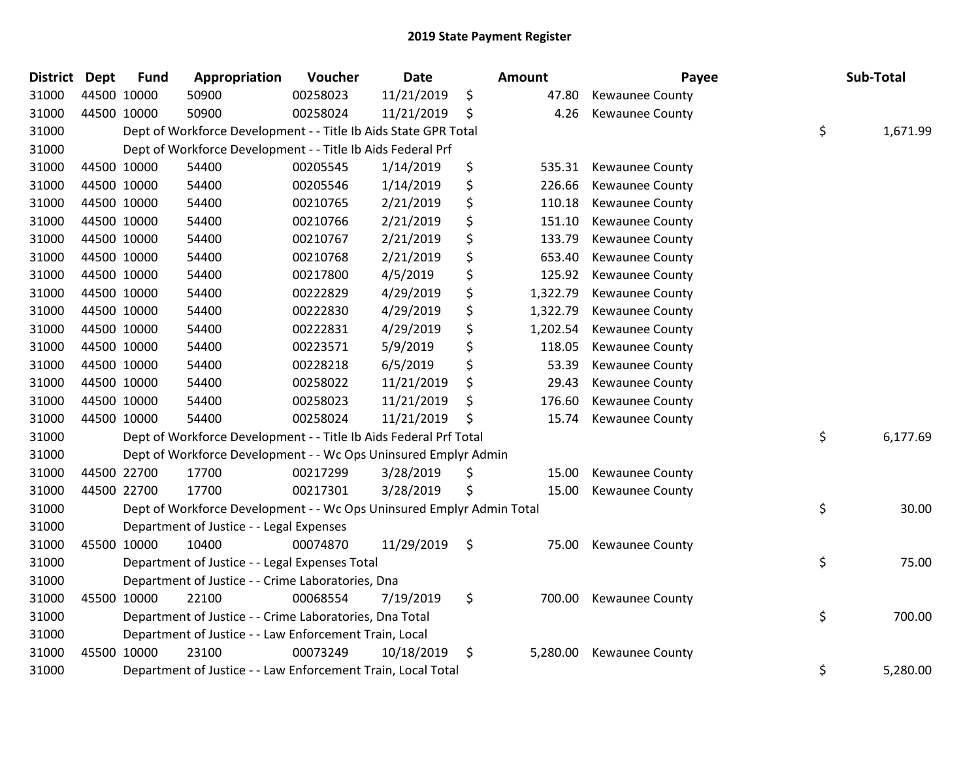| District Dept |             | <b>Fund</b> | Appropriation                                                         | Voucher  | Date       | <b>Amount</b>  | Payee                  | Sub-Total      |
|---------------|-------------|-------------|-----------------------------------------------------------------------|----------|------------|----------------|------------------------|----------------|
| 31000         |             | 44500 10000 | 50900                                                                 | 00258023 | 11/21/2019 | \$<br>47.80    | <b>Kewaunee County</b> |                |
| 31000         |             | 44500 10000 | 50900                                                                 | 00258024 | 11/21/2019 | \$<br>4.26     | <b>Kewaunee County</b> |                |
| 31000         |             |             | Dept of Workforce Development - - Title Ib Aids State GPR Total       |          |            |                |                        | \$<br>1,671.99 |
| 31000         |             |             | Dept of Workforce Development - - Title Ib Aids Federal Prf           |          |            |                |                        |                |
| 31000         |             | 44500 10000 | 54400                                                                 | 00205545 | 1/14/2019  | \$<br>535.31   | <b>Kewaunee County</b> |                |
| 31000         |             | 44500 10000 | 54400                                                                 | 00205546 | 1/14/2019  | \$<br>226.66   | Kewaunee County        |                |
| 31000         |             | 44500 10000 | 54400                                                                 | 00210765 | 2/21/2019  | \$<br>110.18   | Kewaunee County        |                |
| 31000         | 44500 10000 |             | 54400                                                                 | 00210766 | 2/21/2019  | \$<br>151.10   | <b>Kewaunee County</b> |                |
| 31000         |             | 44500 10000 | 54400                                                                 | 00210767 | 2/21/2019  | \$<br>133.79   | Kewaunee County        |                |
| 31000         |             | 44500 10000 | 54400                                                                 | 00210768 | 2/21/2019  | \$<br>653.40   | Kewaunee County        |                |
| 31000         |             | 44500 10000 | 54400                                                                 | 00217800 | 4/5/2019   | \$<br>125.92   | Kewaunee County        |                |
| 31000         |             | 44500 10000 | 54400                                                                 | 00222829 | 4/29/2019  | \$<br>1,322.79 | Kewaunee County        |                |
| 31000         |             | 44500 10000 | 54400                                                                 | 00222830 | 4/29/2019  | \$<br>1,322.79 | <b>Kewaunee County</b> |                |
| 31000         |             | 44500 10000 | 54400                                                                 | 00222831 | 4/29/2019  | \$<br>1,202.54 | Kewaunee County        |                |
| 31000         |             | 44500 10000 | 54400                                                                 | 00223571 | 5/9/2019   | \$<br>118.05   | Kewaunee County        |                |
| 31000         |             | 44500 10000 | 54400                                                                 | 00228218 | 6/5/2019   | \$<br>53.39    | Kewaunee County        |                |
| 31000         |             | 44500 10000 | 54400                                                                 | 00258022 | 11/21/2019 | \$<br>29.43    | Kewaunee County        |                |
| 31000         | 44500 10000 |             | 54400                                                                 | 00258023 | 11/21/2019 | \$<br>176.60   | <b>Kewaunee County</b> |                |
| 31000         |             | 44500 10000 | 54400                                                                 | 00258024 | 11/21/2019 | \$<br>15.74    | Kewaunee County        |                |
| 31000         |             |             | Dept of Workforce Development - - Title Ib Aids Federal Prf Total     |          |            |                |                        | \$<br>6,177.69 |
| 31000         |             |             | Dept of Workforce Development - - Wc Ops Uninsured Emplyr Admin       |          |            |                |                        |                |
| 31000         |             | 44500 22700 | 17700                                                                 | 00217299 | 3/28/2019  | \$<br>15.00    | Kewaunee County        |                |
| 31000         |             | 44500 22700 | 17700                                                                 | 00217301 | 3/28/2019  | \$<br>15.00    | <b>Kewaunee County</b> |                |
| 31000         |             |             | Dept of Workforce Development - - Wc Ops Uninsured Emplyr Admin Total |          |            |                |                        | \$<br>30.00    |
| 31000         |             |             | Department of Justice - - Legal Expenses                              |          |            |                |                        |                |
| 31000         |             | 45500 10000 | 10400                                                                 | 00074870 | 11/29/2019 | \$<br>75.00    | Kewaunee County        |                |
| 31000         |             |             | Department of Justice - - Legal Expenses Total                        |          |            |                |                        | \$<br>75.00    |
| 31000         |             |             | Department of Justice - - Crime Laboratories, Dna                     |          |            |                |                        |                |
| 31000         |             | 45500 10000 | 22100                                                                 | 00068554 | 7/19/2019  | \$<br>700.00   | Kewaunee County        |                |
| 31000         |             |             | Department of Justice - - Crime Laboratories, Dna Total               |          |            |                |                        | \$<br>700.00   |
| 31000         |             |             | Department of Justice - - Law Enforcement Train, Local                |          |            |                |                        |                |
| 31000         |             | 45500 10000 | 23100                                                                 | 00073249 | 10/18/2019 | \$<br>5,280.00 | <b>Kewaunee County</b> |                |
| 31000         |             |             | Department of Justice - - Law Enforcement Train, Local Total          |          |            |                |                        | \$<br>5,280.00 |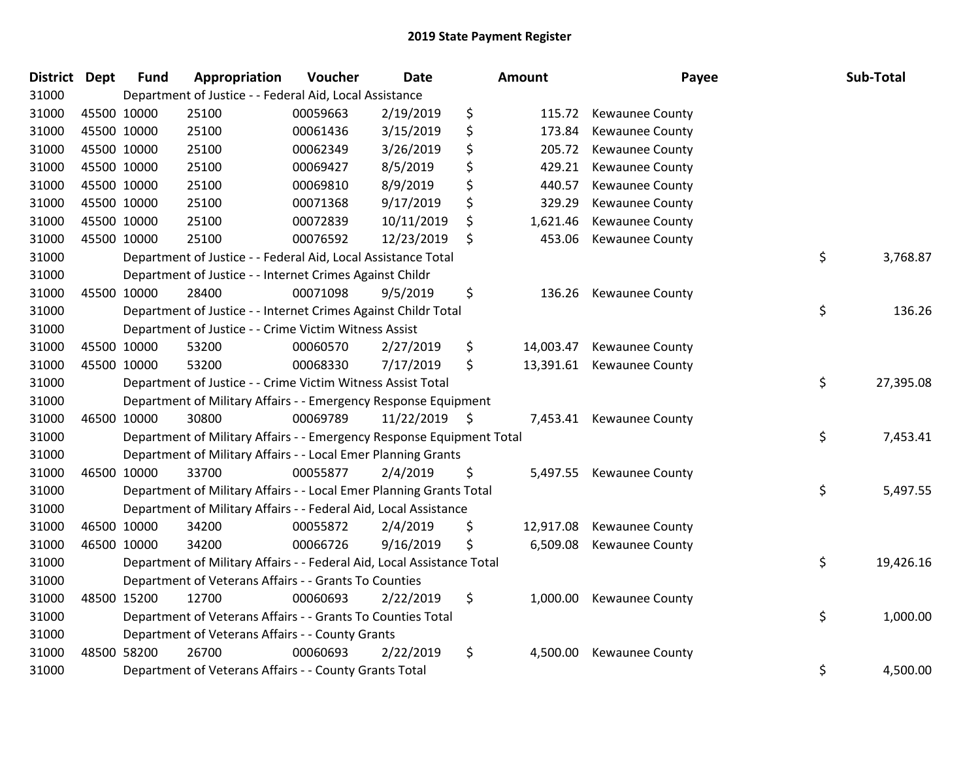| District Dept |             | <b>Fund</b> | Appropriation                                                          | Voucher  | <b>Date</b>   | Amount          | Payee                  | Sub-Total       |
|---------------|-------------|-------------|------------------------------------------------------------------------|----------|---------------|-----------------|------------------------|-----------------|
| 31000         |             |             | Department of Justice - - Federal Aid, Local Assistance                |          |               |                 |                        |                 |
| 31000         | 45500 10000 |             | 25100                                                                  | 00059663 | 2/19/2019     | \$<br>115.72    | <b>Kewaunee County</b> |                 |
| 31000         | 45500 10000 |             | 25100                                                                  | 00061436 | 3/15/2019     | \$<br>173.84    | <b>Kewaunee County</b> |                 |
| 31000         | 45500 10000 |             | 25100                                                                  | 00062349 | 3/26/2019     | \$<br>205.72    | <b>Kewaunee County</b> |                 |
| 31000         | 45500 10000 |             | 25100                                                                  | 00069427 | 8/5/2019      | \$<br>429.21    | Kewaunee County        |                 |
| 31000         | 45500 10000 |             | 25100                                                                  | 00069810 | 8/9/2019      | \$<br>440.57    | Kewaunee County        |                 |
| 31000         | 45500 10000 |             | 25100                                                                  | 00071368 | 9/17/2019     | \$<br>329.29    | <b>Kewaunee County</b> |                 |
| 31000         | 45500 10000 |             | 25100                                                                  | 00072839 | 10/11/2019    | \$<br>1,621.46  | Kewaunee County        |                 |
| 31000         | 45500 10000 |             | 25100                                                                  | 00076592 | 12/23/2019    | \$<br>453.06    | <b>Kewaunee County</b> |                 |
| 31000         |             |             | Department of Justice - - Federal Aid, Local Assistance Total          |          |               |                 |                        | \$<br>3,768.87  |
| 31000         |             |             | Department of Justice - - Internet Crimes Against Childr               |          |               |                 |                        |                 |
| 31000         | 45500 10000 |             | 28400                                                                  | 00071098 | 9/5/2019      | \$<br>136.26    | <b>Kewaunee County</b> |                 |
| 31000         |             |             | Department of Justice - - Internet Crimes Against Childr Total         |          |               |                 |                        | \$<br>136.26    |
| 31000         |             |             | Department of Justice - - Crime Victim Witness Assist                  |          |               |                 |                        |                 |
| 31000         | 45500 10000 |             | 53200                                                                  | 00060570 | 2/27/2019     | \$<br>14,003.47 | Kewaunee County        |                 |
| 31000         |             | 45500 10000 | 53200                                                                  | 00068330 | 7/17/2019     | \$<br>13,391.61 | Kewaunee County        |                 |
| 31000         |             |             | Department of Justice - - Crime Victim Witness Assist Total            |          |               |                 |                        | \$<br>27,395.08 |
| 31000         |             |             | Department of Military Affairs - - Emergency Response Equipment        |          |               |                 |                        |                 |
| 31000         |             | 46500 10000 | 30800                                                                  | 00069789 | 11/22/2019 \$ | 7,453.41        | <b>Kewaunee County</b> |                 |
| 31000         |             |             | Department of Military Affairs - - Emergency Response Equipment Total  |          |               |                 |                        | \$<br>7,453.41  |
| 31000         |             |             | Department of Military Affairs - - Local Emer Planning Grants          |          |               |                 |                        |                 |
| 31000         | 46500 10000 |             | 33700                                                                  | 00055877 | 2/4/2019      | \$<br>5,497.55  | <b>Kewaunee County</b> |                 |
| 31000         |             |             | Department of Military Affairs - - Local Emer Planning Grants Total    |          |               |                 |                        | \$<br>5,497.55  |
| 31000         |             |             | Department of Military Affairs - - Federal Aid, Local Assistance       |          |               |                 |                        |                 |
| 31000         | 46500 10000 |             | 34200                                                                  | 00055872 | 2/4/2019      | \$<br>12,917.08 | <b>Kewaunee County</b> |                 |
| 31000         |             | 46500 10000 | 34200                                                                  | 00066726 | 9/16/2019     | \$<br>6,509.08  | Kewaunee County        |                 |
| 31000         |             |             | Department of Military Affairs - - Federal Aid, Local Assistance Total |          |               |                 |                        | \$<br>19,426.16 |
| 31000         |             |             | Department of Veterans Affairs - - Grants To Counties                  |          |               |                 |                        |                 |
| 31000         | 48500 15200 |             | 12700                                                                  | 00060693 | 2/22/2019     | \$<br>1,000.00  | Kewaunee County        |                 |
| 31000         |             |             | Department of Veterans Affairs - - Grants To Counties Total            |          |               |                 |                        | \$<br>1,000.00  |
| 31000         |             |             | Department of Veterans Affairs - - County Grants                       |          |               |                 |                        |                 |
| 31000         |             | 48500 58200 | 26700                                                                  | 00060693 | 2/22/2019     | \$<br>4,500.00  | <b>Kewaunee County</b> |                 |
| 31000         |             |             | Department of Veterans Affairs - - County Grants Total                 |          |               |                 |                        | \$<br>4,500.00  |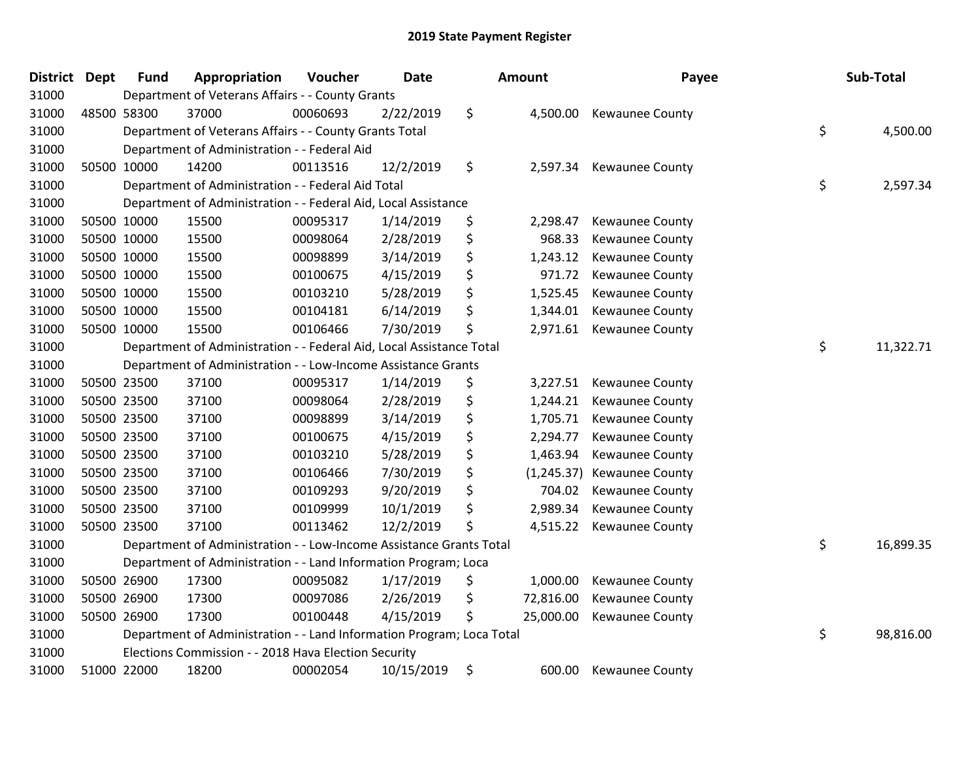| <b>District Dept</b> | <b>Fund</b> | Appropriation                                                         | Voucher  | <b>Date</b> | <b>Amount</b>     | Payee                  | Sub-Total       |
|----------------------|-------------|-----------------------------------------------------------------------|----------|-------------|-------------------|------------------------|-----------------|
| 31000                |             | Department of Veterans Affairs - - County Grants                      |          |             |                   |                        |                 |
| 31000                | 48500 58300 | 37000                                                                 | 00060693 | 2/22/2019   | \$<br>4,500.00    | Kewaunee County        |                 |
| 31000                |             | Department of Veterans Affairs - - County Grants Total                |          |             |                   |                        | \$<br>4,500.00  |
| 31000                |             | Department of Administration - - Federal Aid                          |          |             |                   |                        |                 |
| 31000                | 50500 10000 | 14200                                                                 | 00113516 | 12/2/2019   | \$<br>2,597.34    | <b>Kewaunee County</b> |                 |
| 31000                |             | Department of Administration - - Federal Aid Total                    |          |             |                   |                        | \$<br>2,597.34  |
| 31000                |             | Department of Administration - - Federal Aid, Local Assistance        |          |             |                   |                        |                 |
| 31000                | 50500 10000 | 15500                                                                 | 00095317 | 1/14/2019   | \$<br>2,298.47    | Kewaunee County        |                 |
| 31000                | 50500 10000 | 15500                                                                 | 00098064 | 2/28/2019   | \$<br>968.33      | Kewaunee County        |                 |
| 31000                | 50500 10000 | 15500                                                                 | 00098899 | 3/14/2019   | \$<br>1,243.12    | <b>Kewaunee County</b> |                 |
| 31000                | 50500 10000 | 15500                                                                 | 00100675 | 4/15/2019   | \$<br>971.72      | Kewaunee County        |                 |
| 31000                | 50500 10000 | 15500                                                                 | 00103210 | 5/28/2019   | \$<br>1,525.45    | Kewaunee County        |                 |
| 31000                | 50500 10000 | 15500                                                                 | 00104181 | 6/14/2019   | \$<br>1,344.01    | Kewaunee County        |                 |
| 31000                | 50500 10000 | 15500                                                                 | 00106466 | 7/30/2019   | \$<br>2,971.61    | Kewaunee County        |                 |
| 31000                |             | Department of Administration - - Federal Aid, Local Assistance Total  |          |             |                   |                        | \$<br>11,322.71 |
| 31000                |             | Department of Administration - - Low-Income Assistance Grants         |          |             |                   |                        |                 |
| 31000                | 50500 23500 | 37100                                                                 | 00095317 | 1/14/2019   | \$<br>3,227.51    | Kewaunee County        |                 |
| 31000                | 50500 23500 | 37100                                                                 | 00098064 | 2/28/2019   | \$<br>1,244.21    | Kewaunee County        |                 |
| 31000                | 50500 23500 | 37100                                                                 | 00098899 | 3/14/2019   | \$<br>1,705.71    | Kewaunee County        |                 |
| 31000                | 50500 23500 | 37100                                                                 | 00100675 | 4/15/2019   | \$<br>2,294.77    | Kewaunee County        |                 |
| 31000                | 50500 23500 | 37100                                                                 | 00103210 | 5/28/2019   | \$<br>1,463.94    | <b>Kewaunee County</b> |                 |
| 31000                | 50500 23500 | 37100                                                                 | 00106466 | 7/30/2019   | \$<br>(1, 245.37) | <b>Kewaunee County</b> |                 |
| 31000                | 50500 23500 | 37100                                                                 | 00109293 | 9/20/2019   | \$<br>704.02      | <b>Kewaunee County</b> |                 |
| 31000                | 50500 23500 | 37100                                                                 | 00109999 | 10/1/2019   | \$<br>2,989.34    | Kewaunee County        |                 |
| 31000                | 50500 23500 | 37100                                                                 | 00113462 | 12/2/2019   | \$<br>4,515.22    | <b>Kewaunee County</b> |                 |
| 31000                |             | Department of Administration - - Low-Income Assistance Grants Total   |          |             |                   |                        | \$<br>16,899.35 |
| 31000                |             | Department of Administration - - Land Information Program; Loca       |          |             |                   |                        |                 |
| 31000                | 50500 26900 | 17300                                                                 | 00095082 | 1/17/2019   | \$<br>1,000.00    | Kewaunee County        |                 |
| 31000                | 50500 26900 | 17300                                                                 | 00097086 | 2/26/2019   | \$<br>72,816.00   | <b>Kewaunee County</b> |                 |
| 31000                | 50500 26900 | 17300                                                                 | 00100448 | 4/15/2019   | \$<br>25,000.00   | Kewaunee County        |                 |
| 31000                |             | Department of Administration - - Land Information Program; Loca Total |          |             |                   |                        | \$<br>98,816.00 |
| 31000                |             | Elections Commission - - 2018 Hava Election Security                  |          |             |                   |                        |                 |
| 31000                | 51000 22000 | 18200                                                                 | 00002054 | 10/15/2019  | \$<br>600.00      | <b>Kewaunee County</b> |                 |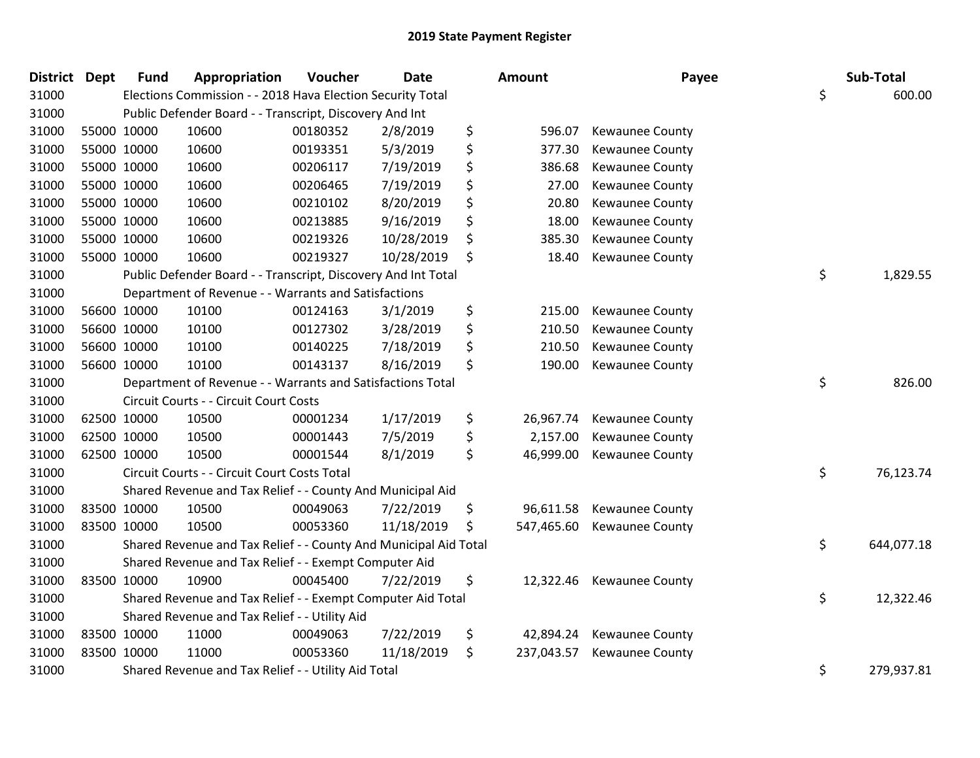| <b>District Dept</b> |             | <b>Fund</b> | Appropriation                                                    | Voucher  | <b>Date</b> | Amount           | Payee                  | Sub-Total        |
|----------------------|-------------|-------------|------------------------------------------------------------------|----------|-------------|------------------|------------------------|------------------|
| 31000                |             |             | Elections Commission - - 2018 Hava Election Security Total       |          |             |                  |                        | \$<br>600.00     |
| 31000                |             |             | Public Defender Board - - Transcript, Discovery And Int          |          |             |                  |                        |                  |
| 31000                |             | 55000 10000 | 10600                                                            | 00180352 | 2/8/2019    | \$<br>596.07     | <b>Kewaunee County</b> |                  |
| 31000                | 55000 10000 |             | 10600                                                            | 00193351 | 5/3/2019    | \$<br>377.30     | <b>Kewaunee County</b> |                  |
| 31000                | 55000 10000 |             | 10600                                                            | 00206117 | 7/19/2019   | \$<br>386.68     | <b>Kewaunee County</b> |                  |
| 31000                | 55000 10000 |             | 10600                                                            | 00206465 | 7/19/2019   | \$<br>27.00      | Kewaunee County        |                  |
| 31000                |             | 55000 10000 | 10600                                                            | 00210102 | 8/20/2019   | \$<br>20.80      | Kewaunee County        |                  |
| 31000                | 55000 10000 |             | 10600                                                            | 00213885 | 9/16/2019   | \$<br>18.00      | Kewaunee County        |                  |
| 31000                | 55000 10000 |             | 10600                                                            | 00219326 | 10/28/2019  | \$<br>385.30     | <b>Kewaunee County</b> |                  |
| 31000                | 55000 10000 |             | 10600                                                            | 00219327 | 10/28/2019  | \$<br>18.40      | Kewaunee County        |                  |
| 31000                |             |             | Public Defender Board - - Transcript, Discovery And Int Total    |          |             |                  |                        | \$<br>1,829.55   |
| 31000                |             |             | Department of Revenue - - Warrants and Satisfactions             |          |             |                  |                        |                  |
| 31000                |             | 56600 10000 | 10100                                                            | 00124163 | 3/1/2019    | \$<br>215.00     | <b>Kewaunee County</b> |                  |
| 31000                | 56600 10000 |             | 10100                                                            | 00127302 | 3/28/2019   | \$<br>210.50     | <b>Kewaunee County</b> |                  |
| 31000                |             | 56600 10000 | 10100                                                            | 00140225 | 7/18/2019   | \$<br>210.50     | Kewaunee County        |                  |
| 31000                |             | 56600 10000 | 10100                                                            | 00143137 | 8/16/2019   | \$<br>190.00     | Kewaunee County        |                  |
| 31000                |             |             | Department of Revenue - - Warrants and Satisfactions Total       |          |             |                  |                        | \$<br>826.00     |
| 31000                |             |             | Circuit Courts - - Circuit Court Costs                           |          |             |                  |                        |                  |
| 31000                | 62500 10000 |             | 10500                                                            | 00001234 | 1/17/2019   | \$<br>26,967.74  | Kewaunee County        |                  |
| 31000                | 62500 10000 |             | 10500                                                            | 00001443 | 7/5/2019    | \$<br>2,157.00   | Kewaunee County        |                  |
| 31000                | 62500 10000 |             | 10500                                                            | 00001544 | 8/1/2019    | \$<br>46,999.00  | <b>Kewaunee County</b> |                  |
| 31000                |             |             | Circuit Courts - - Circuit Court Costs Total                     |          |             |                  |                        | \$<br>76,123.74  |
| 31000                |             |             | Shared Revenue and Tax Relief - - County And Municipal Aid       |          |             |                  |                        |                  |
| 31000                | 83500 10000 |             | 10500                                                            | 00049063 | 7/22/2019   | \$<br>96,611.58  | Kewaunee County        |                  |
| 31000                | 83500 10000 |             | 10500                                                            | 00053360 | 11/18/2019  | \$<br>547,465.60 | Kewaunee County        |                  |
| 31000                |             |             | Shared Revenue and Tax Relief - - County And Municipal Aid Total |          |             |                  |                        | \$<br>644,077.18 |
| 31000                |             |             | Shared Revenue and Tax Relief - - Exempt Computer Aid            |          |             |                  |                        |                  |
| 31000                | 83500 10000 |             | 10900                                                            | 00045400 | 7/22/2019   | \$<br>12,322.46  | <b>Kewaunee County</b> |                  |
| 31000                |             |             | Shared Revenue and Tax Relief - - Exempt Computer Aid Total      |          |             |                  |                        | \$<br>12,322.46  |
| 31000                |             |             | Shared Revenue and Tax Relief - - Utility Aid                    |          |             |                  |                        |                  |
| 31000                | 83500 10000 |             | 11000                                                            | 00049063 | 7/22/2019   | \$<br>42,894.24  | <b>Kewaunee County</b> |                  |
| 31000                | 83500 10000 |             | 11000                                                            | 00053360 | 11/18/2019  | \$<br>237,043.57 | <b>Kewaunee County</b> |                  |
| 31000                |             |             | Shared Revenue and Tax Relief - - Utility Aid Total              |          |             |                  |                        | \$<br>279,937.81 |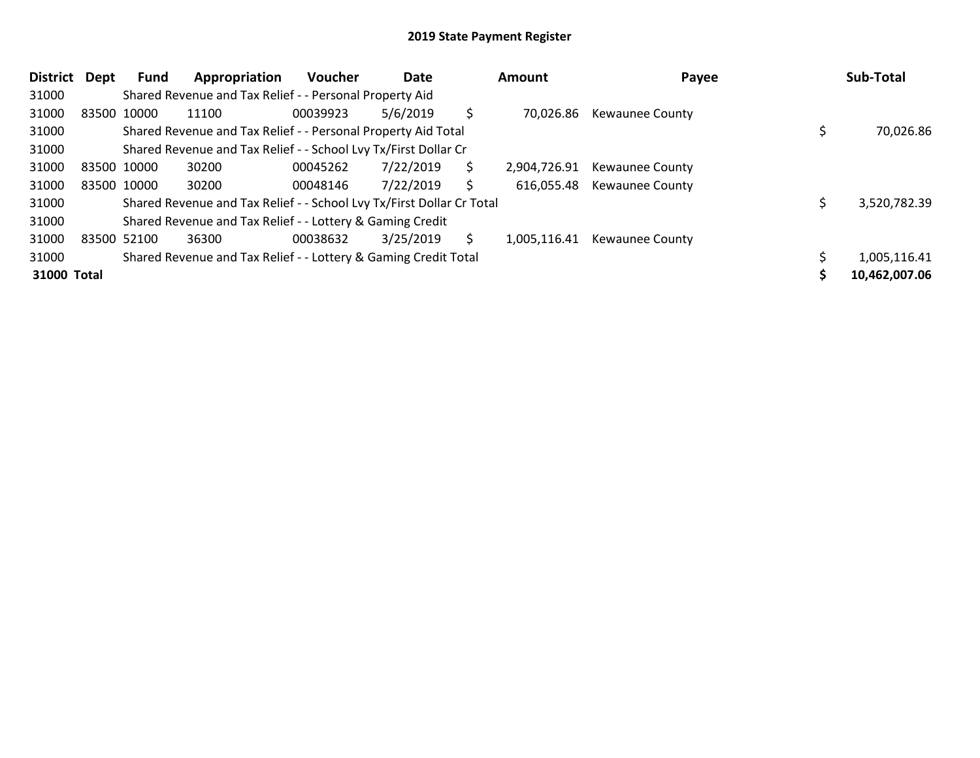| <b>District</b> | Dept        | Fund        | Appropriation                                                         | <b>Voucher</b> | Date      |    | Amount       | Payee                  | Sub-Total     |
|-----------------|-------------|-------------|-----------------------------------------------------------------------|----------------|-----------|----|--------------|------------------------|---------------|
| 31000           |             |             | Shared Revenue and Tax Relief - - Personal Property Aid               |                |           |    |              |                        |               |
| 31000           | 83500 10000 |             | 11100                                                                 | 00039923       | 5/6/2019  | \$ | 70,026.86    | <b>Kewaunee County</b> |               |
| 31000           |             |             | Shared Revenue and Tax Relief - - Personal Property Aid Total         |                |           |    |              |                        | 70,026.86     |
| 31000           |             |             | Shared Revenue and Tax Relief - - School Lvy Tx/First Dollar Cr       |                |           |    |              |                        |               |
| 31000           | 83500 10000 |             | 30200                                                                 | 00045262       | 7/22/2019 | \$ | 2,904,726.91 | <b>Kewaunee County</b> |               |
| 31000           |             | 83500 10000 | 30200                                                                 | 00048146       | 7/22/2019 | S  | 616,055.48   | <b>Kewaunee County</b> |               |
| 31000           |             |             | Shared Revenue and Tax Relief - - School Lvy Tx/First Dollar Cr Total |                |           |    |              |                        | 3,520,782.39  |
| 31000           |             |             | Shared Revenue and Tax Relief - - Lottery & Gaming Credit             |                |           |    |              |                        |               |
| 31000           | 83500 52100 |             | 36300                                                                 | 00038632       | 3/25/2019 | S. | 1,005,116.41 | <b>Kewaunee County</b> |               |
| 31000           |             |             | Shared Revenue and Tax Relief - - Lottery & Gaming Credit Total       |                |           |    |              |                        | 1,005,116.41  |
| 31000 Total     |             |             |                                                                       |                |           |    |              |                        | 10,462,007.06 |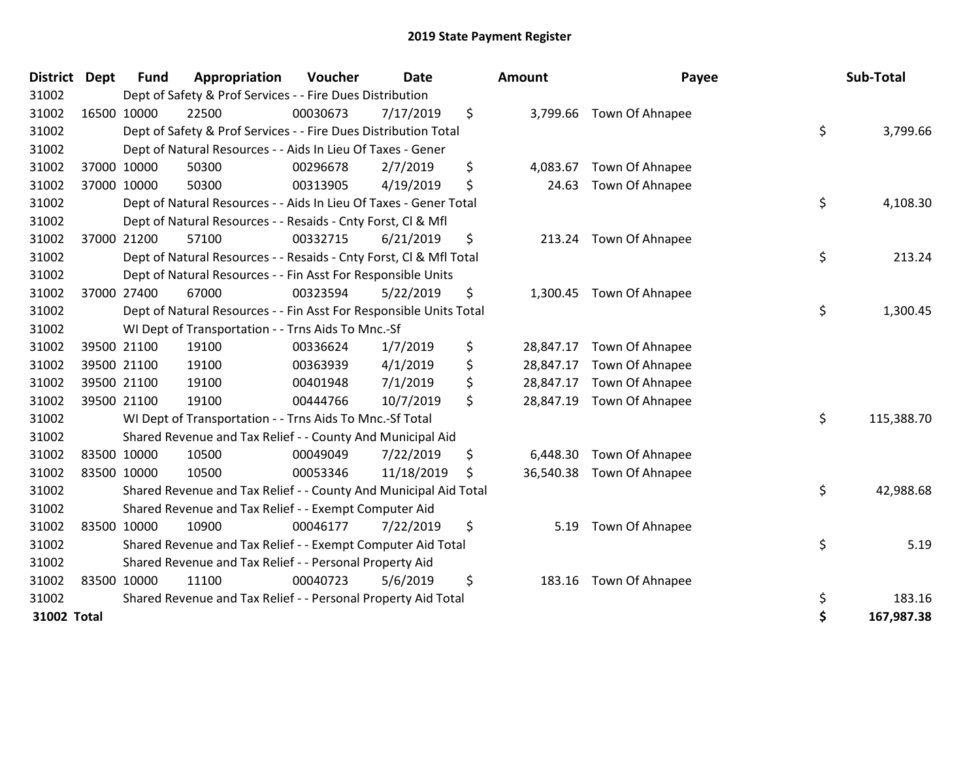| <b>District</b> | <b>Dept</b> | <b>Fund</b> | Appropriation                                                      | Voucher  | <b>Date</b> | Amount          | Payee                    | Sub-Total        |
|-----------------|-------------|-------------|--------------------------------------------------------------------|----------|-------------|-----------------|--------------------------|------------------|
| 31002           |             |             | Dept of Safety & Prof Services - - Fire Dues Distribution          |          |             |                 |                          |                  |
| 31002           |             | 16500 10000 | 22500                                                              | 00030673 | 7/17/2019   | \$              | 3,799.66 Town Of Ahnapee |                  |
| 31002           |             |             | Dept of Safety & Prof Services - - Fire Dues Distribution Total    |          |             |                 |                          | \$<br>3,799.66   |
| 31002           |             |             | Dept of Natural Resources - - Aids In Lieu Of Taxes - Gener        |          |             |                 |                          |                  |
| 31002           |             | 37000 10000 | 50300                                                              | 00296678 | 2/7/2019    | \$<br>4,083.67  | Town Of Ahnapee          |                  |
| 31002           |             | 37000 10000 | 50300                                                              | 00313905 | 4/19/2019   | \$<br>24.63     | Town Of Ahnapee          |                  |
| 31002           |             |             | Dept of Natural Resources - - Aids In Lieu Of Taxes - Gener Total  |          |             |                 |                          | \$<br>4,108.30   |
| 31002           |             |             | Dept of Natural Resources - - Resaids - Cnty Forst, Cl & Mfl       |          |             |                 |                          |                  |
| 31002           |             | 37000 21200 | 57100                                                              | 00332715 | 6/21/2019   | \$              | 213.24 Town Of Ahnapee   |                  |
| 31002           |             |             | Dept of Natural Resources - - Resaids - Cnty Forst, CI & Mfl Total |          |             |                 |                          | \$<br>213.24     |
| 31002           |             |             | Dept of Natural Resources - - Fin Asst For Responsible Units       |          |             |                 |                          |                  |
| 31002           |             | 37000 27400 | 67000                                                              | 00323594 | 5/22/2019   | \$              | 1,300.45 Town Of Ahnapee |                  |
| 31002           |             |             | Dept of Natural Resources - - Fin Asst For Responsible Units Total |          |             |                 |                          | \$<br>1,300.45   |
| 31002           |             |             | WI Dept of Transportation - - Trns Aids To Mnc.-Sf                 |          |             |                 |                          |                  |
| 31002           |             | 39500 21100 | 19100                                                              | 00336624 | 1/7/2019    | \$<br>28,847.17 | Town Of Ahnapee          |                  |
| 31002           |             | 39500 21100 | 19100                                                              | 00363939 | 4/1/2019    | \$<br>28,847.17 | Town Of Ahnapee          |                  |
| 31002           |             | 39500 21100 | 19100                                                              | 00401948 | 7/1/2019    | \$<br>28,847.17 | Town Of Ahnapee          |                  |
| 31002           |             | 39500 21100 | 19100                                                              | 00444766 | 10/7/2019   | \$<br>28,847.19 | Town Of Ahnapee          |                  |
| 31002           |             |             | WI Dept of Transportation - - Trns Aids To Mnc.-Sf Total           |          |             |                 |                          | \$<br>115,388.70 |
| 31002           |             |             | Shared Revenue and Tax Relief - - County And Municipal Aid         |          |             |                 |                          |                  |
| 31002           |             | 83500 10000 | 10500                                                              | 00049049 | 7/22/2019   | \$<br>6,448.30  | Town Of Ahnapee          |                  |
| 31002           |             | 83500 10000 | 10500                                                              | 00053346 | 11/18/2019  | \$<br>36,540.38 | Town Of Ahnapee          |                  |
| 31002           |             |             | Shared Revenue and Tax Relief - - County And Municipal Aid Total   |          |             |                 |                          | \$<br>42,988.68  |
| 31002           |             |             | Shared Revenue and Tax Relief - - Exempt Computer Aid              |          |             |                 |                          |                  |
| 31002           |             | 83500 10000 | 10900                                                              | 00046177 | 7/22/2019   | \$<br>5.19      | Town Of Ahnapee          |                  |
| 31002           |             |             | Shared Revenue and Tax Relief - - Exempt Computer Aid Total        |          |             |                 |                          | \$<br>5.19       |
| 31002           |             |             | Shared Revenue and Tax Relief - - Personal Property Aid            |          |             |                 |                          |                  |
| 31002           |             | 83500 10000 | 11100                                                              | 00040723 | 5/6/2019    | \$<br>183.16    | Town Of Ahnapee          |                  |
| 31002           |             |             | Shared Revenue and Tax Relief - - Personal Property Aid Total      |          |             |                 |                          | \$<br>183.16     |
| 31002 Total     |             |             |                                                                    |          |             |                 |                          | \$<br>167,987.38 |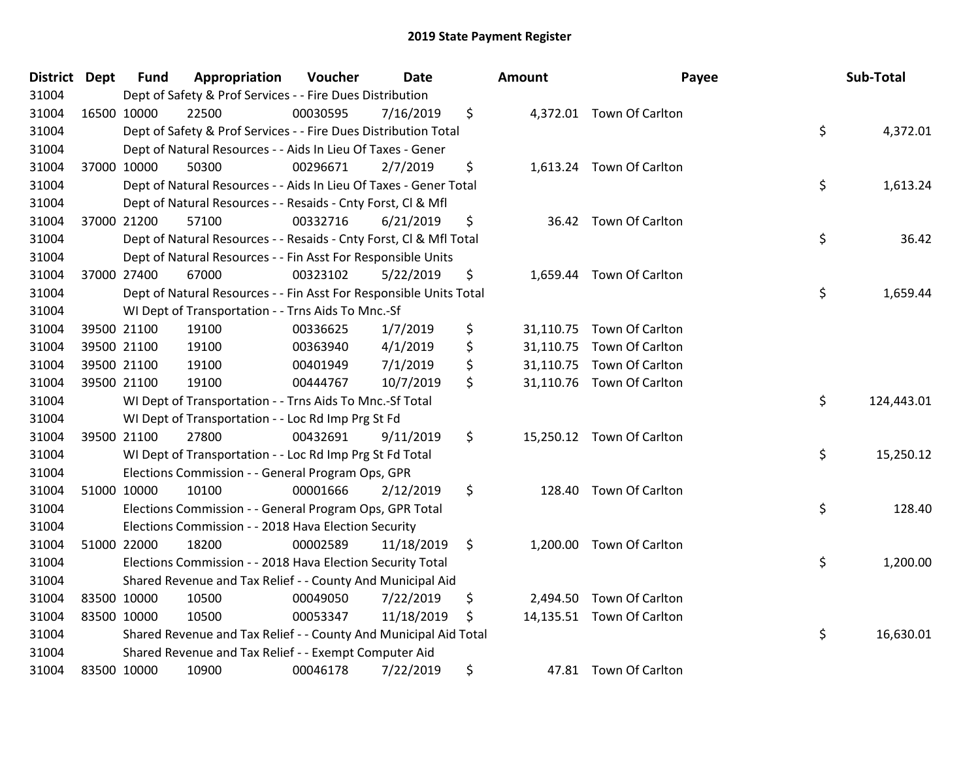| <b>District Dept</b> | <b>Fund</b> | Appropriation                                                      | Voucher  | <b>Date</b> | <b>Amount</b> | Payee                     | Sub-Total        |
|----------------------|-------------|--------------------------------------------------------------------|----------|-------------|---------------|---------------------------|------------------|
| 31004                |             | Dept of Safety & Prof Services - - Fire Dues Distribution          |          |             |               |                           |                  |
| 31004                | 16500 10000 | 22500                                                              | 00030595 | 7/16/2019   | \$            | 4,372.01 Town Of Carlton  |                  |
| 31004                |             | Dept of Safety & Prof Services - - Fire Dues Distribution Total    |          |             |               |                           | \$<br>4,372.01   |
| 31004                |             | Dept of Natural Resources - - Aids In Lieu Of Taxes - Gener        |          |             |               |                           |                  |
| 31004                | 37000 10000 | 50300                                                              | 00296671 | 2/7/2019    | \$            | 1,613.24 Town Of Carlton  |                  |
| 31004                |             | Dept of Natural Resources - - Aids In Lieu Of Taxes - Gener Total  |          |             |               |                           | \$<br>1,613.24   |
| 31004                |             | Dept of Natural Resources - - Resaids - Cnty Forst, Cl & Mfl       |          |             |               |                           |                  |
| 31004                | 37000 21200 | 57100                                                              | 00332716 | 6/21/2019   | \$            | 36.42 Town Of Carlton     |                  |
| 31004                |             | Dept of Natural Resources - - Resaids - Cnty Forst, Cl & Mfl Total |          |             |               |                           | \$<br>36.42      |
| 31004                |             | Dept of Natural Resources - - Fin Asst For Responsible Units       |          |             |               |                           |                  |
| 31004                | 37000 27400 | 67000                                                              | 00323102 | 5/22/2019   | \$            | 1,659.44 Town Of Carlton  |                  |
| 31004                |             | Dept of Natural Resources - - Fin Asst For Responsible Units Total |          |             |               |                           | \$<br>1,659.44   |
| 31004                |             | WI Dept of Transportation - - Trns Aids To Mnc.-Sf                 |          |             |               |                           |                  |
| 31004                | 39500 21100 | 19100                                                              | 00336625 | 1/7/2019    | \$            | 31,110.75 Town Of Carlton |                  |
| 31004                | 39500 21100 | 19100                                                              | 00363940 | 4/1/2019    | \$            | 31,110.75 Town Of Carlton |                  |
| 31004                | 39500 21100 | 19100                                                              | 00401949 | 7/1/2019    | \$            | 31,110.75 Town Of Carlton |                  |
| 31004                | 39500 21100 | 19100                                                              | 00444767 | 10/7/2019   | \$            | 31,110.76 Town Of Carlton |                  |
| 31004                |             | WI Dept of Transportation - - Trns Aids To Mnc.-Sf Total           |          |             |               |                           | \$<br>124,443.01 |
| 31004                |             | WI Dept of Transportation - - Loc Rd Imp Prg St Fd                 |          |             |               |                           |                  |
| 31004                | 39500 21100 | 27800                                                              | 00432691 | 9/11/2019   | \$            | 15,250.12 Town Of Carlton |                  |
| 31004                |             | WI Dept of Transportation - - Loc Rd Imp Prg St Fd Total           |          |             |               |                           | \$<br>15,250.12  |
| 31004                |             | Elections Commission - - General Program Ops, GPR                  |          |             |               |                           |                  |
| 31004                | 51000 10000 | 10100                                                              | 00001666 | 2/12/2019   | \$            | 128.40 Town Of Carlton    |                  |
| 31004                |             | Elections Commission - - General Program Ops, GPR Total            |          |             |               |                           | \$<br>128.40     |
| 31004                |             | Elections Commission - - 2018 Hava Election Security               |          |             |               |                           |                  |
| 31004                | 51000 22000 | 18200                                                              | 00002589 | 11/18/2019  | \$            | 1,200.00 Town Of Carlton  |                  |
| 31004                |             | Elections Commission - - 2018 Hava Election Security Total         |          |             |               |                           | \$<br>1,200.00   |
| 31004                |             | Shared Revenue and Tax Relief - - County And Municipal Aid         |          |             |               |                           |                  |
| 31004                | 83500 10000 | 10500                                                              | 00049050 | 7/22/2019   | \$            | 2,494.50 Town Of Carlton  |                  |
| 31004                | 83500 10000 | 10500                                                              | 00053347 | 11/18/2019  | \$            | 14,135.51 Town Of Carlton |                  |
| 31004                |             | Shared Revenue and Tax Relief - - County And Municipal Aid Total   |          |             |               |                           | \$<br>16,630.01  |
| 31004                |             | Shared Revenue and Tax Relief - - Exempt Computer Aid              |          |             |               |                           |                  |
| 31004                | 83500 10000 | 10900                                                              | 00046178 | 7/22/2019   | \$            | 47.81 Town Of Carlton     |                  |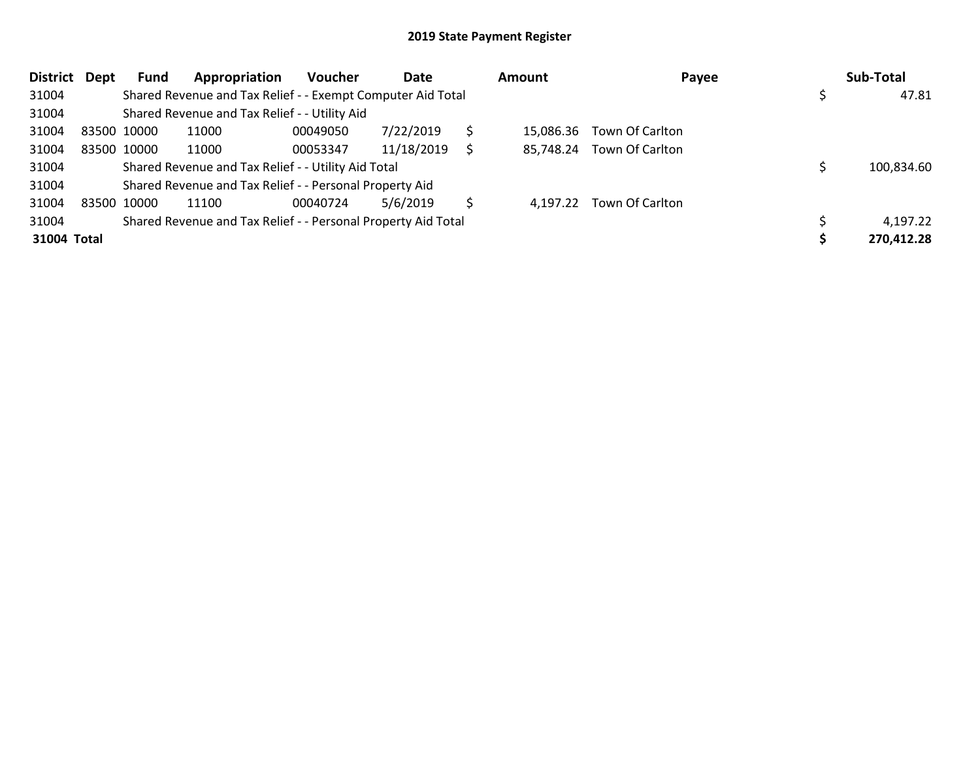| <b>District</b> | Dept | Fund        | Appropriation                                                 | <b>Voucher</b> | Date       |   | Amount    | Payee                    | Sub-Total  |
|-----------------|------|-------------|---------------------------------------------------------------|----------------|------------|---|-----------|--------------------------|------------|
| 31004           |      |             | Shared Revenue and Tax Relief - - Exempt Computer Aid Total   |                |            |   |           |                          | 47.81      |
| 31004           |      |             | Shared Revenue and Tax Relief - - Utility Aid                 |                |            |   |           |                          |            |
| 31004           |      | 83500 10000 | 11000                                                         | 00049050       | 7/22/2019  |   | 15.086.36 | Town Of Carlton          |            |
| 31004           |      | 83500 10000 | 11000                                                         | 00053347       | 11/18/2019 |   | 85.748.24 | Town Of Carlton          |            |
| 31004           |      |             | Shared Revenue and Tax Relief - - Utility Aid Total           |                |            |   |           |                          | 100,834.60 |
| 31004           |      |             | Shared Revenue and Tax Relief - - Personal Property Aid       |                |            |   |           |                          |            |
| 31004           |      | 83500 10000 | 11100                                                         | 00040724       | 5/6/2019   | S |           | 4,197.22 Town Of Carlton |            |
| 31004           |      |             | Shared Revenue and Tax Relief - - Personal Property Aid Total |                |            |   |           |                          | 4,197.22   |
| 31004 Total     |      |             |                                                               |                |            |   |           |                          | 270,412.28 |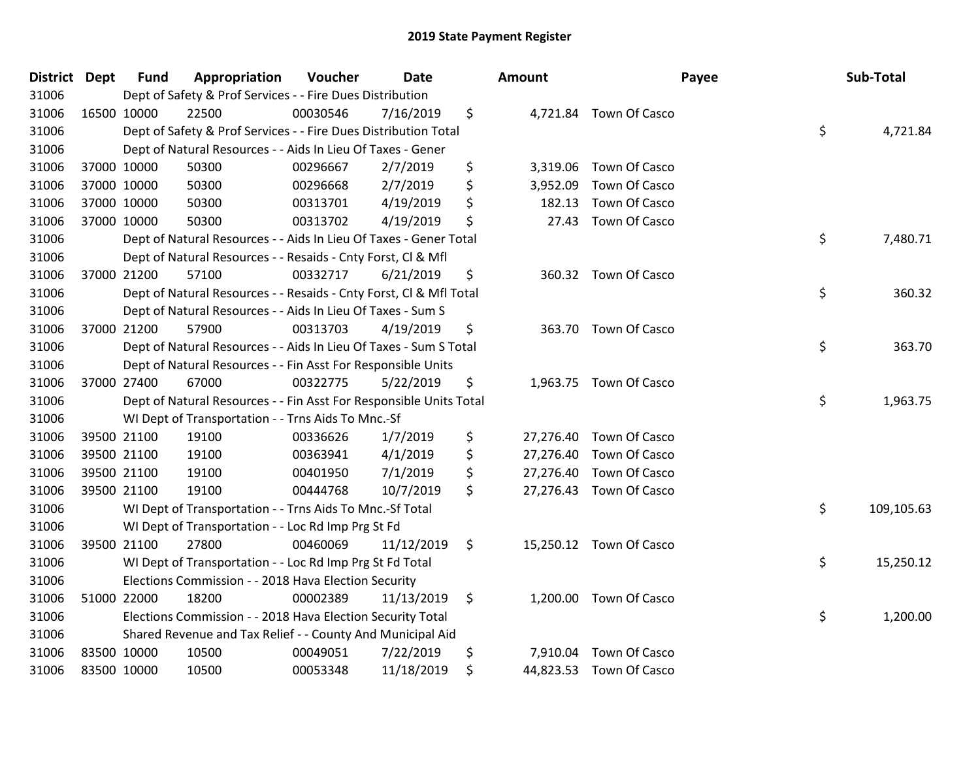| <b>District Dept</b> | <b>Fund</b> | Appropriation                                                      | Voucher  | <b>Date</b> | <b>Amount</b>   |                         | Payee | Sub-Total  |
|----------------------|-------------|--------------------------------------------------------------------|----------|-------------|-----------------|-------------------------|-------|------------|
| 31006                |             | Dept of Safety & Prof Services - - Fire Dues Distribution          |          |             |                 |                         |       |            |
| 31006                | 16500 10000 | 22500                                                              | 00030546 | 7/16/2019   | \$              | 4,721.84 Town Of Casco  |       |            |
| 31006                |             | Dept of Safety & Prof Services - - Fire Dues Distribution Total    |          |             |                 |                         | \$    | 4,721.84   |
| 31006                |             | Dept of Natural Resources - - Aids In Lieu Of Taxes - Gener        |          |             |                 |                         |       |            |
| 31006                | 37000 10000 | 50300                                                              | 00296667 | 2/7/2019    | \$<br>3,319.06  | Town Of Casco           |       |            |
| 31006                | 37000 10000 | 50300                                                              | 00296668 | 2/7/2019    | \$<br>3,952.09  | Town Of Casco           |       |            |
| 31006                | 37000 10000 | 50300                                                              | 00313701 | 4/19/2019   | \$<br>182.13    | Town Of Casco           |       |            |
| 31006                | 37000 10000 | 50300                                                              | 00313702 | 4/19/2019   | \$<br>27.43     | Town Of Casco           |       |            |
| 31006                |             | Dept of Natural Resources - - Aids In Lieu Of Taxes - Gener Total  |          |             |                 |                         | \$    | 7,480.71   |
| 31006                |             | Dept of Natural Resources - - Resaids - Cnty Forst, Cl & Mfl       |          |             |                 |                         |       |            |
| 31006                | 37000 21200 | 57100                                                              | 00332717 | 6/21/2019   | \$              | 360.32 Town Of Casco    |       |            |
| 31006                |             | Dept of Natural Resources - - Resaids - Cnty Forst, Cl & Mfl Total |          |             |                 |                         | \$    | 360.32     |
| 31006                |             | Dept of Natural Resources - - Aids In Lieu Of Taxes - Sum S        |          |             |                 |                         |       |            |
| 31006                | 37000 21200 | 57900                                                              | 00313703 | 4/19/2019   | \$              | 363.70 Town Of Casco    |       |            |
| 31006                |             | Dept of Natural Resources - - Aids In Lieu Of Taxes - Sum S Total  |          |             |                 |                         | \$    | 363.70     |
| 31006                |             | Dept of Natural Resources - - Fin Asst For Responsible Units       |          |             |                 |                         |       |            |
| 31006                | 37000 27400 | 67000                                                              | 00322775 | 5/22/2019   | \$              | 1,963.75 Town Of Casco  |       |            |
| 31006                |             | Dept of Natural Resources - - Fin Asst For Responsible Units Total |          |             |                 |                         | \$    | 1,963.75   |
| 31006                |             | WI Dept of Transportation - - Trns Aids To Mnc.-Sf                 |          |             |                 |                         |       |            |
| 31006                | 39500 21100 | 19100                                                              | 00336626 | 1/7/2019    | \$              | 27,276.40 Town Of Casco |       |            |
| 31006                | 39500 21100 | 19100                                                              | 00363941 | 4/1/2019    | \$<br>27,276.40 | Town Of Casco           |       |            |
| 31006                | 39500 21100 | 19100                                                              | 00401950 | 7/1/2019    | \$<br>27,276.40 | Town Of Casco           |       |            |
| 31006                | 39500 21100 | 19100                                                              | 00444768 | 10/7/2019   | \$              | 27,276.43 Town Of Casco |       |            |
| 31006                |             | WI Dept of Transportation - - Trns Aids To Mnc.-Sf Total           |          |             |                 |                         | \$    | 109,105.63 |
| 31006                |             | WI Dept of Transportation - - Loc Rd Imp Prg St Fd                 |          |             |                 |                         |       |            |
| 31006                | 39500 21100 | 27800                                                              | 00460069 | 11/12/2019  | \$<br>15,250.12 | Town Of Casco           |       |            |
| 31006                |             | WI Dept of Transportation - - Loc Rd Imp Prg St Fd Total           |          |             |                 |                         | \$    | 15,250.12  |
| 31006                |             | Elections Commission - - 2018 Hava Election Security               |          |             |                 |                         |       |            |
| 31006                | 51000 22000 | 18200                                                              | 00002389 | 11/13/2019  | \$              | 1,200.00 Town Of Casco  |       |            |
| 31006                |             | Elections Commission - - 2018 Hava Election Security Total         |          |             |                 |                         | \$    | 1,200.00   |
| 31006                |             | Shared Revenue and Tax Relief - - County And Municipal Aid         |          |             |                 |                         |       |            |
| 31006                | 83500 10000 | 10500                                                              | 00049051 | 7/22/2019   | \$<br>7,910.04  | Town Of Casco           |       |            |
| 31006                | 83500 10000 | 10500                                                              | 00053348 | 11/18/2019  | \$              | 44,823.53 Town Of Casco |       |            |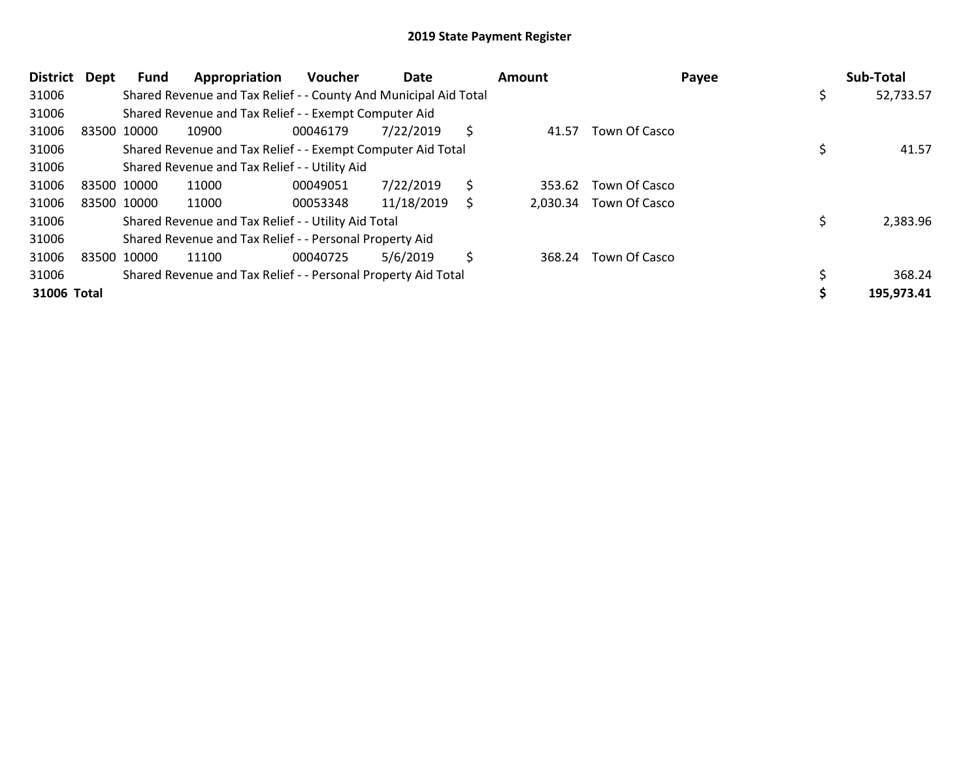| <b>District</b> | Dept        | Fund | Appropriation                                                    | <b>Voucher</b> | Date       |    | Amount | Payee                  | Sub-Total       |
|-----------------|-------------|------|------------------------------------------------------------------|----------------|------------|----|--------|------------------------|-----------------|
| 31006           |             |      | Shared Revenue and Tax Relief - - County And Municipal Aid Total |                |            |    |        |                        | \$<br>52,733.57 |
| 31006           |             |      | Shared Revenue and Tax Relief - - Exempt Computer Aid            |                |            |    |        |                        |                 |
| 31006           | 83500 10000 |      | 10900                                                            | 00046179       | 7/22/2019  | S  | 41.57  | Town Of Casco          |                 |
| 31006           |             |      | Shared Revenue and Tax Relief - - Exempt Computer Aid Total      |                |            |    |        |                        | 41.57           |
| 31006           |             |      | Shared Revenue and Tax Relief - - Utility Aid                    |                |            |    |        |                        |                 |
| 31006           | 83500 10000 |      | 11000                                                            | 00049051       | 7/22/2019  | \$ | 353.62 | Town Of Casco          |                 |
| 31006           | 83500 10000 |      | 11000                                                            | 00053348       | 11/18/2019 |    |        | 2,030.34 Town Of Casco |                 |
| 31006           |             |      | Shared Revenue and Tax Relief - - Utility Aid Total              |                |            |    |        |                        | 2,383.96        |
| 31006           |             |      | Shared Revenue and Tax Relief - - Personal Property Aid          |                |            |    |        |                        |                 |
| 31006           | 83500 10000 |      | 11100                                                            | 00040725       | 5/6/2019   | \$ | 368.24 | Town Of Casco          |                 |
| 31006           |             |      | Shared Revenue and Tax Relief - - Personal Property Aid Total    |                |            |    |        |                        | 368.24          |
| 31006 Total     |             |      |                                                                  |                |            |    |        |                        | 195,973.41      |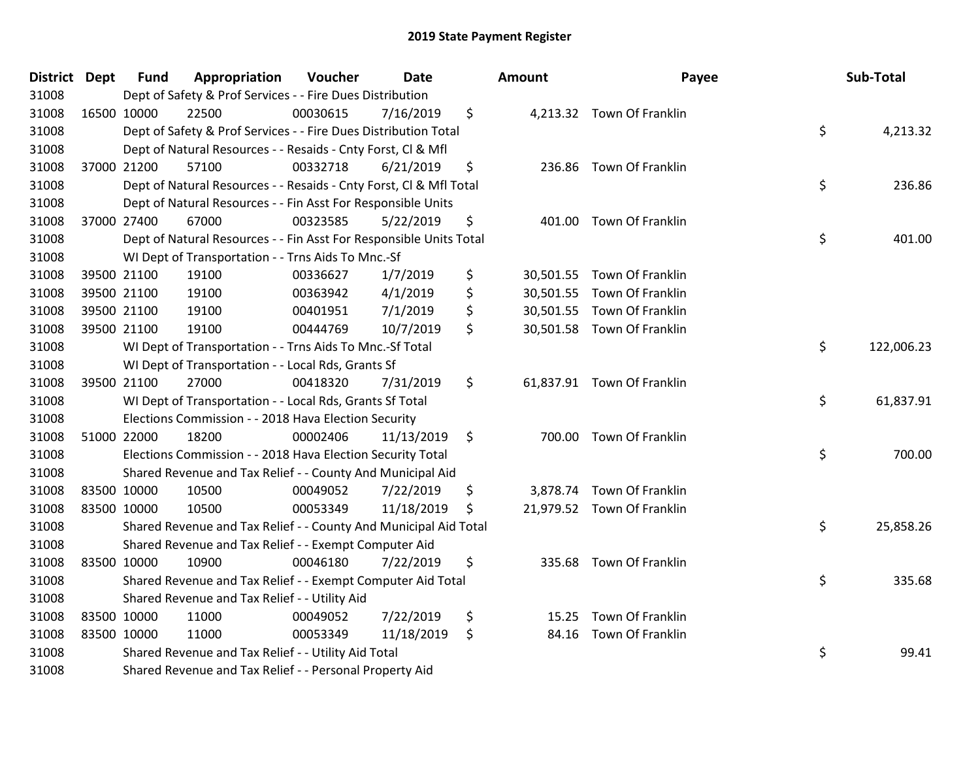| District Dept |             | <b>Fund</b> | Appropriation                                                      | Voucher  | <b>Date</b> | Amount | Payee                      | Sub-Total        |
|---------------|-------------|-------------|--------------------------------------------------------------------|----------|-------------|--------|----------------------------|------------------|
| 31008         |             |             | Dept of Safety & Prof Services - - Fire Dues Distribution          |          |             |        |                            |                  |
| 31008         | 16500 10000 |             | 22500                                                              | 00030615 | 7/16/2019   | \$     | 4,213.32 Town Of Franklin  |                  |
| 31008         |             |             | Dept of Safety & Prof Services - - Fire Dues Distribution Total    |          |             |        |                            | \$<br>4,213.32   |
| 31008         |             |             | Dept of Natural Resources - - Resaids - Cnty Forst, Cl & Mfl       |          |             |        |                            |                  |
| 31008         |             | 37000 21200 | 57100                                                              | 00332718 | 6/21/2019   | \$     | 236.86 Town Of Franklin    |                  |
| 31008         |             |             | Dept of Natural Resources - - Resaids - Cnty Forst, Cl & Mfl Total |          |             |        |                            | \$<br>236.86     |
| 31008         |             |             | Dept of Natural Resources - - Fin Asst For Responsible Units       |          |             |        |                            |                  |
| 31008         |             | 37000 27400 | 67000                                                              | 00323585 | 5/22/2019   | \$     | 401.00 Town Of Franklin    |                  |
| 31008         |             |             | Dept of Natural Resources - - Fin Asst For Responsible Units Total |          |             |        |                            | \$<br>401.00     |
| 31008         |             |             | WI Dept of Transportation - - Trns Aids To Mnc.-Sf                 |          |             |        |                            |                  |
| 31008         |             | 39500 21100 | 19100                                                              | 00336627 | 1/7/2019    | \$     | 30,501.55 Town Of Franklin |                  |
| 31008         |             | 39500 21100 | 19100                                                              | 00363942 | 4/1/2019    | \$     | 30,501.55 Town Of Franklin |                  |
| 31008         |             | 39500 21100 | 19100                                                              | 00401951 | 7/1/2019    | \$     | 30,501.55 Town Of Franklin |                  |
| 31008         |             | 39500 21100 | 19100                                                              | 00444769 | 10/7/2019   | \$     | 30,501.58 Town Of Franklin |                  |
| 31008         |             |             | WI Dept of Transportation - - Trns Aids To Mnc.-Sf Total           |          |             |        |                            | \$<br>122,006.23 |
| 31008         |             |             | WI Dept of Transportation - - Local Rds, Grants Sf                 |          |             |        |                            |                  |
| 31008         |             | 39500 21100 | 27000                                                              | 00418320 | 7/31/2019   | \$     | 61,837.91 Town Of Franklin |                  |
| 31008         |             |             | WI Dept of Transportation - - Local Rds, Grants Sf Total           |          |             |        |                            | \$<br>61,837.91  |
| 31008         |             |             | Elections Commission - - 2018 Hava Election Security               |          |             |        |                            |                  |
| 31008         | 51000 22000 |             | 18200                                                              | 00002406 | 11/13/2019  | \$     | 700.00 Town Of Franklin    |                  |
| 31008         |             |             | Elections Commission - - 2018 Hava Election Security Total         |          |             |        |                            | \$<br>700.00     |
| 31008         |             |             | Shared Revenue and Tax Relief - - County And Municipal Aid         |          |             |        |                            |                  |
| 31008         |             | 83500 10000 | 10500                                                              | 00049052 | 7/22/2019   | \$     | 3,878.74 Town Of Franklin  |                  |
| 31008         |             | 83500 10000 | 10500                                                              | 00053349 | 11/18/2019  | \$     | 21,979.52 Town Of Franklin |                  |
| 31008         |             |             | Shared Revenue and Tax Relief - - County And Municipal Aid Total   |          |             |        |                            | \$<br>25,858.26  |
| 31008         |             |             | Shared Revenue and Tax Relief - - Exempt Computer Aid              |          |             |        |                            |                  |
| 31008         | 83500 10000 |             | 10900                                                              | 00046180 | 7/22/2019   | \$     | 335.68 Town Of Franklin    |                  |
| 31008         |             |             | Shared Revenue and Tax Relief - - Exempt Computer Aid Total        |          |             |        |                            | \$<br>335.68     |
| 31008         |             |             | Shared Revenue and Tax Relief - - Utility Aid                      |          |             |        |                            |                  |
| 31008         |             | 83500 10000 | 11000                                                              | 00049052 | 7/22/2019   | \$     | 15.25 Town Of Franklin     |                  |
| 31008         |             | 83500 10000 | 11000                                                              | 00053349 | 11/18/2019  | \$     | 84.16 Town Of Franklin     |                  |
| 31008         |             |             | Shared Revenue and Tax Relief - - Utility Aid Total                |          |             |        |                            | \$<br>99.41      |
| 31008         |             |             | Shared Revenue and Tax Relief - - Personal Property Aid            |          |             |        |                            |                  |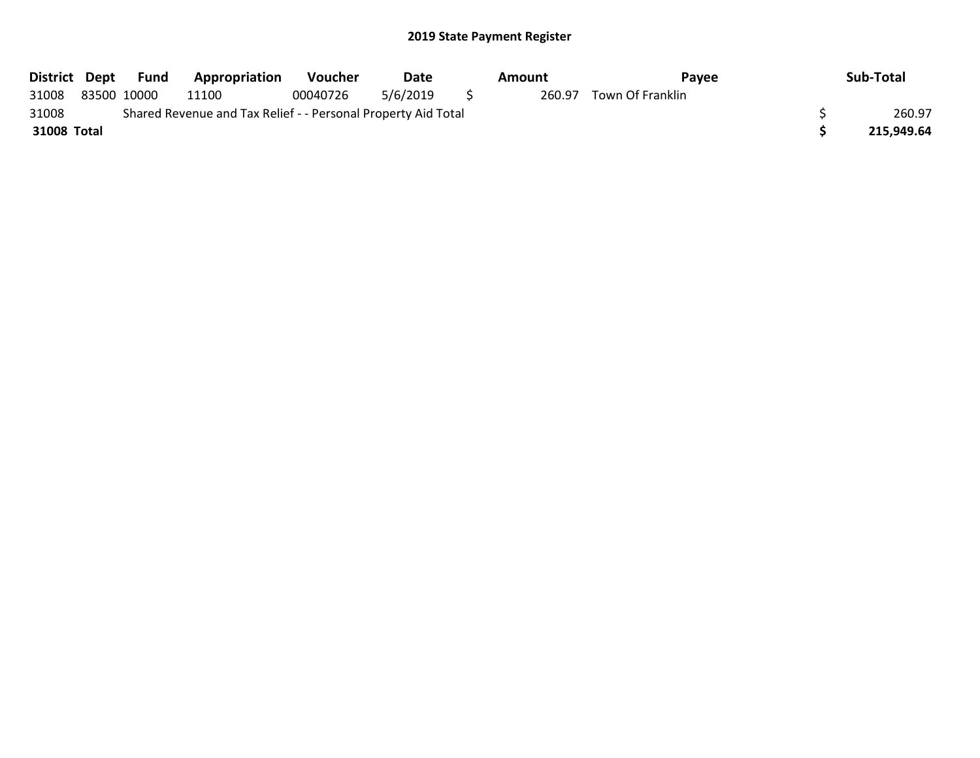| District Dept |             | Fund | <b>Appropriation</b>                                          | <b>Voucher</b> | Date     | Amount | Pavee            | Sub-Total  |
|---------------|-------------|------|---------------------------------------------------------------|----------------|----------|--------|------------------|------------|
| 31008         | 83500 10000 |      | 11100                                                         | 00040726       | 5/6/2019 | 260.97 | Town Of Franklin |            |
| 31008         |             |      | Shared Revenue and Tax Relief - - Personal Property Aid Total |                |          |        |                  | 260.97     |
| 31008 Total   |             |      |                                                               |                |          |        |                  | 215.949.64 |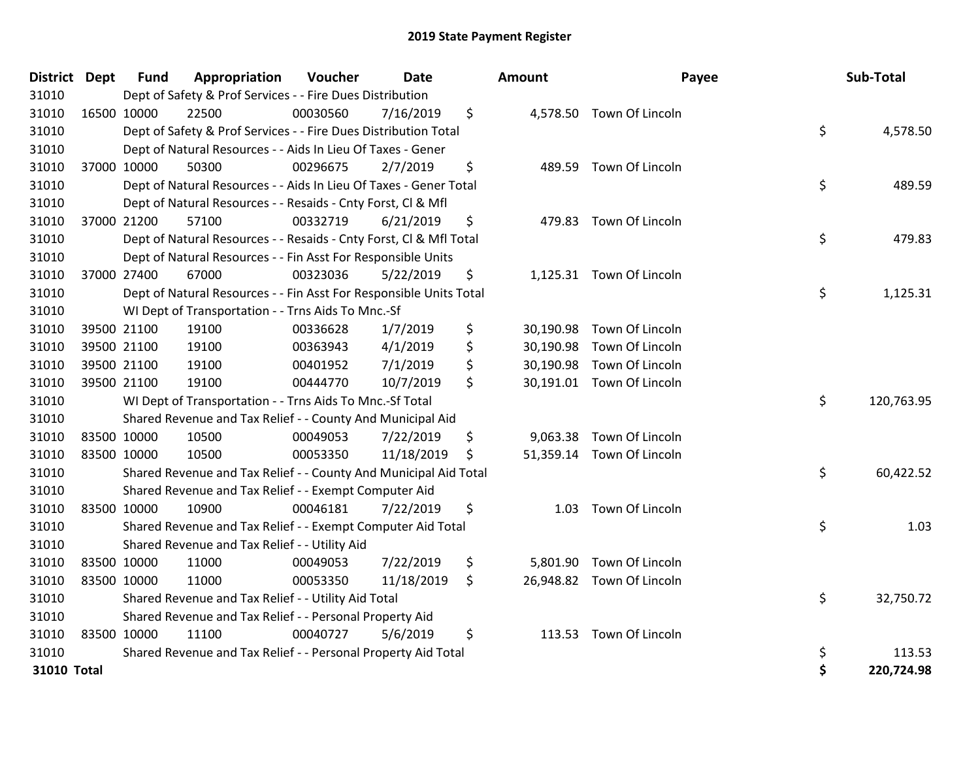| District Dept |             | <b>Fund</b> | Appropriation                                                      | Voucher  | Date       | Amount          | Payee                     | Sub-Total        |
|---------------|-------------|-------------|--------------------------------------------------------------------|----------|------------|-----------------|---------------------------|------------------|
| 31010         |             |             | Dept of Safety & Prof Services - - Fire Dues Distribution          |          |            |                 |                           |                  |
| 31010         | 16500 10000 |             | 22500                                                              | 00030560 | 7/16/2019  | \$              | 4,578.50 Town Of Lincoln  |                  |
| 31010         |             |             | Dept of Safety & Prof Services - - Fire Dues Distribution Total    |          |            |                 |                           | \$<br>4,578.50   |
| 31010         |             |             | Dept of Natural Resources - - Aids In Lieu Of Taxes - Gener        |          |            |                 |                           |                  |
| 31010         | 37000 10000 |             | 50300                                                              | 00296675 | 2/7/2019   | \$<br>489.59    | Town Of Lincoln           |                  |
| 31010         |             |             | Dept of Natural Resources - - Aids In Lieu Of Taxes - Gener Total  |          |            |                 |                           | \$<br>489.59     |
| 31010         |             |             | Dept of Natural Resources - - Resaids - Cnty Forst, Cl & Mfl       |          |            |                 |                           |                  |
| 31010         |             | 37000 21200 | 57100                                                              | 00332719 | 6/21/2019  | \$              | 479.83 Town Of Lincoln    |                  |
| 31010         |             |             | Dept of Natural Resources - - Resaids - Cnty Forst, Cl & Mfl Total |          |            |                 |                           | \$<br>479.83     |
| 31010         |             |             | Dept of Natural Resources - - Fin Asst For Responsible Units       |          |            |                 |                           |                  |
| 31010         |             | 37000 27400 | 67000                                                              | 00323036 | 5/22/2019  | \$              | 1,125.31 Town Of Lincoln  |                  |
| 31010         |             |             | Dept of Natural Resources - - Fin Asst For Responsible Units Total |          |            |                 |                           | \$<br>1,125.31   |
| 31010         |             |             | WI Dept of Transportation - - Trns Aids To Mnc.-Sf                 |          |            |                 |                           |                  |
| 31010         |             | 39500 21100 | 19100                                                              | 00336628 | 1/7/2019   | \$<br>30,190.98 | Town Of Lincoln           |                  |
| 31010         |             | 39500 21100 | 19100                                                              | 00363943 | 4/1/2019   | \$              | 30,190.98 Town Of Lincoln |                  |
| 31010         |             | 39500 21100 | 19100                                                              | 00401952 | 7/1/2019   | \$              | 30,190.98 Town Of Lincoln |                  |
| 31010         | 39500 21100 |             | 19100                                                              | 00444770 | 10/7/2019  | \$              | 30,191.01 Town Of Lincoln |                  |
| 31010         |             |             | WI Dept of Transportation - - Trns Aids To Mnc.-Sf Total           |          |            |                 |                           | \$<br>120,763.95 |
| 31010         |             |             | Shared Revenue and Tax Relief - - County And Municipal Aid         |          |            |                 |                           |                  |
| 31010         | 83500 10000 |             | 10500                                                              | 00049053 | 7/22/2019  | \$              | 9,063.38 Town Of Lincoln  |                  |
| 31010         | 83500 10000 |             | 10500                                                              | 00053350 | 11/18/2019 | \$              | 51,359.14 Town Of Lincoln |                  |
| 31010         |             |             | Shared Revenue and Tax Relief - - County And Municipal Aid Total   |          |            |                 |                           | \$<br>60,422.52  |
| 31010         |             |             | Shared Revenue and Tax Relief - - Exempt Computer Aid              |          |            |                 |                           |                  |
| 31010         | 83500 10000 |             | 10900                                                              | 00046181 | 7/22/2019  | \$<br>1.03      | Town Of Lincoln           |                  |
| 31010         |             |             | Shared Revenue and Tax Relief - - Exempt Computer Aid Total        |          |            |                 |                           | \$<br>1.03       |
| 31010         |             |             | Shared Revenue and Tax Relief - - Utility Aid                      |          |            |                 |                           |                  |
| 31010         | 83500 10000 |             | 11000                                                              | 00049053 | 7/22/2019  | \$              | 5,801.90 Town Of Lincoln  |                  |
| 31010         | 83500 10000 |             | 11000                                                              | 00053350 | 11/18/2019 | \$              | 26,948.82 Town Of Lincoln |                  |
| 31010         |             |             | Shared Revenue and Tax Relief - - Utility Aid Total                |          |            |                 |                           | \$<br>32,750.72  |
| 31010         |             |             | Shared Revenue and Tax Relief - - Personal Property Aid            |          |            |                 |                           |                  |
| 31010         | 83500 10000 |             | 11100                                                              | 00040727 | 5/6/2019   | \$              | 113.53 Town Of Lincoln    |                  |
| 31010         |             |             | Shared Revenue and Tax Relief - - Personal Property Aid Total      |          |            |                 |                           | \$<br>113.53     |
| 31010 Total   |             |             |                                                                    |          |            |                 |                           | \$<br>220,724.98 |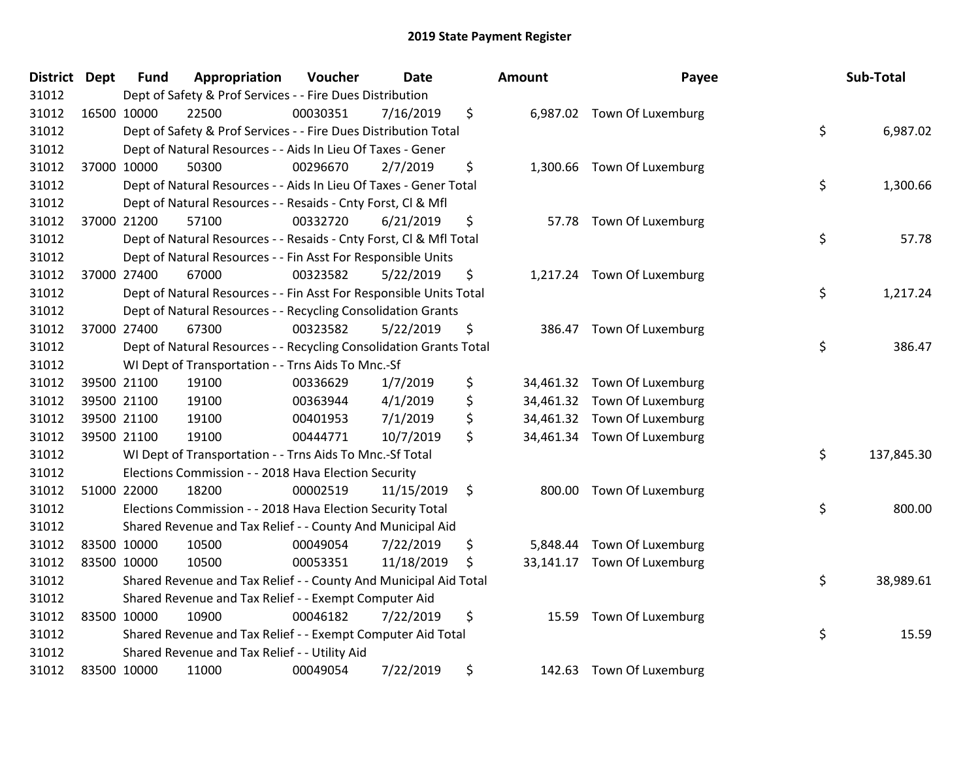| <b>District Dept</b> |             | <b>Fund</b> | Appropriation                                                      | Voucher  | <b>Date</b> |         | Amount    | Payee                       | Sub-Total        |
|----------------------|-------------|-------------|--------------------------------------------------------------------|----------|-------------|---------|-----------|-----------------------------|------------------|
| 31012                |             |             | Dept of Safety & Prof Services - - Fire Dues Distribution          |          |             |         |           |                             |                  |
| 31012                | 16500 10000 |             | 22500                                                              | 00030351 | 7/16/2019   | \$      |           | 6,987.02 Town Of Luxemburg  |                  |
| 31012                |             |             | Dept of Safety & Prof Services - - Fire Dues Distribution Total    |          |             |         |           |                             | \$<br>6,987.02   |
| 31012                |             |             | Dept of Natural Resources - - Aids In Lieu Of Taxes - Gener        |          |             |         |           |                             |                  |
| 31012                |             | 37000 10000 | 50300                                                              | 00296670 | 2/7/2019    | \$      |           | 1,300.66 Town Of Luxemburg  |                  |
| 31012                |             |             | Dept of Natural Resources - - Aids In Lieu Of Taxes - Gener Total  |          |             |         |           |                             | \$<br>1,300.66   |
| 31012                |             |             | Dept of Natural Resources - - Resaids - Cnty Forst, Cl & Mfl       |          |             |         |           |                             |                  |
| 31012                |             | 37000 21200 | 57100                                                              | 00332720 | 6/21/2019   | \$      |           | 57.78 Town Of Luxemburg     |                  |
| 31012                |             |             | Dept of Natural Resources - - Resaids - Cnty Forst, Cl & Mfl Total |          |             |         |           |                             | \$<br>57.78      |
| 31012                |             |             | Dept of Natural Resources - - Fin Asst For Responsible Units       |          |             |         |           |                             |                  |
| 31012                |             | 37000 27400 | 67000                                                              | 00323582 | 5/22/2019   | \$      |           | 1,217.24 Town Of Luxemburg  |                  |
| 31012                |             |             | Dept of Natural Resources - - Fin Asst For Responsible Units Total |          |             |         |           |                             | \$<br>1,217.24   |
| 31012                |             |             | Dept of Natural Resources - - Recycling Consolidation Grants       |          |             |         |           |                             |                  |
| 31012                |             | 37000 27400 | 67300                                                              | 00323582 | 5/22/2019   | \$      | 386.47    | Town Of Luxemburg           |                  |
| 31012                |             |             | Dept of Natural Resources - - Recycling Consolidation Grants Total |          |             |         |           |                             | \$<br>386.47     |
| 31012                |             |             | WI Dept of Transportation - - Trns Aids To Mnc.-Sf                 |          |             |         |           |                             |                  |
| 31012                |             | 39500 21100 | 19100                                                              | 00336629 | 1/7/2019    | \$      | 34,461.32 | Town Of Luxemburg           |                  |
| 31012                | 39500 21100 |             | 19100                                                              | 00363944 | 4/1/2019    | \$      |           | 34,461.32 Town Of Luxemburg |                  |
| 31012                | 39500 21100 |             | 19100                                                              | 00401953 | 7/1/2019    | \$      |           | 34,461.32 Town Of Luxemburg |                  |
| 31012                |             | 39500 21100 | 19100                                                              | 00444771 | 10/7/2019   | \$      |           | 34,461.34 Town Of Luxemburg |                  |
| 31012                |             |             | WI Dept of Transportation - - Trns Aids To Mnc.-Sf Total           |          |             |         |           |                             | \$<br>137,845.30 |
| 31012                |             |             | Elections Commission - - 2018 Hava Election Security               |          |             |         |           |                             |                  |
| 31012                |             | 51000 22000 | 18200                                                              | 00002519 | 11/15/2019  | $\zeta$ |           | 800.00 Town Of Luxemburg    |                  |
| 31012                |             |             | Elections Commission - - 2018 Hava Election Security Total         |          |             |         |           |                             | \$<br>800.00     |
| 31012                |             |             | Shared Revenue and Tax Relief - - County And Municipal Aid         |          |             |         |           |                             |                  |
| 31012                | 83500 10000 |             | 10500                                                              | 00049054 | 7/22/2019   | \$      | 5,848.44  | Town Of Luxemburg           |                  |
| 31012                | 83500 10000 |             | 10500                                                              | 00053351 | 11/18/2019  | \$      |           | 33,141.17 Town Of Luxemburg |                  |
| 31012                |             |             | Shared Revenue and Tax Relief - - County And Municipal Aid Total   |          |             |         |           |                             | \$<br>38,989.61  |
| 31012                |             |             | Shared Revenue and Tax Relief - - Exempt Computer Aid              |          |             |         |           |                             |                  |
| 31012                | 83500 10000 |             | 10900                                                              | 00046182 | 7/22/2019   | \$      |           | 15.59 Town Of Luxemburg     |                  |
| 31012                |             |             | Shared Revenue and Tax Relief - - Exempt Computer Aid Total        |          |             |         |           |                             | \$<br>15.59      |
| 31012                |             |             | Shared Revenue and Tax Relief - - Utility Aid                      |          |             |         |           |                             |                  |
| 31012                | 83500 10000 |             | 11000                                                              | 00049054 | 7/22/2019   | \$      |           | 142.63 Town Of Luxemburg    |                  |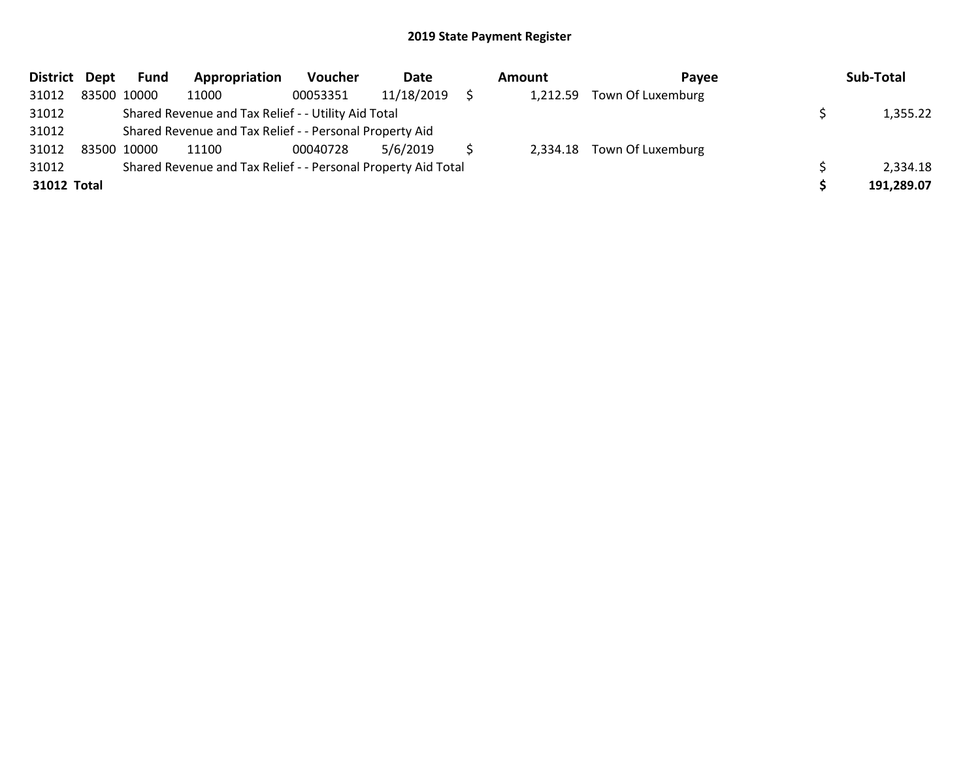| District Dept |             | Fund        | Appropriation                                                 | Voucher  | Date       | Amount   | Pavee                      | Sub-Total  |
|---------------|-------------|-------------|---------------------------------------------------------------|----------|------------|----------|----------------------------|------------|
| 31012         |             | 83500 10000 | 11000                                                         | 00053351 | 11/18/2019 | 1,212.59 | Town Of Luxemburg          |            |
| 31012         |             |             | Shared Revenue and Tax Relief - - Utility Aid Total           |          |            |          |                            | 1,355.22   |
| 31012         |             |             | Shared Revenue and Tax Relief - - Personal Property Aid       |          |            |          |                            |            |
| 31012         | 83500 10000 |             | 11100                                                         | 00040728 | 5/6/2019   |          | 2,334.18 Town Of Luxemburg |            |
| 31012         |             |             | Shared Revenue and Tax Relief - - Personal Property Aid Total |          |            |          |                            | 2,334.18   |
| 31012 Total   |             |             |                                                               |          |            |          |                            | 191,289.07 |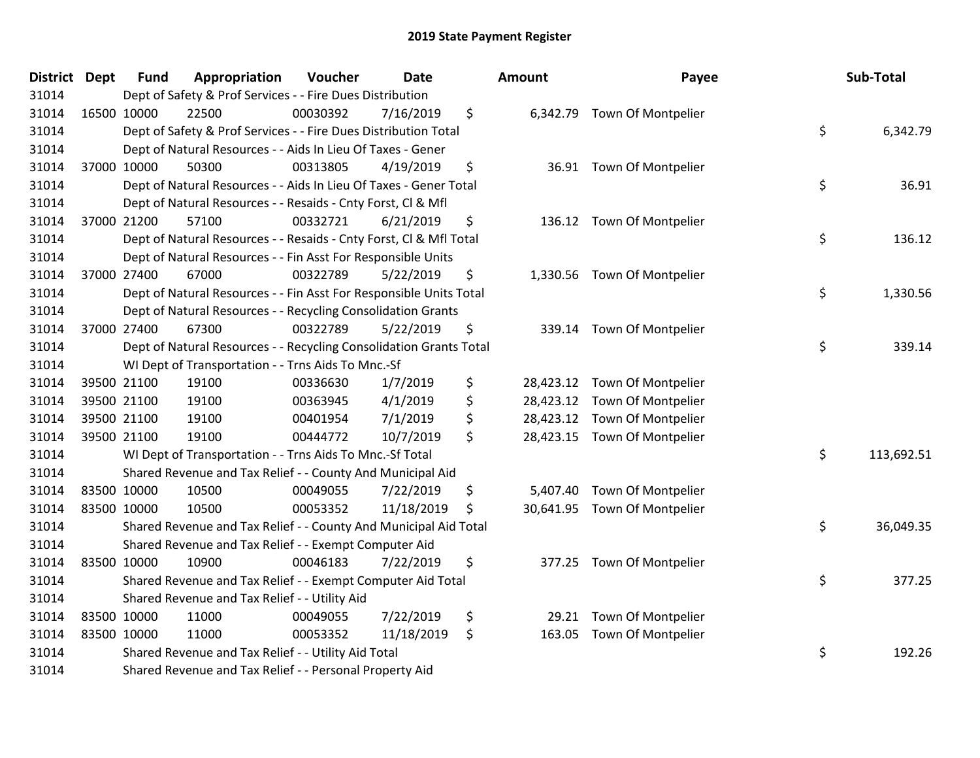| <b>District Dept</b> |             | <b>Fund</b> | Appropriation                                                      | Voucher  | <b>Date</b> | Amount       | Payee                        | Sub-Total        |
|----------------------|-------------|-------------|--------------------------------------------------------------------|----------|-------------|--------------|------------------------------|------------------|
| 31014                |             |             | Dept of Safety & Prof Services - - Fire Dues Distribution          |          |             |              |                              |                  |
| 31014                |             | 16500 10000 | 22500                                                              | 00030392 | 7/16/2019   | \$           | 6,342.79 Town Of Montpelier  |                  |
| 31014                |             |             | Dept of Safety & Prof Services - - Fire Dues Distribution Total    |          |             |              |                              | \$<br>6,342.79   |
| 31014                |             |             | Dept of Natural Resources - - Aids In Lieu Of Taxes - Gener        |          |             |              |                              |                  |
| 31014                |             | 37000 10000 | 50300                                                              | 00313805 | 4/19/2019   | \$           | 36.91 Town Of Montpelier     |                  |
| 31014                |             |             | Dept of Natural Resources - - Aids In Lieu Of Taxes - Gener Total  |          |             |              |                              | \$<br>36.91      |
| 31014                |             |             | Dept of Natural Resources - - Resaids - Cnty Forst, Cl & Mfl       |          |             |              |                              |                  |
| 31014                |             | 37000 21200 | 57100                                                              | 00332721 | 6/21/2019   | \$           | 136.12 Town Of Montpelier    |                  |
| 31014                |             |             | Dept of Natural Resources - - Resaids - Cnty Forst, Cl & Mfl Total |          |             |              |                              | \$<br>136.12     |
| 31014                |             |             | Dept of Natural Resources - - Fin Asst For Responsible Units       |          |             |              |                              |                  |
| 31014                |             | 37000 27400 | 67000                                                              | 00322789 | 5/22/2019   | \$           | 1,330.56 Town Of Montpelier  |                  |
| 31014                |             |             | Dept of Natural Resources - - Fin Asst For Responsible Units Total |          |             |              |                              | \$<br>1,330.56   |
| 31014                |             |             | Dept of Natural Resources - - Recycling Consolidation Grants       |          |             |              |                              |                  |
| 31014                |             | 37000 27400 | 67300                                                              | 00322789 | 5/22/2019   | \$<br>339.14 | Town Of Montpelier           |                  |
| 31014                |             |             | Dept of Natural Resources - - Recycling Consolidation Grants Total |          |             |              |                              | \$<br>339.14     |
| 31014                |             |             | WI Dept of Transportation - - Trns Aids To Mnc.-Sf                 |          |             |              |                              |                  |
| 31014                |             | 39500 21100 | 19100                                                              | 00336630 | 1/7/2019    | \$           | 28,423.12 Town Of Montpelier |                  |
| 31014                |             | 39500 21100 | 19100                                                              | 00363945 | 4/1/2019    | \$           | 28,423.12 Town Of Montpelier |                  |
| 31014                |             | 39500 21100 | 19100                                                              | 00401954 | 7/1/2019    | \$           | 28,423.12 Town Of Montpelier |                  |
| 31014                |             | 39500 21100 | 19100                                                              | 00444772 | 10/7/2019   | \$           | 28,423.15 Town Of Montpelier |                  |
| 31014                |             |             | WI Dept of Transportation - - Trns Aids To Mnc.-Sf Total           |          |             |              |                              | \$<br>113,692.51 |
| 31014                |             |             | Shared Revenue and Tax Relief - - County And Municipal Aid         |          |             |              |                              |                  |
| 31014                | 83500 10000 |             | 10500                                                              | 00049055 | 7/22/2019   | \$           | 5,407.40 Town Of Montpelier  |                  |
| 31014                |             | 83500 10000 | 10500                                                              | 00053352 | 11/18/2019  | \$           | 30,641.95 Town Of Montpelier |                  |
| 31014                |             |             | Shared Revenue and Tax Relief - - County And Municipal Aid Total   |          |             |              |                              | \$<br>36,049.35  |
| 31014                |             |             | Shared Revenue and Tax Relief - - Exempt Computer Aid              |          |             |              |                              |                  |
| 31014                | 83500 10000 |             | 10900                                                              | 00046183 | 7/22/2019   | \$           | 377.25 Town Of Montpelier    |                  |
| 31014                |             |             | Shared Revenue and Tax Relief - - Exempt Computer Aid Total        |          |             |              |                              | \$<br>377.25     |
| 31014                |             |             | Shared Revenue and Tax Relief - - Utility Aid                      |          |             |              |                              |                  |
| 31014                | 83500 10000 |             | 11000                                                              | 00049055 | 7/22/2019   | \$           | 29.21 Town Of Montpelier     |                  |
| 31014                |             | 83500 10000 | 11000                                                              | 00053352 | 11/18/2019  | \$<br>163.05 | Town Of Montpelier           |                  |
| 31014                |             |             | Shared Revenue and Tax Relief - - Utility Aid Total                |          |             |              |                              | \$<br>192.26     |
| 31014                |             |             | Shared Revenue and Tax Relief - - Personal Property Aid            |          |             |              |                              |                  |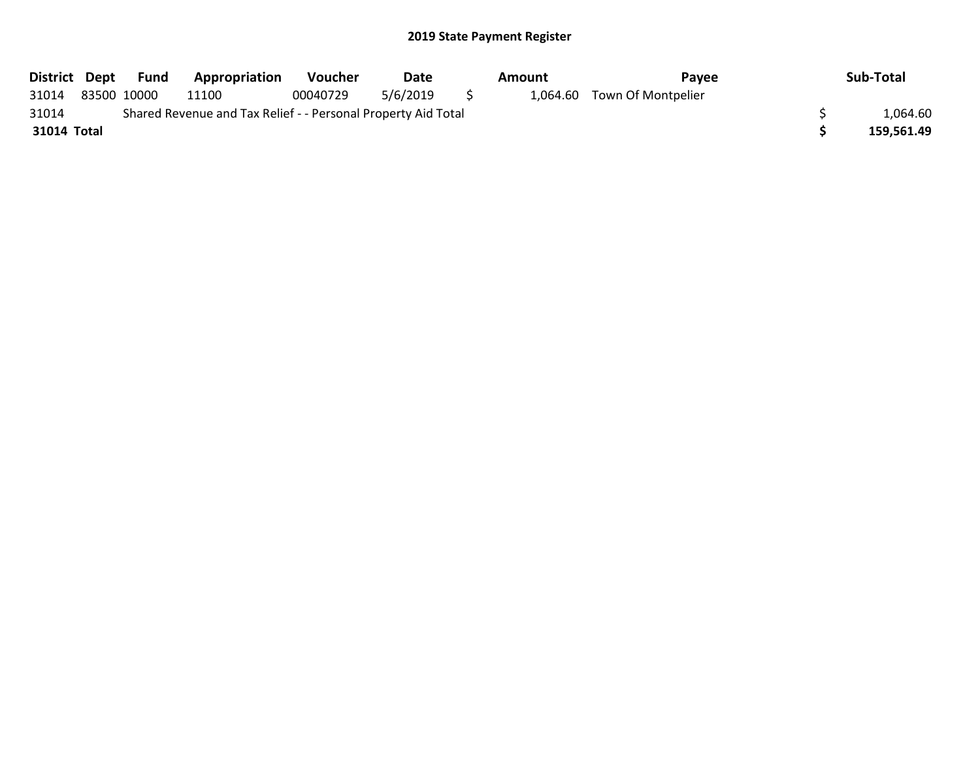|             | District Dept Fund | <b>Appropriation</b>                                          | <b>Voucher</b> | Date     |     | Amount | Pavee                       | Sub-Total  |
|-------------|--------------------|---------------------------------------------------------------|----------------|----------|-----|--------|-----------------------------|------------|
| 31014       | 83500 10000        | 11100                                                         | 00040729       | 5/6/2019 | - 5 |        | 1,064.60 Town Of Montpelier |            |
| 31014       |                    | Shared Revenue and Tax Relief - - Personal Property Aid Total |                |          |     |        |                             | 1,064.60   |
| 31014 Total |                    |                                                               |                |          |     |        |                             | 159.561.49 |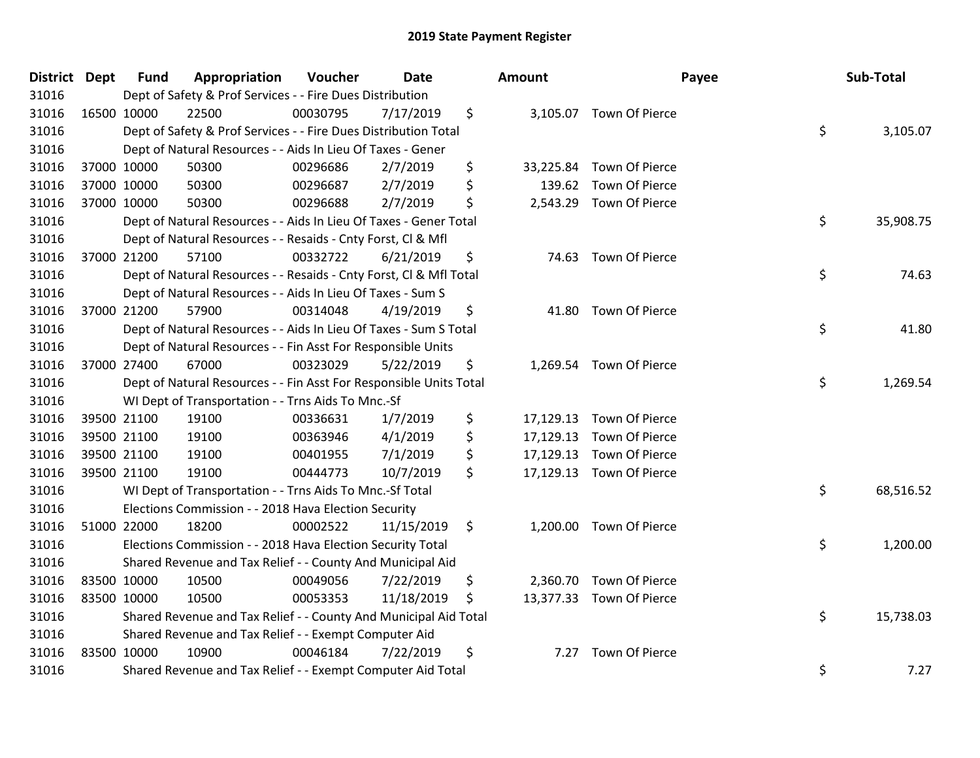| <b>District Dept</b> |             | <b>Fund</b> | Appropriation                                                      | Voucher  | <b>Date</b> | Amount       |                          | Payee | Sub-Total |
|----------------------|-------------|-------------|--------------------------------------------------------------------|----------|-------------|--------------|--------------------------|-------|-----------|
| 31016                |             |             | Dept of Safety & Prof Services - - Fire Dues Distribution          |          |             |              |                          |       |           |
| 31016                |             | 16500 10000 | 22500                                                              | 00030795 | 7/17/2019   | \$           | 3,105.07 Town Of Pierce  |       |           |
| 31016                |             |             | Dept of Safety & Prof Services - - Fire Dues Distribution Total    |          |             |              |                          | \$    | 3,105.07  |
| 31016                |             |             | Dept of Natural Resources - - Aids In Lieu Of Taxes - Gener        |          |             |              |                          |       |           |
| 31016                |             | 37000 10000 | 50300                                                              | 00296686 | 2/7/2019    | \$           | 33,225.84 Town Of Pierce |       |           |
| 31016                |             | 37000 10000 | 50300                                                              | 00296687 | 2/7/2019    | \$<br>139.62 | Town Of Pierce           |       |           |
| 31016                |             | 37000 10000 | 50300                                                              | 00296688 | 2/7/2019    | \$           | 2,543.29 Town Of Pierce  |       |           |
| 31016                |             |             | Dept of Natural Resources - - Aids In Lieu Of Taxes - Gener Total  |          |             |              |                          | \$    | 35,908.75 |
| 31016                |             |             | Dept of Natural Resources - - Resaids - Cnty Forst, Cl & Mfl       |          |             |              |                          |       |           |
| 31016                |             | 37000 21200 | 57100                                                              | 00332722 | 6/21/2019   | \$           | 74.63 Town Of Pierce     |       |           |
| 31016                |             |             | Dept of Natural Resources - - Resaids - Cnty Forst, CI & Mfl Total |          |             |              |                          | \$    | 74.63     |
| 31016                |             |             | Dept of Natural Resources - - Aids In Lieu Of Taxes - Sum S        |          |             |              |                          |       |           |
| 31016                |             | 37000 21200 | 57900                                                              | 00314048 | 4/19/2019   | \$           | 41.80 Town Of Pierce     |       |           |
| 31016                |             |             | Dept of Natural Resources - - Aids In Lieu Of Taxes - Sum S Total  |          |             |              |                          | \$    | 41.80     |
| 31016                |             |             | Dept of Natural Resources - - Fin Asst For Responsible Units       |          |             |              |                          |       |           |
| 31016                |             | 37000 27400 | 67000                                                              | 00323029 | 5/22/2019   | \$           | 1,269.54 Town Of Pierce  |       |           |
| 31016                |             |             | Dept of Natural Resources - - Fin Asst For Responsible Units Total |          |             |              |                          | \$    | 1,269.54  |
| 31016                |             |             | WI Dept of Transportation - - Trns Aids To Mnc.-Sf                 |          |             |              |                          |       |           |
| 31016                |             | 39500 21100 | 19100                                                              | 00336631 | 1/7/2019    | \$           | 17,129.13 Town Of Pierce |       |           |
| 31016                |             | 39500 21100 | 19100                                                              | 00363946 | 4/1/2019    | \$           | 17,129.13 Town Of Pierce |       |           |
| 31016                |             | 39500 21100 | 19100                                                              | 00401955 | 7/1/2019    | \$           | 17,129.13 Town Of Pierce |       |           |
| 31016                |             | 39500 21100 | 19100                                                              | 00444773 | 10/7/2019   | \$           | 17,129.13 Town Of Pierce |       |           |
| 31016                |             |             | WI Dept of Transportation - - Trns Aids To Mnc.-Sf Total           |          |             |              |                          | \$    | 68,516.52 |
| 31016                |             |             | Elections Commission - - 2018 Hava Election Security               |          |             |              |                          |       |           |
| 31016                |             | 51000 22000 | 18200                                                              | 00002522 | 11/15/2019  | \$           | 1,200.00 Town Of Pierce  |       |           |
| 31016                |             |             | Elections Commission - - 2018 Hava Election Security Total         |          |             |              |                          | \$    | 1,200.00  |
| 31016                |             |             | Shared Revenue and Tax Relief - - County And Municipal Aid         |          |             |              |                          |       |           |
| 31016                | 83500 10000 |             | 10500                                                              | 00049056 | 7/22/2019   | \$           | 2,360.70 Town Of Pierce  |       |           |
| 31016                |             | 83500 10000 | 10500                                                              | 00053353 | 11/18/2019  | \$           | 13,377.33 Town Of Pierce |       |           |
| 31016                |             |             | Shared Revenue and Tax Relief - - County And Municipal Aid Total   |          |             |              |                          | \$    | 15,738.03 |
| 31016                |             |             | Shared Revenue and Tax Relief - - Exempt Computer Aid              |          |             |              |                          |       |           |
| 31016                | 83500 10000 |             | 10900                                                              | 00046184 | 7/22/2019   | \$<br>7.27   | Town Of Pierce           |       |           |
| 31016                |             |             | Shared Revenue and Tax Relief - - Exempt Computer Aid Total        |          |             |              |                          | \$    | 7.27      |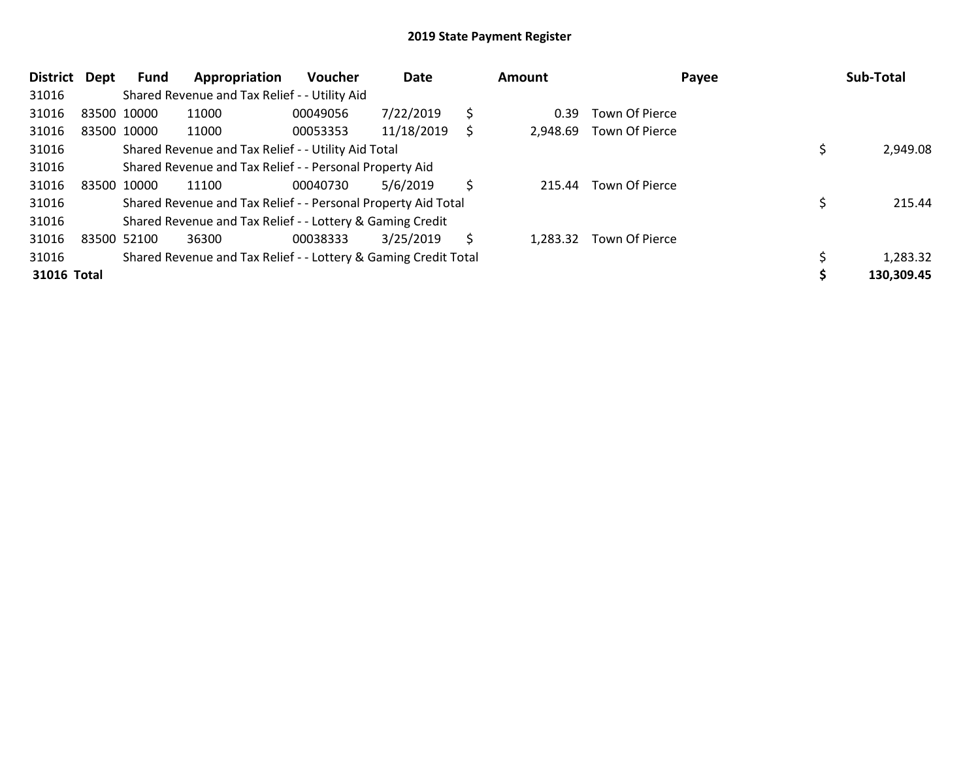| <b>District</b> | Dept | Fund        | Appropriation                                                   | <b>Voucher</b> | Date       |    | Amount   |                       | Payee | Sub-Total  |
|-----------------|------|-------------|-----------------------------------------------------------------|----------------|------------|----|----------|-----------------------|-------|------------|
| 31016           |      |             | Shared Revenue and Tax Relief - - Utility Aid                   |                |            |    |          |                       |       |            |
| 31016           |      | 83500 10000 | 11000                                                           | 00049056       | 7/22/2019  | \$ | 0.39     | <b>Town Of Pierce</b> |       |            |
| 31016           |      | 83500 10000 | 11000                                                           | 00053353       | 11/18/2019 | S  | 2,948.69 | Town Of Pierce        |       |            |
| 31016           |      |             | Shared Revenue and Tax Relief - - Utility Aid Total             |                |            |    |          |                       |       | 2,949.08   |
| 31016           |      |             | Shared Revenue and Tax Relief - - Personal Property Aid         |                |            |    |          |                       |       |            |
| 31016           |      | 83500 10000 | 11100                                                           | 00040730       | 5/6/2019   | Ŝ  | 215.44   | Town Of Pierce        |       |            |
| 31016           |      |             | Shared Revenue and Tax Relief - - Personal Property Aid Total   |                |            |    |          |                       |       | 215.44     |
| 31016           |      |             | Shared Revenue and Tax Relief - - Lottery & Gaming Credit       |                |            |    |          |                       |       |            |
| 31016           |      | 83500 52100 | 36300                                                           | 00038333       | 3/25/2019  | S  | 1,283.32 | <b>Town Of Pierce</b> |       |            |
| 31016           |      |             | Shared Revenue and Tax Relief - - Lottery & Gaming Credit Total |                |            |    |          |                       |       | 1,283.32   |
| 31016 Total     |      |             |                                                                 |                |            |    |          |                       |       | 130,309.45 |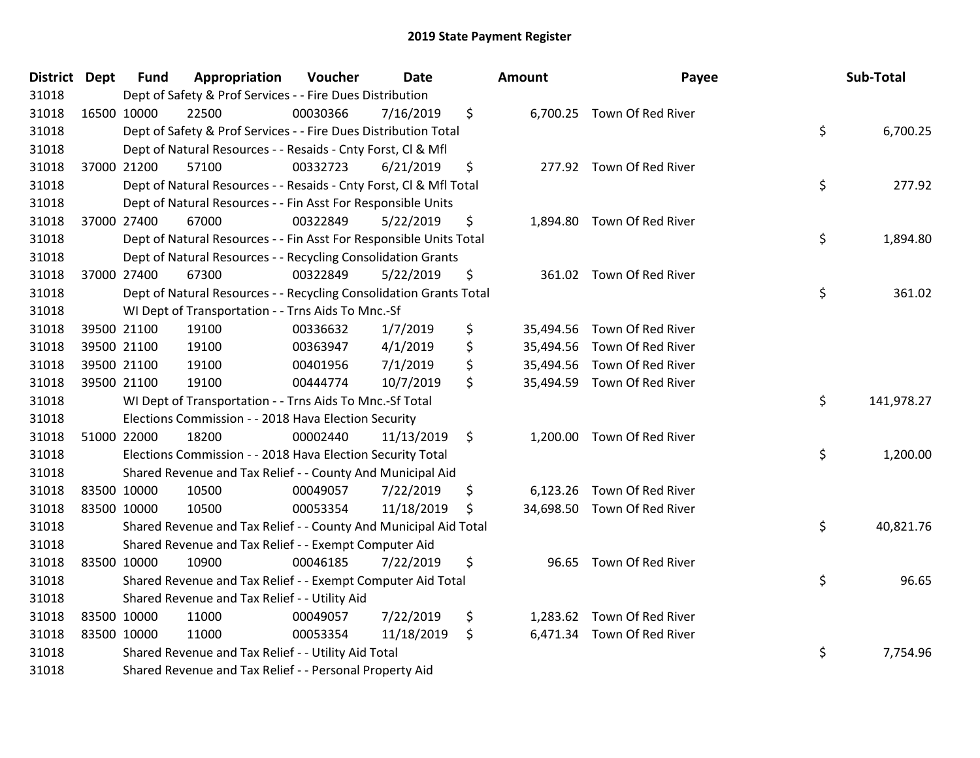| <b>District Dept</b> | <b>Fund</b> | Appropriation                                                      | Voucher  | <b>Date</b> | Amount | Payee                       | Sub-Total        |
|----------------------|-------------|--------------------------------------------------------------------|----------|-------------|--------|-----------------------------|------------------|
| 31018                |             | Dept of Safety & Prof Services - - Fire Dues Distribution          |          |             |        |                             |                  |
| 31018                | 16500 10000 | 22500                                                              | 00030366 | 7/16/2019   | \$     | 6,700.25 Town Of Red River  |                  |
| 31018                |             | Dept of Safety & Prof Services - - Fire Dues Distribution Total    |          |             |        |                             | \$<br>6,700.25   |
| 31018                |             | Dept of Natural Resources - - Resaids - Cnty Forst, CI & Mfl       |          |             |        |                             |                  |
| 31018                | 37000 21200 | 57100                                                              | 00332723 | 6/21/2019   | \$     | 277.92 Town Of Red River    |                  |
| 31018                |             | Dept of Natural Resources - - Resaids - Cnty Forst, Cl & Mfl Total |          |             |        |                             | \$<br>277.92     |
| 31018                |             | Dept of Natural Resources - - Fin Asst For Responsible Units       |          |             |        |                             |                  |
| 31018                | 37000 27400 | 67000                                                              | 00322849 | 5/22/2019   | \$     | 1,894.80 Town Of Red River  |                  |
| 31018                |             | Dept of Natural Resources - - Fin Asst For Responsible Units Total |          |             |        |                             | \$<br>1,894.80   |
| 31018                |             | Dept of Natural Resources - - Recycling Consolidation Grants       |          |             |        |                             |                  |
| 31018                | 37000 27400 | 67300                                                              | 00322849 | 5/22/2019   | \$     | 361.02 Town Of Red River    |                  |
| 31018                |             | Dept of Natural Resources - - Recycling Consolidation Grants Total |          |             |        |                             | \$<br>361.02     |
| 31018                |             | WI Dept of Transportation - - Trns Aids To Mnc.-Sf                 |          |             |        |                             |                  |
| 31018                | 39500 21100 | 19100                                                              | 00336632 | 1/7/2019    | \$     | 35,494.56 Town Of Red River |                  |
| 31018                | 39500 21100 | 19100                                                              | 00363947 | 4/1/2019    | \$     | 35,494.56 Town Of Red River |                  |
| 31018                | 39500 21100 | 19100                                                              | 00401956 | 7/1/2019    | \$     | 35,494.56 Town Of Red River |                  |
| 31018                | 39500 21100 | 19100                                                              | 00444774 | 10/7/2019   | \$     | 35,494.59 Town Of Red River |                  |
| 31018                |             | WI Dept of Transportation - - Trns Aids To Mnc.-Sf Total           |          |             |        |                             | \$<br>141,978.27 |
| 31018                |             | Elections Commission - - 2018 Hava Election Security               |          |             |        |                             |                  |
| 31018                | 51000 22000 | 18200                                                              | 00002440 | 11/13/2019  | \$     | 1,200.00 Town Of Red River  |                  |
| 31018                |             | Elections Commission - - 2018 Hava Election Security Total         |          |             |        |                             | \$<br>1,200.00   |
| 31018                |             | Shared Revenue and Tax Relief - - County And Municipal Aid         |          |             |        |                             |                  |
| 31018                | 83500 10000 | 10500                                                              | 00049057 | 7/22/2019   | \$     | 6,123.26 Town Of Red River  |                  |
| 31018                | 83500 10000 | 10500                                                              | 00053354 | 11/18/2019  | \$     | 34,698.50 Town Of Red River |                  |
| 31018                |             | Shared Revenue and Tax Relief - - County And Municipal Aid Total   |          |             |        |                             | \$<br>40,821.76  |
| 31018                |             | Shared Revenue and Tax Relief - - Exempt Computer Aid              |          |             |        |                             |                  |
| 31018                | 83500 10000 | 10900                                                              | 00046185 | 7/22/2019   | \$     | 96.65 Town Of Red River     |                  |
| 31018                |             | Shared Revenue and Tax Relief - - Exempt Computer Aid Total        |          |             |        |                             | \$<br>96.65      |
| 31018                |             | Shared Revenue and Tax Relief - - Utility Aid                      |          |             |        |                             |                  |
| 31018                | 83500 10000 | 11000                                                              | 00049057 | 7/22/2019   | \$     | 1,283.62 Town Of Red River  |                  |
| 31018                | 83500 10000 | 11000                                                              | 00053354 | 11/18/2019  | \$     | 6,471.34 Town Of Red River  |                  |
| 31018                |             | Shared Revenue and Tax Relief - - Utility Aid Total                |          |             |        |                             | \$<br>7,754.96   |
| 31018                |             | Shared Revenue and Tax Relief - - Personal Property Aid            |          |             |        |                             |                  |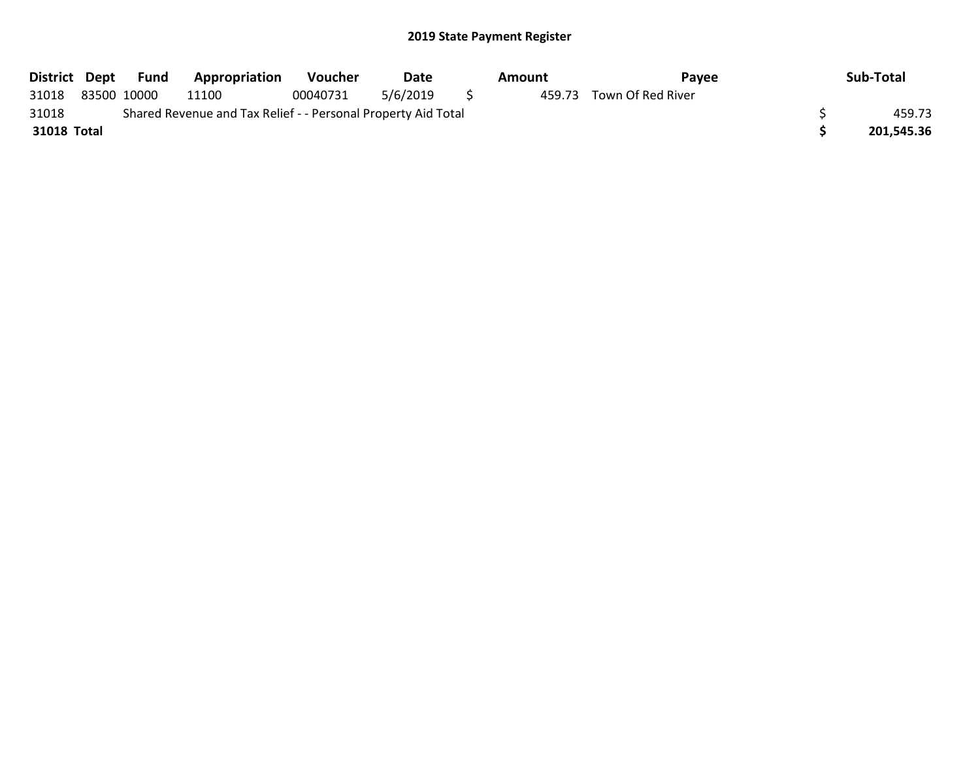| District Dept | Fund        | Appropriation                                                 | <b>Voucher</b> | Date     | Amount | Pavee             | Sub-Total  |
|---------------|-------------|---------------------------------------------------------------|----------------|----------|--------|-------------------|------------|
| 31018         | 83500 10000 | 11100                                                         | 00040731       | 5/6/2019 | 459.73 | Town Of Red River |            |
| 31018         |             | Shared Revenue and Tax Relief - - Personal Property Aid Total |                |          |        |                   | 459.73     |
| 31018 Total   |             |                                                               |                |          |        |                   | 201.545.36 |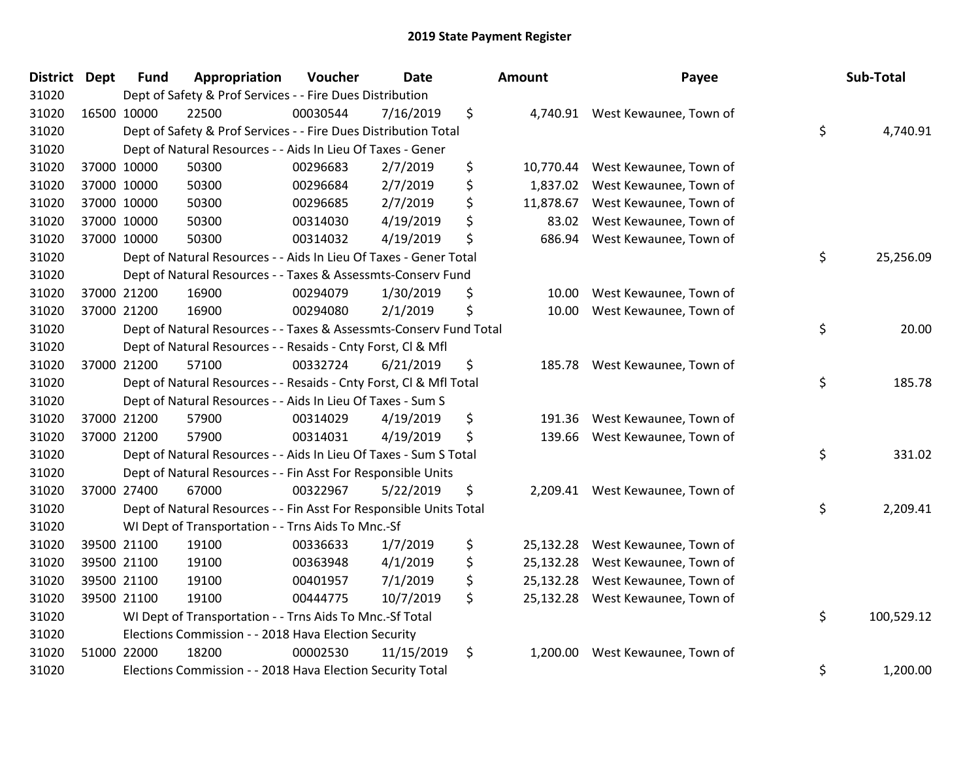| <b>District</b> | <b>Dept</b> | <b>Fund</b> | Appropriation                                                      | Voucher  | Date       | Amount          | Payee                           | Sub-Total        |
|-----------------|-------------|-------------|--------------------------------------------------------------------|----------|------------|-----------------|---------------------------------|------------------|
| 31020           |             |             | Dept of Safety & Prof Services - - Fire Dues Distribution          |          |            |                 |                                 |                  |
| 31020           |             | 16500 10000 | 22500                                                              | 00030544 | 7/16/2019  | \$<br>4,740.91  | West Kewaunee, Town of          |                  |
| 31020           |             |             | Dept of Safety & Prof Services - - Fire Dues Distribution Total    |          |            |                 |                                 | \$<br>4,740.91   |
| 31020           |             |             | Dept of Natural Resources - - Aids In Lieu Of Taxes - Gener        |          |            |                 |                                 |                  |
| 31020           |             | 37000 10000 | 50300                                                              | 00296683 | 2/7/2019   | \$<br>10,770.44 | West Kewaunee, Town of          |                  |
| 31020           |             | 37000 10000 | 50300                                                              | 00296684 | 2/7/2019   | \$<br>1,837.02  | West Kewaunee, Town of          |                  |
| 31020           |             | 37000 10000 | 50300                                                              | 00296685 | 2/7/2019   | \$<br>11,878.67 | West Kewaunee, Town of          |                  |
| 31020           |             | 37000 10000 | 50300                                                              | 00314030 | 4/19/2019  | \$<br>83.02     | West Kewaunee, Town of          |                  |
| 31020           |             | 37000 10000 | 50300                                                              | 00314032 | 4/19/2019  | \$<br>686.94    | West Kewaunee, Town of          |                  |
| 31020           |             |             | Dept of Natural Resources - - Aids In Lieu Of Taxes - Gener Total  |          |            |                 |                                 | \$<br>25,256.09  |
| 31020           |             |             | Dept of Natural Resources - - Taxes & Assessmts-Conserv Fund       |          |            |                 |                                 |                  |
| 31020           |             | 37000 21200 | 16900                                                              | 00294079 | 1/30/2019  | \$<br>10.00     | West Kewaunee, Town of          |                  |
| 31020           |             | 37000 21200 | 16900                                                              | 00294080 | 2/1/2019   | \$<br>10.00     | West Kewaunee, Town of          |                  |
| 31020           |             |             | Dept of Natural Resources - - Taxes & Assessmts-Conserv Fund Total |          |            |                 |                                 | \$<br>20.00      |
| 31020           |             |             | Dept of Natural Resources - - Resaids - Cnty Forst, Cl & Mfl       |          |            |                 |                                 |                  |
| 31020           |             | 37000 21200 | 57100                                                              | 00332724 | 6/21/2019  | \$<br>185.78    | West Kewaunee, Town of          |                  |
| 31020           |             |             | Dept of Natural Resources - - Resaids - Cnty Forst, Cl & Mfl Total |          |            |                 |                                 | \$<br>185.78     |
| 31020           |             |             | Dept of Natural Resources - - Aids In Lieu Of Taxes - Sum S        |          |            |                 |                                 |                  |
| 31020           |             | 37000 21200 | 57900                                                              | 00314029 | 4/19/2019  | \$<br>191.36    | West Kewaunee, Town of          |                  |
| 31020           |             | 37000 21200 | 57900                                                              | 00314031 | 4/19/2019  | \$<br>139.66    | West Kewaunee, Town of          |                  |
| 31020           |             |             | Dept of Natural Resources - - Aids In Lieu Of Taxes - Sum S Total  |          |            |                 |                                 | \$<br>331.02     |
| 31020           |             |             | Dept of Natural Resources - - Fin Asst For Responsible Units       |          |            |                 |                                 |                  |
| 31020           |             | 37000 27400 | 67000                                                              | 00322967 | 5/22/2019  | \$              | 2,209.41 West Kewaunee, Town of |                  |
| 31020           |             |             | Dept of Natural Resources - - Fin Asst For Responsible Units Total |          |            |                 |                                 | \$<br>2,209.41   |
| 31020           |             |             | WI Dept of Transportation - - Trns Aids To Mnc.-Sf                 |          |            |                 |                                 |                  |
| 31020           |             | 39500 21100 | 19100                                                              | 00336633 | 1/7/2019   | \$<br>25,132.28 | West Kewaunee, Town of          |                  |
| 31020           |             | 39500 21100 | 19100                                                              | 00363948 | 4/1/2019   | \$<br>25,132.28 | West Kewaunee, Town of          |                  |
| 31020           |             | 39500 21100 | 19100                                                              | 00401957 | 7/1/2019   | \$<br>25,132.28 | West Kewaunee, Town of          |                  |
| 31020           |             | 39500 21100 | 19100                                                              | 00444775 | 10/7/2019  | \$<br>25,132.28 | West Kewaunee, Town of          |                  |
| 31020           |             |             | WI Dept of Transportation - - Trns Aids To Mnc.-Sf Total           |          |            |                 |                                 | \$<br>100,529.12 |
| 31020           |             |             | Elections Commission - - 2018 Hava Election Security               |          |            |                 |                                 |                  |
| 31020           |             | 51000 22000 | 18200                                                              | 00002530 | 11/15/2019 | \$<br>1,200.00  | West Kewaunee, Town of          |                  |
| 31020           |             |             | Elections Commission - - 2018 Hava Election Security Total         |          |            |                 |                                 | \$<br>1,200.00   |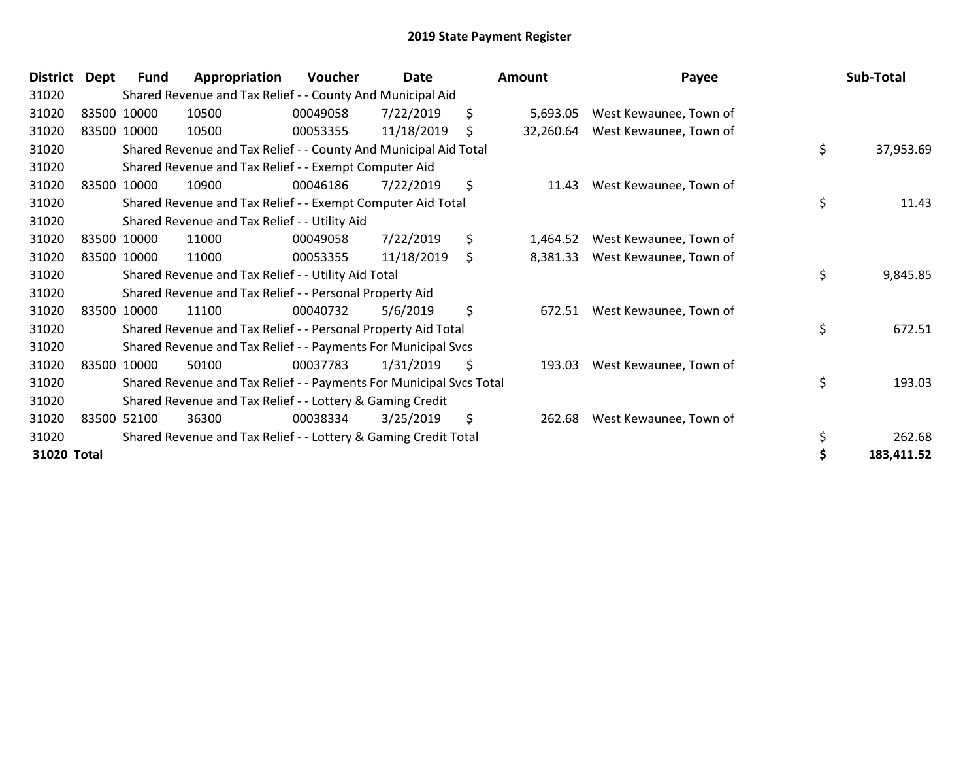| <b>District</b> | Dept | <b>Fund</b> | Appropriation                                                       | Voucher  | Date       |     | Amount    | Payee                  | Sub-Total        |
|-----------------|------|-------------|---------------------------------------------------------------------|----------|------------|-----|-----------|------------------------|------------------|
| 31020           |      |             | Shared Revenue and Tax Relief - - County And Municipal Aid          |          |            |     |           |                        |                  |
| 31020           |      | 83500 10000 | 10500                                                               | 00049058 | 7/22/2019  | \$  | 5,693.05  | West Kewaunee, Town of |                  |
| 31020           |      | 83500 10000 | 10500                                                               | 00053355 | 11/18/2019 | \$  | 32,260.64 | West Kewaunee, Town of |                  |
| 31020           |      |             | Shared Revenue and Tax Relief - - County And Municipal Aid Total    |          |            |     |           |                        | \$<br>37,953.69  |
| 31020           |      |             | Shared Revenue and Tax Relief - - Exempt Computer Aid               |          |            |     |           |                        |                  |
| 31020           |      | 83500 10000 | 10900                                                               | 00046186 | 7/22/2019  | \$  | 11.43     | West Kewaunee, Town of |                  |
| 31020           |      |             | Shared Revenue and Tax Relief - - Exempt Computer Aid Total         |          |            |     |           |                        | \$<br>11.43      |
| 31020           |      |             | Shared Revenue and Tax Relief - - Utility Aid                       |          |            |     |           |                        |                  |
| 31020           |      | 83500 10000 | 11000                                                               | 00049058 | 7/22/2019  | \$  | 1,464.52  | West Kewaunee, Town of |                  |
| 31020           |      | 83500 10000 | 11000                                                               | 00053355 | 11/18/2019 | \$  | 8,381.33  | West Kewaunee, Town of |                  |
| 31020           |      |             | Shared Revenue and Tax Relief - - Utility Aid Total                 |          |            |     |           |                        | \$<br>9,845.85   |
| 31020           |      |             | Shared Revenue and Tax Relief - - Personal Property Aid             |          |            |     |           |                        |                  |
| 31020           |      | 83500 10000 | 11100                                                               | 00040732 | 5/6/2019   | \$  | 672.51    | West Kewaunee, Town of |                  |
| 31020           |      |             | Shared Revenue and Tax Relief - - Personal Property Aid Total       |          |            |     |           |                        | \$<br>672.51     |
| 31020           |      |             | Shared Revenue and Tax Relief - - Payments For Municipal Svcs       |          |            |     |           |                        |                  |
| 31020           |      | 83500 10000 | 50100                                                               | 00037783 | 1/31/2019  | \$  | 193.03    | West Kewaunee, Town of |                  |
| 31020           |      |             | Shared Revenue and Tax Relief - - Payments For Municipal Svcs Total |          |            |     |           |                        | \$<br>193.03     |
| 31020           |      |             | Shared Revenue and Tax Relief - - Lottery & Gaming Credit           |          |            |     |           |                        |                  |
| 31020           |      | 83500 52100 | 36300                                                               | 00038334 | 3/25/2019  | \$. | 262.68    | West Kewaunee, Town of |                  |
| 31020           |      |             | Shared Revenue and Tax Relief - - Lottery & Gaming Credit Total     |          |            |     |           |                        | \$<br>262.68     |
| 31020 Total     |      |             |                                                                     |          |            |     |           |                        | \$<br>183,411.52 |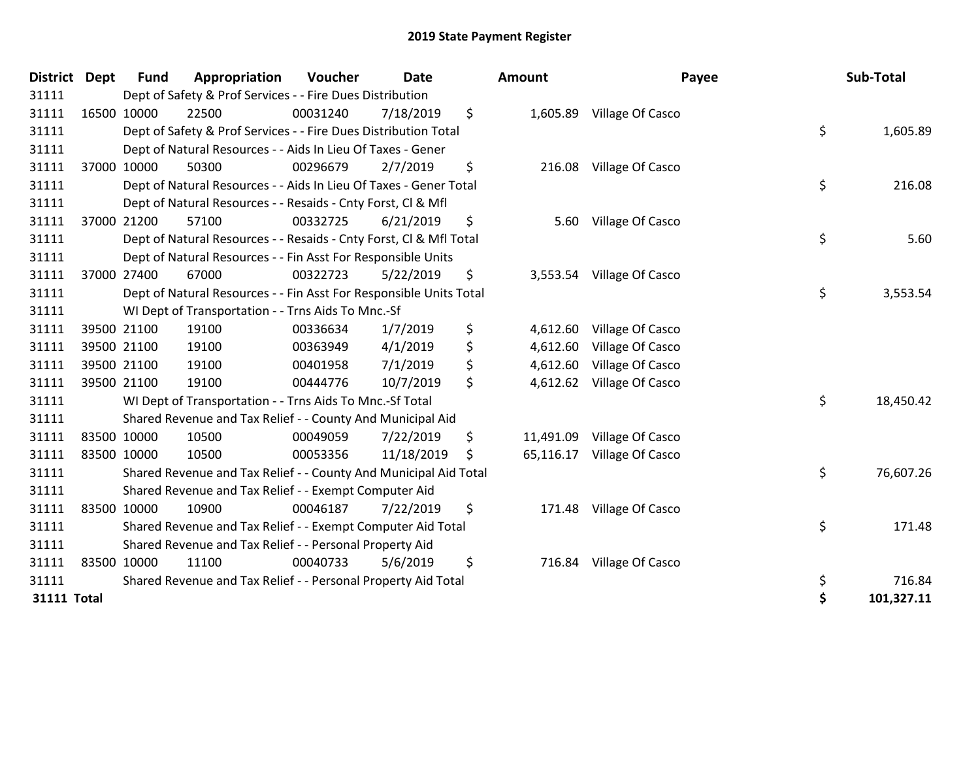| <b>District</b>    | Dept        | <b>Fund</b> | Appropriation                                                      | Voucher  | <b>Date</b> | Amount         | Payee                      | Sub-Total        |
|--------------------|-------------|-------------|--------------------------------------------------------------------|----------|-------------|----------------|----------------------------|------------------|
| 31111              |             |             | Dept of Safety & Prof Services - - Fire Dues Distribution          |          |             |                |                            |                  |
| 31111              |             | 16500 10000 | 22500                                                              | 00031240 | 7/18/2019   | \$             | 1,605.89 Village Of Casco  |                  |
| 31111              |             |             | Dept of Safety & Prof Services - - Fire Dues Distribution Total    |          |             |                |                            | \$<br>1,605.89   |
| 31111              |             |             | Dept of Natural Resources - - Aids In Lieu Of Taxes - Gener        |          |             |                |                            |                  |
| 31111              |             | 37000 10000 | 50300                                                              | 00296679 | 2/7/2019    | \$             | 216.08 Village Of Casco    |                  |
| 31111              |             |             | Dept of Natural Resources - - Aids In Lieu Of Taxes - Gener Total  |          |             |                |                            | \$<br>216.08     |
| 31111              |             |             | Dept of Natural Resources - - Resaids - Cnty Forst, CI & Mfl       |          |             |                |                            |                  |
| 31111              |             | 37000 21200 | 57100                                                              | 00332725 | 6/21/2019   | \$             | 5.60 Village Of Casco      |                  |
| 31111              |             |             | Dept of Natural Resources - - Resaids - Cnty Forst, Cl & Mfl Total |          |             |                |                            | \$<br>5.60       |
| 31111              |             |             | Dept of Natural Resources - - Fin Asst For Responsible Units       |          |             |                |                            |                  |
| 31111              |             | 37000 27400 | 67000                                                              | 00322723 | 5/22/2019   | \$<br>3,553.54 | Village Of Casco           |                  |
| 31111              |             |             | Dept of Natural Resources - - Fin Asst For Responsible Units Total |          |             |                |                            | \$<br>3,553.54   |
| 31111              |             |             | WI Dept of Transportation - - Trns Aids To Mnc.-Sf                 |          |             |                |                            |                  |
| 31111              |             | 39500 21100 | 19100                                                              | 00336634 | 1/7/2019    | \$<br>4,612.60 | Village Of Casco           |                  |
| 31111              |             | 39500 21100 | 19100                                                              | 00363949 | 4/1/2019    | \$<br>4,612.60 | Village Of Casco           |                  |
| 31111              |             | 39500 21100 | 19100                                                              | 00401958 | 7/1/2019    | \$<br>4,612.60 | Village Of Casco           |                  |
| 31111              |             | 39500 21100 | 19100                                                              | 00444776 | 10/7/2019   | \$             | 4,612.62 Village Of Casco  |                  |
| 31111              |             |             | WI Dept of Transportation - - Trns Aids To Mnc.-Sf Total           |          |             |                |                            | \$<br>18,450.42  |
| 31111              |             |             | Shared Revenue and Tax Relief - - County And Municipal Aid         |          |             |                |                            |                  |
| 31111              |             | 83500 10000 | 10500                                                              | 00049059 | 7/22/2019   | \$             | 11,491.09 Village Of Casco |                  |
| 31111              |             | 83500 10000 | 10500                                                              | 00053356 | 11/18/2019  | \$             | 65,116.17 Village Of Casco |                  |
| 31111              |             |             | Shared Revenue and Tax Relief - - County And Municipal Aid Total   |          |             |                |                            | \$<br>76,607.26  |
| 31111              |             |             | Shared Revenue and Tax Relief - - Exempt Computer Aid              |          |             |                |                            |                  |
| 31111              | 83500 10000 |             | 10900                                                              | 00046187 | 7/22/2019   | \$             | 171.48 Village Of Casco    |                  |
| 31111              |             |             | Shared Revenue and Tax Relief - - Exempt Computer Aid Total        |          |             |                |                            | \$<br>171.48     |
| 31111              |             |             | Shared Revenue and Tax Relief - - Personal Property Aid            |          |             |                |                            |                  |
| 31111              |             | 83500 10000 | 11100                                                              | 00040733 | 5/6/2019    | \$<br>716.84   | Village Of Casco           |                  |
| 31111              |             |             | Shared Revenue and Tax Relief - - Personal Property Aid Total      |          |             |                |                            | \$<br>716.84     |
| <b>31111 Total</b> |             |             |                                                                    |          |             |                |                            | \$<br>101,327.11 |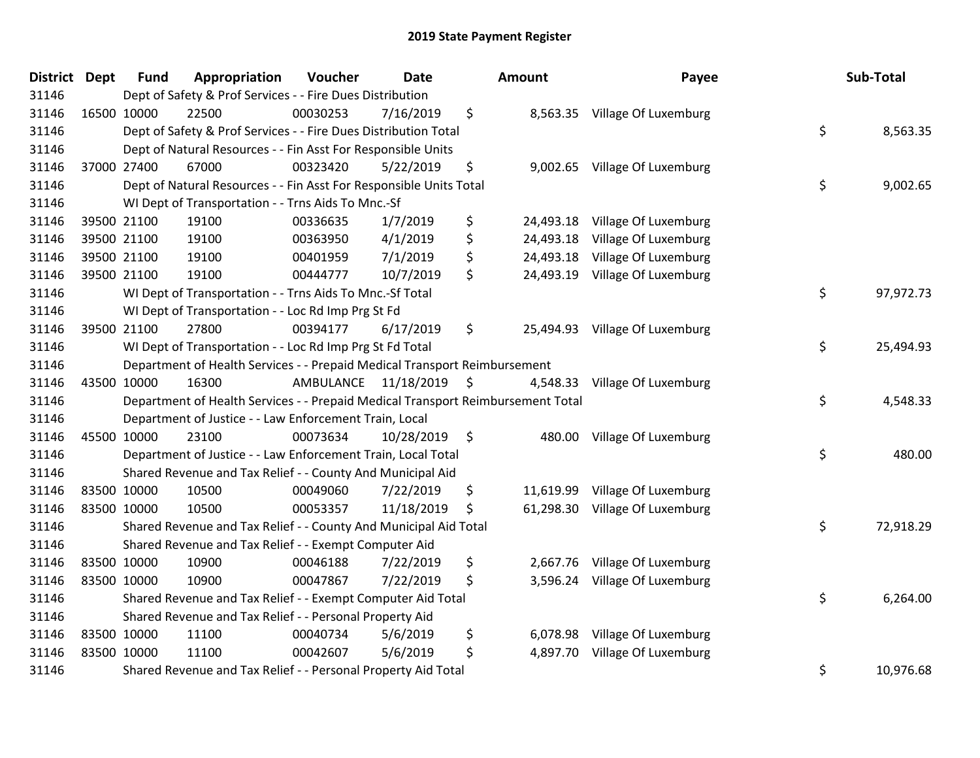| District Dept |             | <b>Fund</b> | Appropriation                                                                   | Voucher              | <b>Date</b> |                     | Amount    | Payee                          | Sub-Total       |
|---------------|-------------|-------------|---------------------------------------------------------------------------------|----------------------|-------------|---------------------|-----------|--------------------------------|-----------------|
| 31146         |             |             | Dept of Safety & Prof Services - - Fire Dues Distribution                       |                      |             |                     |           |                                |                 |
| 31146         | 16500 10000 |             | 22500                                                                           | 00030253             | 7/16/2019   | \$                  |           | 8,563.35 Village Of Luxemburg  |                 |
| 31146         |             |             | Dept of Safety & Prof Services - - Fire Dues Distribution Total                 |                      |             |                     |           |                                | \$<br>8,563.35  |
| 31146         |             |             | Dept of Natural Resources - - Fin Asst For Responsible Units                    |                      |             |                     |           |                                |                 |
| 31146         |             | 37000 27400 | 67000                                                                           | 00323420             | 5/22/2019   | \$                  | 9,002.65  | Village Of Luxemburg           |                 |
| 31146         |             |             | Dept of Natural Resources - - Fin Asst For Responsible Units Total              |                      |             |                     |           |                                | \$<br>9,002.65  |
| 31146         |             |             | WI Dept of Transportation - - Trns Aids To Mnc.-Sf                              |                      |             |                     |           |                                |                 |
| 31146         |             | 39500 21100 | 19100                                                                           | 00336635             | 1/7/2019    | \$                  | 24,493.18 | Village Of Luxemburg           |                 |
| 31146         | 39500 21100 |             | 19100                                                                           | 00363950             | 4/1/2019    | \$                  | 24,493.18 | Village Of Luxemburg           |                 |
| 31146         |             | 39500 21100 | 19100                                                                           | 00401959             | 7/1/2019    | \$                  | 24,493.18 | Village Of Luxemburg           |                 |
| 31146         |             | 39500 21100 | 19100                                                                           | 00444777             | 10/7/2019   | \$                  | 24,493.19 | Village Of Luxemburg           |                 |
| 31146         |             |             | WI Dept of Transportation - - Trns Aids To Mnc.-Sf Total                        |                      |             |                     |           |                                | \$<br>97,972.73 |
| 31146         |             |             | WI Dept of Transportation - - Loc Rd Imp Prg St Fd                              |                      |             |                     |           |                                |                 |
| 31146         |             | 39500 21100 | 27800                                                                           | 00394177             | 6/17/2019   | \$                  |           | 25,494.93 Village Of Luxemburg |                 |
| 31146         |             |             | WI Dept of Transportation - - Loc Rd Imp Prg St Fd Total                        |                      |             |                     |           |                                | \$<br>25,494.93 |
| 31146         |             |             | Department of Health Services - - Prepaid Medical Transport Reimbursement       |                      |             |                     |           |                                |                 |
| 31146         |             | 43500 10000 | 16300                                                                           | AMBULANCE 11/18/2019 |             | $\ddot{\mathsf{S}}$ | 4,548.33  | Village Of Luxemburg           |                 |
| 31146         |             |             | Department of Health Services - - Prepaid Medical Transport Reimbursement Total |                      |             |                     |           |                                | \$<br>4,548.33  |
| 31146         |             |             | Department of Justice - - Law Enforcement Train, Local                          |                      |             |                     |           |                                |                 |
| 31146         | 45500 10000 |             | 23100                                                                           | 00073634             | 10/28/2019  | - \$                | 480.00    | Village Of Luxemburg           |                 |
| 31146         |             |             | Department of Justice - - Law Enforcement Train, Local Total                    |                      |             |                     |           |                                | \$<br>480.00    |
| 31146         |             |             | Shared Revenue and Tax Relief - - County And Municipal Aid                      |                      |             |                     |           |                                |                 |
| 31146         | 83500 10000 |             | 10500                                                                           | 00049060             | 7/22/2019   | \$                  |           | 11,619.99 Village Of Luxemburg |                 |
| 31146         | 83500 10000 |             | 10500                                                                           | 00053357             | 11/18/2019  | \$                  |           | 61,298.30 Village Of Luxemburg |                 |
| 31146         |             |             | Shared Revenue and Tax Relief - - County And Municipal Aid Total                |                      |             |                     |           |                                | \$<br>72,918.29 |
| 31146         |             |             | Shared Revenue and Tax Relief - - Exempt Computer Aid                           |                      |             |                     |           |                                |                 |
| 31146         | 83500 10000 |             | 10900                                                                           | 00046188             | 7/22/2019   | \$                  | 2,667.76  | Village Of Luxemburg           |                 |
| 31146         | 83500 10000 |             | 10900                                                                           | 00047867             | 7/22/2019   | \$                  |           | 3,596.24 Village Of Luxemburg  |                 |
| 31146         |             |             | Shared Revenue and Tax Relief - - Exempt Computer Aid Total                     |                      |             |                     |           |                                | \$<br>6,264.00  |
| 31146         |             |             | Shared Revenue and Tax Relief - - Personal Property Aid                         |                      |             |                     |           |                                |                 |
| 31146         | 83500 10000 |             | 11100                                                                           | 00040734             | 5/6/2019    | \$                  | 6,078.98  | Village Of Luxemburg           |                 |
| 31146         | 83500 10000 |             | 11100                                                                           | 00042607             | 5/6/2019    | \$                  | 4,897.70  | Village Of Luxemburg           |                 |
| 31146         |             |             | Shared Revenue and Tax Relief - - Personal Property Aid Total                   |                      |             |                     |           |                                | \$<br>10,976.68 |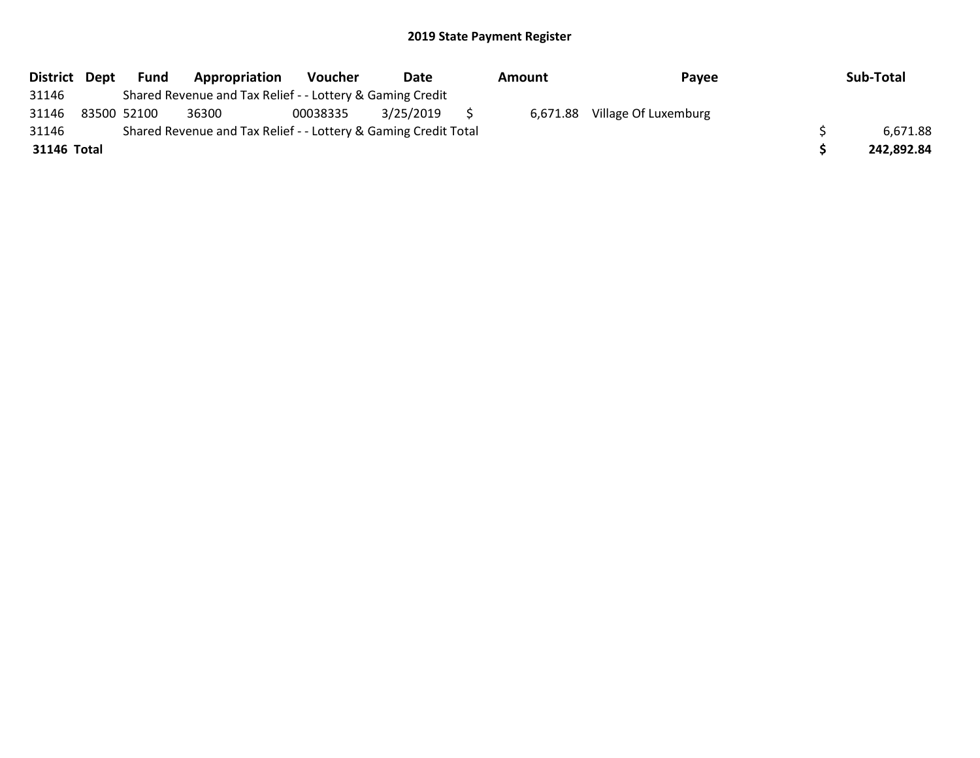| District Dept | Fund        | Appropriation                                                   | <b>Voucher</b> | Date      | Amount   | Payee                | Sub-Total  |
|---------------|-------------|-----------------------------------------------------------------|----------------|-----------|----------|----------------------|------------|
| 31146         |             | Shared Revenue and Tax Relief - - Lottery & Gaming Credit       |                |           |          |                      |            |
| 31146         | 83500 52100 | 36300                                                           | 00038335       | 3/25/2019 | 6,671.88 | Village Of Luxemburg |            |
| 31146         |             | Shared Revenue and Tax Relief - - Lottery & Gaming Credit Total |                |           |          |                      | 6,671.88   |
| 31146 Total   |             |                                                                 |                |           |          |                      | 242,892.84 |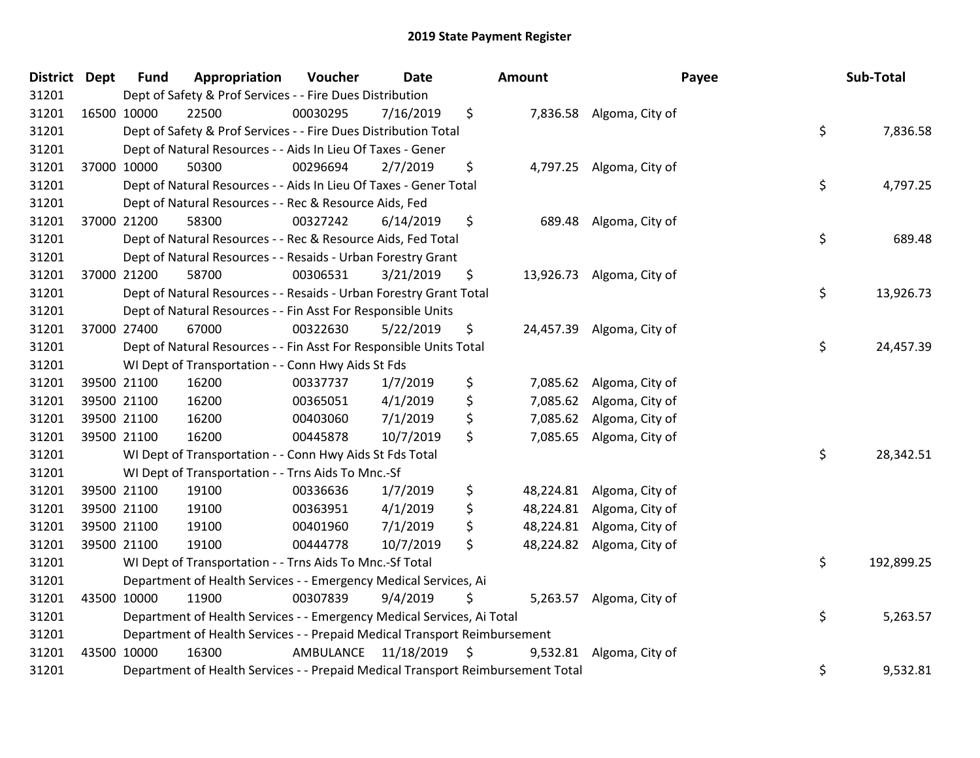| District Dept | <b>Fund</b> | Appropriation                                                                   | Voucher   | <b>Date</b> | Amount          |                           | Payee | Sub-Total  |
|---------------|-------------|---------------------------------------------------------------------------------|-----------|-------------|-----------------|---------------------------|-------|------------|
| 31201         |             | Dept of Safety & Prof Services - - Fire Dues Distribution                       |           |             |                 |                           |       |            |
| 31201         | 16500 10000 | 22500                                                                           | 00030295  | 7/16/2019   | \$              | 7,836.58 Algoma, City of  |       |            |
| 31201         |             | Dept of Safety & Prof Services - - Fire Dues Distribution Total                 |           |             |                 |                           | \$    | 7,836.58   |
| 31201         |             | Dept of Natural Resources - - Aids In Lieu Of Taxes - Gener                     |           |             |                 |                           |       |            |
| 31201         | 37000 10000 | 50300                                                                           | 00296694  | 2/7/2019    | \$              | 4,797.25 Algoma, City of  |       |            |
| 31201         |             | Dept of Natural Resources - - Aids In Lieu Of Taxes - Gener Total               |           |             |                 |                           | \$    | 4,797.25   |
| 31201         |             | Dept of Natural Resources - - Rec & Resource Aids, Fed                          |           |             |                 |                           |       |            |
| 31201         | 37000 21200 | 58300                                                                           | 00327242  | 6/14/2019   | \$<br>689.48    | Algoma, City of           |       |            |
| 31201         |             | Dept of Natural Resources - - Rec & Resource Aids, Fed Total                    |           |             |                 |                           | \$    | 689.48     |
| 31201         |             | Dept of Natural Resources - - Resaids - Urban Forestry Grant                    |           |             |                 |                           |       |            |
| 31201         | 37000 21200 | 58700                                                                           | 00306531  | 3/21/2019   | \$              | 13,926.73 Algoma, City of |       |            |
| 31201         |             | Dept of Natural Resources - - Resaids - Urban Forestry Grant Total              |           |             |                 |                           | \$    | 13,926.73  |
| 31201         |             | Dept of Natural Resources - - Fin Asst For Responsible Units                    |           |             |                 |                           |       |            |
| 31201         | 37000 27400 | 67000                                                                           | 00322630  | 5/22/2019   | \$              | 24,457.39 Algoma, City of |       |            |
| 31201         |             | Dept of Natural Resources - - Fin Asst For Responsible Units Total              |           |             |                 |                           | \$    | 24,457.39  |
| 31201         |             | WI Dept of Transportation - - Conn Hwy Aids St Fds                              |           |             |                 |                           |       |            |
| 31201         | 39500 21100 | 16200                                                                           | 00337737  | 1/7/2019    | \$<br>7,085.62  | Algoma, City of           |       |            |
| 31201         | 39500 21100 | 16200                                                                           | 00365051  | 4/1/2019    | \$              | 7,085.62 Algoma, City of  |       |            |
| 31201         | 39500 21100 | 16200                                                                           | 00403060  | 7/1/2019    | \$<br>7,085.62  | Algoma, City of           |       |            |
| 31201         | 39500 21100 | 16200                                                                           | 00445878  | 10/7/2019   | \$              | 7,085.65 Algoma, City of  |       |            |
| 31201         |             | WI Dept of Transportation - - Conn Hwy Aids St Fds Total                        |           |             |                 |                           | \$    | 28,342.51  |
| 31201         |             | WI Dept of Transportation - - Trns Aids To Mnc.-Sf                              |           |             |                 |                           |       |            |
| 31201         | 39500 21100 | 19100                                                                           | 00336636  | 1/7/2019    | \$              | 48,224.81 Algoma, City of |       |            |
| 31201         | 39500 21100 | 19100                                                                           | 00363951  | 4/1/2019    | \$              | 48,224.81 Algoma, City of |       |            |
| 31201         | 39500 21100 | 19100                                                                           | 00401960  | 7/1/2019    | \$<br>48,224.81 | Algoma, City of           |       |            |
| 31201         | 39500 21100 | 19100                                                                           | 00444778  | 10/7/2019   | \$              | 48,224.82 Algoma, City of |       |            |
| 31201         |             | WI Dept of Transportation - - Trns Aids To Mnc.-Sf Total                        |           |             |                 |                           | \$    | 192,899.25 |
| 31201         |             | Department of Health Services - - Emergency Medical Services, Ai                |           |             |                 |                           |       |            |
| 31201         | 43500 10000 | 11900                                                                           | 00307839  | 9/4/2019    | \$              | 5,263.57 Algoma, City of  |       |            |
| 31201         |             | Department of Health Services - - Emergency Medical Services, Ai Total          |           |             |                 |                           | \$    | 5,263.57   |
| 31201         |             | Department of Health Services - - Prepaid Medical Transport Reimbursement       |           |             |                 |                           |       |            |
| 31201         | 43500 10000 | 16300                                                                           | AMBULANCE | 11/18/2019  | \$<br>9,532.81  | Algoma, City of           |       |            |
| 31201         |             | Department of Health Services - - Prepaid Medical Transport Reimbursement Total |           |             |                 |                           | \$    | 9,532.81   |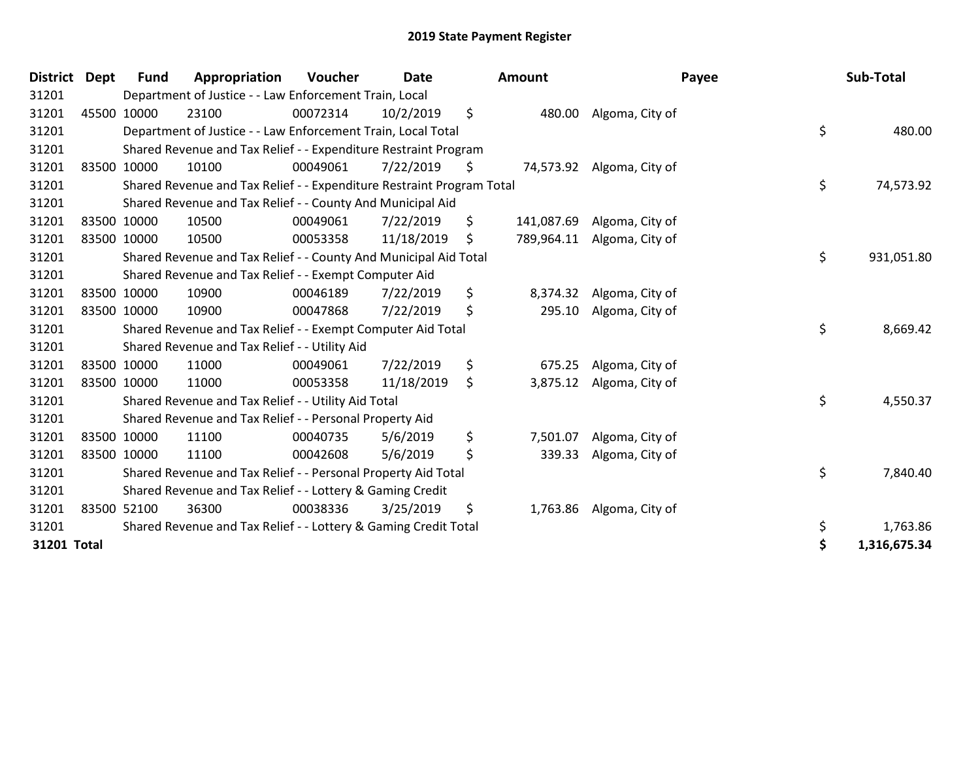| <b>District</b> | <b>Dept</b> | <b>Fund</b> | Appropriation                                                         | Voucher  | <b>Date</b> | Amount           | Payee                     | Sub-Total          |
|-----------------|-------------|-------------|-----------------------------------------------------------------------|----------|-------------|------------------|---------------------------|--------------------|
| 31201           |             |             | Department of Justice - - Law Enforcement Train, Local                |          |             |                  |                           |                    |
| 31201           | 45500 10000 |             | 23100                                                                 | 00072314 | 10/2/2019   | \$<br>480.00     | Algoma, City of           |                    |
| 31201           |             |             | Department of Justice - - Law Enforcement Train, Local Total          |          |             |                  |                           | \$<br>480.00       |
| 31201           |             |             | Shared Revenue and Tax Relief - - Expenditure Restraint Program       |          |             |                  |                           |                    |
| 31201           | 83500 10000 |             | 10100                                                                 | 00049061 | 7/22/2019   | \$               | 74,573.92 Algoma, City of |                    |
| 31201           |             |             | Shared Revenue and Tax Relief - - Expenditure Restraint Program Total |          |             |                  |                           | \$<br>74,573.92    |
| 31201           |             |             | Shared Revenue and Tax Relief - - County And Municipal Aid            |          |             |                  |                           |                    |
| 31201           | 83500 10000 |             | 10500                                                                 | 00049061 | 7/22/2019   | \$<br>141,087.69 | Algoma, City of           |                    |
| 31201           | 83500 10000 |             | 10500                                                                 | 00053358 | 11/18/2019  | \$<br>789,964.11 | Algoma, City of           |                    |
| 31201           |             |             | Shared Revenue and Tax Relief - - County And Municipal Aid Total      |          |             |                  |                           | \$<br>931,051.80   |
| 31201           |             |             | Shared Revenue and Tax Relief - - Exempt Computer Aid                 |          |             |                  |                           |                    |
| 31201           | 83500 10000 |             | 10900                                                                 | 00046189 | 7/22/2019   | \$<br>8,374.32   | Algoma, City of           |                    |
| 31201           | 83500 10000 |             | 10900                                                                 | 00047868 | 7/22/2019   | \$<br>295.10     | Algoma, City of           |                    |
| 31201           |             |             | Shared Revenue and Tax Relief - - Exempt Computer Aid Total           |          |             |                  |                           | \$<br>8,669.42     |
| 31201           |             |             | Shared Revenue and Tax Relief - - Utility Aid                         |          |             |                  |                           |                    |
| 31201           | 83500 10000 |             | 11000                                                                 | 00049061 | 7/22/2019   | \$<br>675.25     | Algoma, City of           |                    |
| 31201           | 83500 10000 |             | 11000                                                                 | 00053358 | 11/18/2019  | \$<br>3,875.12   | Algoma, City of           |                    |
| 31201           |             |             | Shared Revenue and Tax Relief - - Utility Aid Total                   |          |             |                  |                           | \$<br>4,550.37     |
| 31201           |             |             | Shared Revenue and Tax Relief - - Personal Property Aid               |          |             |                  |                           |                    |
| 31201           | 83500 10000 |             | 11100                                                                 | 00040735 | 5/6/2019    | \$<br>7,501.07   | Algoma, City of           |                    |
| 31201           | 83500 10000 |             | 11100                                                                 | 00042608 | 5/6/2019    | \$<br>339.33     | Algoma, City of           |                    |
| 31201           |             |             | Shared Revenue and Tax Relief - - Personal Property Aid Total         |          |             |                  |                           | \$<br>7,840.40     |
| 31201           |             |             | Shared Revenue and Tax Relief - - Lottery & Gaming Credit             |          |             |                  |                           |                    |
| 31201           | 83500 52100 |             | 36300                                                                 | 00038336 | 3/25/2019   | \$               | 1,763.86 Algoma, City of  |                    |
| 31201           |             |             | Shared Revenue and Tax Relief - - Lottery & Gaming Credit Total       |          |             |                  |                           | \$<br>1,763.86     |
| 31201 Total     |             |             |                                                                       |          |             |                  |                           | \$<br>1,316,675.34 |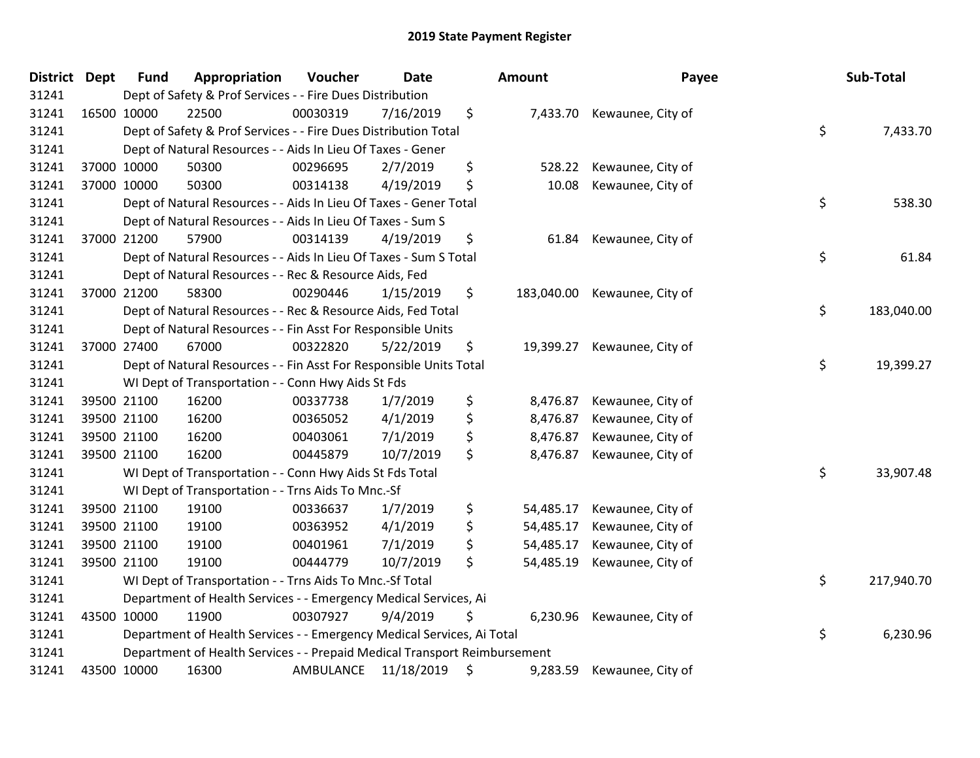| District Dept | <b>Fund</b> | Appropriation                                                             | Voucher   | <b>Date</b> | Amount          | Payee                        | Sub-Total        |
|---------------|-------------|---------------------------------------------------------------------------|-----------|-------------|-----------------|------------------------------|------------------|
| 31241         |             | Dept of Safety & Prof Services - - Fire Dues Distribution                 |           |             |                 |                              |                  |
| 31241         | 16500 10000 | 22500                                                                     | 00030319  | 7/16/2019   | \$              | 7,433.70 Kewaunee, City of   |                  |
| 31241         |             | Dept of Safety & Prof Services - - Fire Dues Distribution Total           |           |             |                 |                              | \$<br>7,433.70   |
| 31241         |             | Dept of Natural Resources - - Aids In Lieu Of Taxes - Gener               |           |             |                 |                              |                  |
| 31241         | 37000 10000 | 50300                                                                     | 00296695  | 2/7/2019    | \$<br>528.22    | Kewaunee, City of            |                  |
| 31241         | 37000 10000 | 50300                                                                     | 00314138  | 4/19/2019   | \$<br>10.08     | Kewaunee, City of            |                  |
| 31241         |             | Dept of Natural Resources - - Aids In Lieu Of Taxes - Gener Total         |           |             |                 |                              | \$<br>538.30     |
| 31241         |             | Dept of Natural Resources - - Aids In Lieu Of Taxes - Sum S               |           |             |                 |                              |                  |
| 31241         | 37000 21200 | 57900                                                                     | 00314139  | 4/19/2019   | \$<br>61.84     | Kewaunee, City of            |                  |
| 31241         |             | Dept of Natural Resources - - Aids In Lieu Of Taxes - Sum S Total         |           |             |                 |                              | \$<br>61.84      |
| 31241         |             | Dept of Natural Resources - - Rec & Resource Aids, Fed                    |           |             |                 |                              |                  |
| 31241         | 37000 21200 | 58300                                                                     | 00290446  | 1/15/2019   | \$              | 183,040.00 Kewaunee, City of |                  |
| 31241         |             | Dept of Natural Resources - - Rec & Resource Aids, Fed Total              |           |             |                 |                              | \$<br>183,040.00 |
| 31241         |             | Dept of Natural Resources - - Fin Asst For Responsible Units              |           |             |                 |                              |                  |
| 31241         | 37000 27400 | 67000                                                                     | 00322820  | 5/22/2019   | \$<br>19,399.27 | Kewaunee, City of            |                  |
| 31241         |             | Dept of Natural Resources - - Fin Asst For Responsible Units Total        |           |             |                 |                              | \$<br>19,399.27  |
| 31241         |             | WI Dept of Transportation - - Conn Hwy Aids St Fds                        |           |             |                 |                              |                  |
| 31241         | 39500 21100 | 16200                                                                     | 00337738  | 1/7/2019    | \$<br>8,476.87  | Kewaunee, City of            |                  |
| 31241         | 39500 21100 | 16200                                                                     | 00365052  | 4/1/2019    | \$<br>8,476.87  | Kewaunee, City of            |                  |
| 31241         | 39500 21100 | 16200                                                                     | 00403061  | 7/1/2019    | \$<br>8,476.87  | Kewaunee, City of            |                  |
| 31241         | 39500 21100 | 16200                                                                     | 00445879  | 10/7/2019   | \$<br>8,476.87  | Kewaunee, City of            |                  |
| 31241         |             | WI Dept of Transportation - - Conn Hwy Aids St Fds Total                  |           |             |                 |                              | \$<br>33,907.48  |
| 31241         |             | WI Dept of Transportation - - Trns Aids To Mnc.-Sf                        |           |             |                 |                              |                  |
| 31241         | 39500 21100 | 19100                                                                     | 00336637  | 1/7/2019    | \$<br>54,485.17 | Kewaunee, City of            |                  |
| 31241         | 39500 21100 | 19100                                                                     | 00363952  | 4/1/2019    | \$<br>54,485.17 | Kewaunee, City of            |                  |
| 31241         | 39500 21100 | 19100                                                                     | 00401961  | 7/1/2019    | \$<br>54,485.17 | Kewaunee, City of            |                  |
| 31241         | 39500 21100 | 19100                                                                     | 00444779  | 10/7/2019   | \$<br>54,485.19 | Kewaunee, City of            |                  |
| 31241         |             | WI Dept of Transportation - - Trns Aids To Mnc.-Sf Total                  |           |             |                 |                              | \$<br>217,940.70 |
| 31241         |             | Department of Health Services - - Emergency Medical Services, Ai          |           |             |                 |                              |                  |
| 31241         | 43500 10000 | 11900                                                                     | 00307927  | 9/4/2019    | \$<br>6,230.96  | Kewaunee, City of            |                  |
| 31241         |             | Department of Health Services - - Emergency Medical Services, Ai Total    |           |             |                 |                              | \$<br>6,230.96   |
| 31241         |             | Department of Health Services - - Prepaid Medical Transport Reimbursement |           |             |                 |                              |                  |
| 31241         | 43500 10000 | 16300                                                                     | AMBULANCE | 11/18/2019  | \$<br>9,283.59  | Kewaunee, City of            |                  |